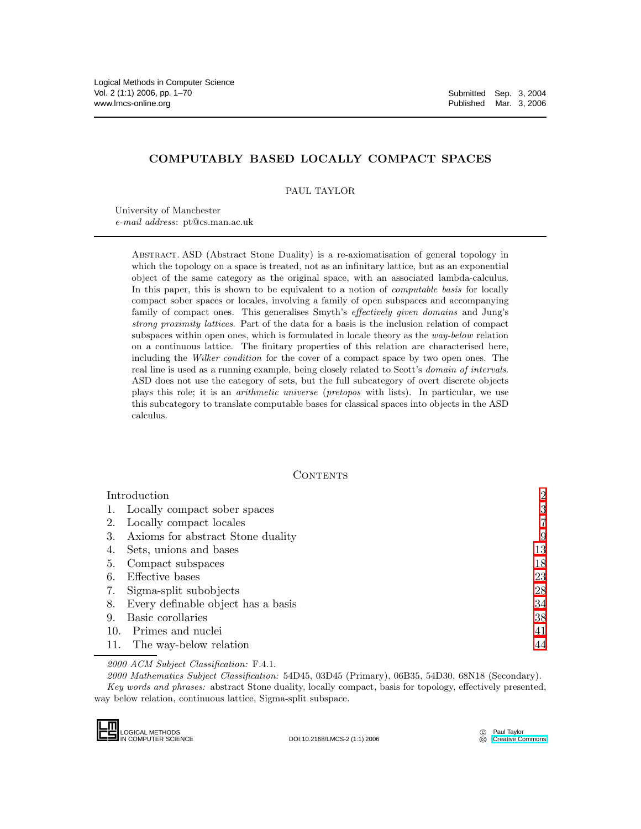# COMPUTABLY BASED LOCALLY COMPACT SPACES

PAUL TAYLOR

University of Manchester *e-mail address*: pt@cs.man.ac.uk

> Abstract. ASD (Abstract Stone Duality) is a re-axiomatisation of general topology in which the topology on a space is treated, not as an infinitary lattice, but as an exponential object of the same category as the original space, with an associated lambda-calculus. In this paper, this is shown to be equivalent to a notion of *computable basis* for locally compact sober spaces or locales, involving a family of open subspaces and accompanying family of compact ones. This generalises Smyth's *effectively given domains* and Jung's *strong proximity lattices*. Part of the data for a basis is the inclusion relation of compact subspaces within open ones, which is formulated in locale theory as the *way-below* relation on a continuous lattice. The finitary properties of this relation are characterised here, including the *Wilker condition* for the cover of a compact space by two open ones. The real line is used as a running example, being closely related to Scott's *domain of intervals*. ASD does not use the category of sets, but the full subcategory of overt discrete objects plays this role; it is an *arithmetic universe* (*pretopos* with lists). In particular, we use this subcategory to translate computable bases for classical spaces into objects in the ASD calculus.

### **CONTENTS**

| Introduction |                                    | $\overline{2}$ |
|--------------|------------------------------------|----------------|
|              | 1. Locally compact sober spaces    | 3              |
| 2.           | Locally compact locales            |                |
| 3.           | Axioms for abstract Stone duality  | 9              |
|              | Sets, unions and bases             | 13             |
| 5.           | Compact subspaces                  | 18             |
| 6.           | Effective bases                    | 23             |
| 7.           | Sigma-split subobjects             | 28             |
| 8.           | Every definable object has a basis | 34             |
| 9.           | Basic corollaries                  | 38             |
| 10.          | Primes and nuclei                  | 41             |
| 11.          | The way-below relation             | 44             |

*2000 ACM Subject Classification:* F.4.1.

*2000 Mathematics Subject Classification:* 54D45, 03D45 (Primary), 06B35, 54D30, 68N18 (Secondary). *Key words and phrases:* abstract Stone duality, locally compact, basis for topology, effectively presented, way below relation, continuous lattice, Sigma-split subspace.



DOI:10.2168/LMCS-2 (1:1) 2006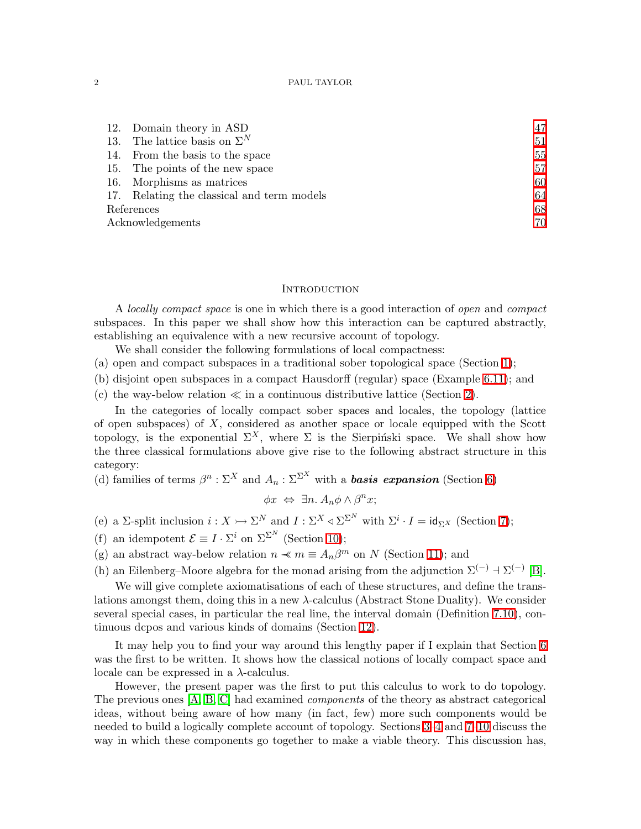|            | 12. Domain theory in ASD                   | 47 |
|------------|--------------------------------------------|----|
| 13.        | The lattice basis on $\Sigma^N$            | 51 |
|            | 14. From the basis to the space            | 55 |
|            | 15. The points of the new space            | 57 |
|            | 16. Morphisms as matrices                  | 60 |
|            | 17. Relating the classical and term models | 64 |
| References |                                            | 68 |
|            | Acknowledgements                           |    |

### **INTRODUCTION**

<span id="page-1-0"></span>A *locally compact space* is one in which there is a good interaction of *open* and *compact* subspaces. In this paper we shall show how this interaction can be captured abstractly, establishing an equivalence with a new recursive account of topology.

We shall consider the following formulations of local compactness:

- (a) open and compact subspaces in a traditional sober topological space (Section [1\)](#page-2-0);
- (b) disjoint open subspaces in a compact Hausdorff (regular) space (Example [6.11\)](#page-26-0); and
- (c) the way-below relation  $\ll$  in a continuous distributive lattice (Section [2\)](#page-6-0).

In the categories of locally compact sober spaces and locales, the topology (lattice of open subspaces) of  $X$ , considered as another space or locale equipped with the Scott topology, is the exponential  $\Sigma^X$ , where  $\Sigma$  is the Sierpinski space. We shall show how the three classical formulations above give rise to the following abstract structure in this category:

(d) families of terms  $\beta^n : \Sigma^X$  and  $A_n : \Sigma^{\Sigma^X}$  with a **basis expansion** (Section [6\)](#page-22-0)

 $\phi x \Leftrightarrow \exists n. A_n \phi \wedge \beta^n x;$ 

- (e) a  $\Sigma$ -split inclusion  $i: X \rightarrow \Sigma^N$  and  $I: \Sigma^X \triangleleft \Sigma^{\Sigma^N}$  with  $\Sigma^i \cdot I = id_{\Sigma^X}$  (Section [7\)](#page-27-0);
- (f) an idempotent  $\mathcal{E} \equiv I \cdot \Sigma^i$  on  $\Sigma^{\Sigma^N}$  (Section [10\)](#page-40-0);
- (g) an abstract way-below relation  $n \prec m \equiv A_n \beta^m$  on N (Section [11\)](#page-43-0); and

(h) an Eilenberg–Moore algebra for the monad arising from the adjunction  $\Sigma^{(-)}$  +  $\Sigma^{(-)}$  [\[B\]](#page-68-0).

We will give complete axiomatisations of each of these structures, and define the translations amongst them, doing this in a new  $\lambda$ -calculus (Abstract Stone Duality). We consider several special cases, in particular the real line, the interval domain (Definition [7.10\)](#page-30-0), continuous dcpos and various kinds of domains (Section [12\)](#page-46-0).

It may help you to find your way around this lengthy paper if I explain that Section [6](#page-22-0) was the first to be written. It shows how the classical notions of locally compact space and locale can be expressed in a  $\lambda$ -calculus.

However, the present paper was the first to put this calculus to work to do topology. The previous ones [\[A,](#page-68-1) [B,](#page-68-0) [C\]](#page-68-2) had examined *components* of the theory as abstract categorical ideas, without being aware of how many (in fact, few) more such components would be needed to build a logically complete account of topology. Sections [3–](#page-8-0)[4](#page-12-0) and [7](#page-27-0)[–10](#page-40-0) discuss the way in which these components go together to make a viable theory. This discussion has,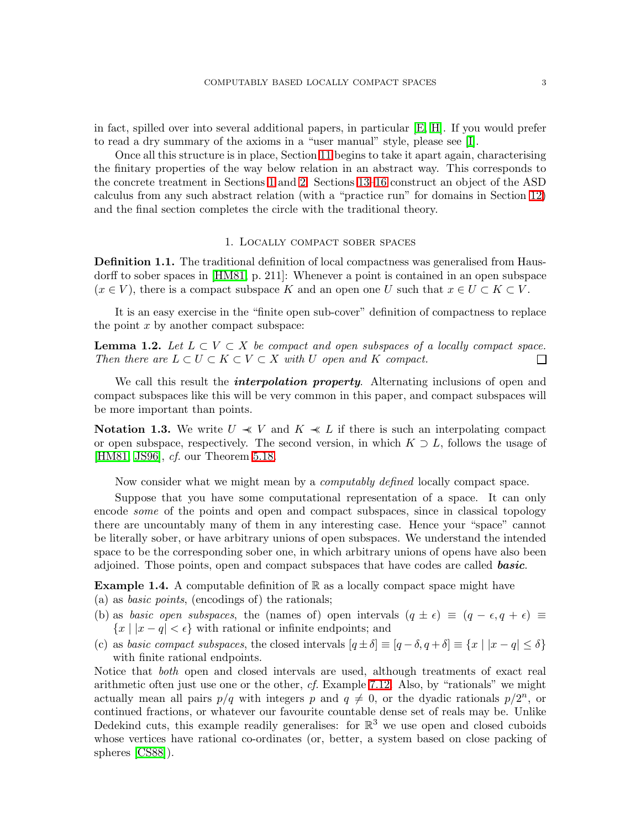in fact, spilled over into several additional papers, in particular [\[E,](#page-69-1) [H\]](#page-69-2). If you would prefer to read a dry summary of the axioms in a "user manual" style, please see [\[I\]](#page-69-3).

Once all this structure is in place, Section [11](#page-43-0) begins to take it apart again, characterising the finitary properties of the way below relation in an abstract way. This corresponds to the concrete treatment in Sections [1](#page-2-0) and [2.](#page-6-0) Sections [13–](#page-50-0)[16](#page-59-0) construct an object of the ASD calculus from any such abstract relation (with a "practice run" for domains in Section [12\)](#page-46-0) and the final section completes the circle with the traditional theory.

### 1. Locally compact sober spaces

<span id="page-2-3"></span><span id="page-2-0"></span>Definition 1.1. The traditional definition of local compactness was generalised from Hausdorff to sober spaces in [\[HM81,](#page-68-3) p. 211]: Whenever a point is contained in an open subspace  $(x \in V)$ , there is a compact subspace K and an open one U such that  $x \in U \subset K \subset V$ .

<span id="page-2-2"></span>It is an easy exercise in the "finite open sub-cover" definition of compactness to replace the point  $x$  by another compact subspace:

**Lemma 1.2.** Let  $L \subset V \subset X$  be compact and open subspaces of a locally compact space. *Then there are*  $L \subset U \subset K \subset V \subset X$  *with* U *open and* K *compact.* П

We call this result the *interpolation property*. Alternating inclusions of open and compact subspaces like this will be very common in this paper, and compact subspaces will be more important than points.

<span id="page-2-4"></span>**Notation 1.3.** We write  $U \ll V$  and  $K \ll L$  if there is such an interpolating compact or open subspace, respectively. The second version, in which  $K \supset L$ , follows the usage of [\[HM81,](#page-68-3) [JS96\]](#page-68-4), *cf.* our Theorem [5.18.](#page-22-1)

Now consider what we might mean by a *computably defined* locally compact space.

Suppose that you have some computational representation of a space. It can only encode *some* of the points and open and compact subspaces, since in classical topology there are uncountably many of them in any interesting case. Hence your "space" cannot be literally sober, or have arbitrary unions of open subspaces. We understand the intended space to be the corresponding sober one, in which arbitrary unions of opens have also been adjoined. Those points, open and compact subspaces that have codes are called **basic**.

<span id="page-2-1"></span>**Example 1.4.** A computable definition of  $\mathbb{R}$  as a locally compact space might have (a) as *basic points*, (encodings of) the rationals;

- (b) as *basic open subspaces*, the (names of) open intervals  $(q \pm \epsilon) \equiv (q \epsilon, q + \epsilon) \equiv$  ${x | |x - q| < \epsilon}$  with rational or infinite endpoints; and
- (c) as *basic compact subspaces*, the closed intervals  $[q \pm \delta] \equiv [q \delta, q + \delta] \equiv \{x \mid |x q| \leq \delta\}$ with finite rational endpoints.

Notice that *both* open and closed intervals are used, although treatments of exact real arithmetic often just use one or the other, *cf.* Example [7.12.](#page-30-1) Also, by "rationals" we might actually mean all pairs  $p/q$  with integers p and  $q \neq 0$ , or the dyadic rationals  $p/2^n$ , or continued fractions, or whatever our favourite countable dense set of reals may be. Unlike Dedekind cuts, this example readily generalises: for  $\mathbb{R}^3$  we use open and closed cuboids whose vertices have rational co-ordinates (or, better, a system based on close packing of spheres [\[CS88\]](#page-67-1)).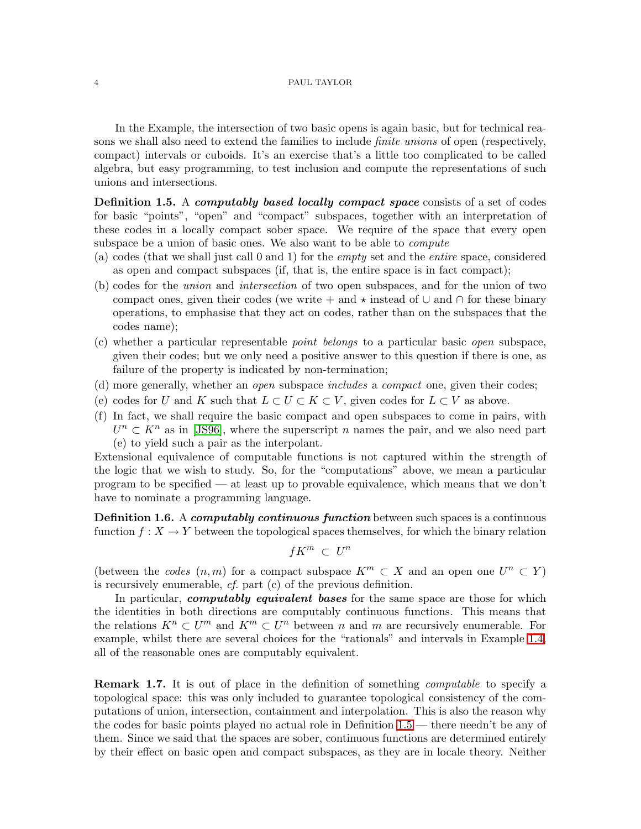In the Example, the intersection of two basic opens is again basic, but for technical reasons we shall also need to extend the families to include *finite unions* of open (respectively, compact) intervals or cuboids. It's an exercise that's a little too complicated to be called algebra, but easy programming, to test inclusion and compute the representations of such unions and intersections.

<span id="page-3-0"></span>Definition 1.5. A computably based locally compact space consists of a set of codes for basic "points", "open" and "compact" subspaces, together with an interpretation of these codes in a locally compact sober space. We require of the space that every open subspace be a union of basic ones. We also want to be able to *compute*

- (a) codes (that we shall just call 0 and 1) for the *empty* set and the *entire* space, considered as open and compact subspaces (if, that is, the entire space is in fact compact);
- (b) codes for the *union* and *intersection* of two open subspaces, and for the union of two compact ones, given their codes (we write + and  $\star$  instead of  $\cup$  and  $\cap$  for these binary operations, to emphasise that they act on codes, rather than on the subspaces that the codes name);
- (c) whether a particular representable *point belongs* to a particular basic *open* subspace, given their codes; but we only need a positive answer to this question if there is one, as failure of the property is indicated by non-termination;
- (d) more generally, whether an *open* subspace *includes* a *compact* one, given their codes;
- <span id="page-3-2"></span>(e) codes for U and K such that  $L \subset U \subset K \subset V$ , given codes for  $L \subset V$  as above.
- (f) In fact, we shall require the basic compact and open subspaces to come in pairs, with  $U<sup>n</sup> \subset K<sup>n</sup>$  as in [\[JS96\]](#page-68-4), where the superscript n names the pair, and we also need part (e) to yield such a pair as the interpolant.

Extensional equivalence of computable functions is not captured within the strength of the logic that we wish to study. So, for the "computations" above, we mean a particular program to be specified — at least up to provable equivalence, which means that we don't have to nominate a programming language.

<span id="page-3-1"></span>**Definition 1.6.** A *computably continuous function* between such spaces is a continuous function  $f: X \to Y$  between the topological spaces themselves, for which the binary relation

$$
fK^m\ \subset\ U^n
$$

(between the *codes*  $(n,m)$  for a compact subspace  $K^m \subset X$  and an open one  $U^n \subset Y$ ) is recursively enumerable, *cf.* part (c) of the previous definition.

In particular, *computably equivalent bases* for the same space are those for which the identities in both directions are computably continuous functions. This means that the relations  $K^n \subset U^m$  and  $K^m \subset U^n$  between n and m are recursively enumerable. For example, whilst there are several choices for the "rationals" and intervals in Example [1.4,](#page-2-1) all of the reasonable ones are computably equivalent.

<span id="page-3-3"></span>Remark 1.7. It is out of place in the definition of something *computable* to specify a topological space: this was only included to guarantee topological consistency of the computations of union, intersection, containment and interpolation. This is also the reason why the codes for basic points played no actual role in Definition [1.5](#page-3-0) — there needn't be any of them. Since we said that the spaces are sober, continuous functions are determined entirely by their effect on basic open and compact subspaces, as they are in locale theory. Neither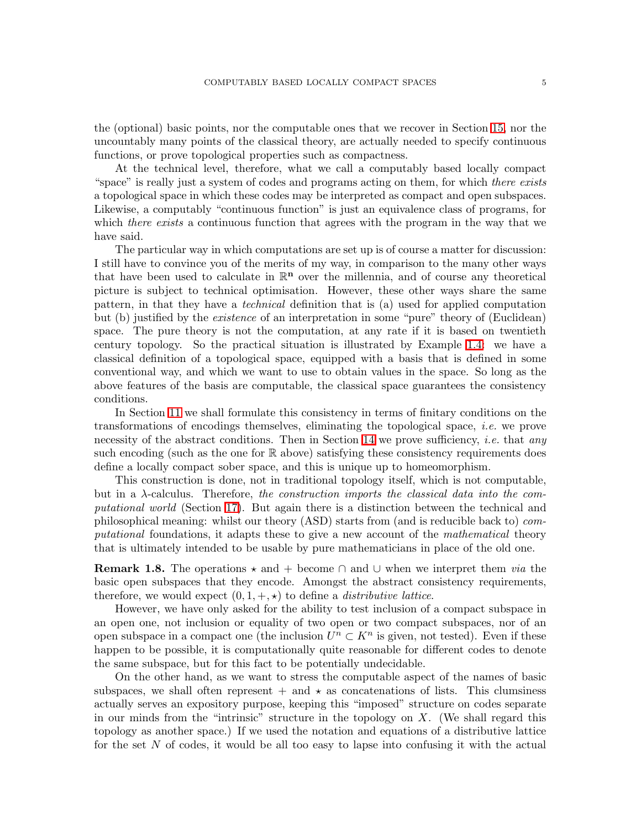the (optional) basic points, nor the computable ones that we recover in Section [15,](#page-56-0) nor the uncountably many points of the classical theory, are actually needed to specify continuous functions, or prove topological properties such as compactness.

At the technical level, therefore, what we call a computably based locally compact "space" is really just a system of codes and programs acting on them, for which *there exists* a topological space in which these codes may be interpreted as compact and open subspaces. Likewise, a computably "continuous function" is just an equivalence class of programs, for which *there exists* a continuous function that agrees with the program in the way that we have said.

The particular way in which computations are set up is of course a matter for discussion: I still have to convince you of the merits of my way, in comparison to the many other ways that have been used to calculate in  $\mathbb{R}^n$  over the millennia, and of course any theoretical picture is subject to technical optimisation. However, these other ways share the same pattern, in that they have a *technical* definition that is (a) used for applied computation but (b) justified by the *existence* of an interpretation in some "pure" theory of (Euclidean) space. The pure theory is not the computation, at any rate if it is based on twentieth century topology. So the practical situation is illustrated by Example [1.4:](#page-2-1) we have a classical definition of a topological space, equipped with a basis that is defined in some conventional way, and which we want to use to obtain values in the space. So long as the above features of the basis are computable, the classical space guarantees the consistency conditions.

In Section [11](#page-43-0) we shall formulate this consistency in terms of finitary conditions on the transformations of encodings themselves, eliminating the topological space, *i.e.* we prove necessity of the abstract conditions. Then in Section [14](#page-54-0) we prove sufficiency, *i.e.* that *any* such encoding (such as the one for  $\mathbb R$  above) satisfying these consistency requirements does define a locally compact sober space, and this is unique up to homeomorphism.

This construction is done, not in traditional topology itself, which is not computable, but in a λ-calculus. Therefore, *the construction imports the classical data into the computational world* (Section [17\)](#page-63-0). But again there is a distinction between the technical and philosophical meaning: whilst our theory (ASD) starts from (and is reducible back to) *computational* foundations, it adapts these to give a new account of the *mathematical* theory that is ultimately intended to be usable by pure mathematicians in place of the old one.

<span id="page-4-0"></span>**Remark 1.8.** The operations  $\star$  and + become  $\cap$  and  $\cup$  when we interpret them *via* the basic open subspaces that they encode. Amongst the abstract consistency requirements, therefore, we would expect  $(0, 1, +, \star)$  to define a *distributive lattice*.

However, we have only asked for the ability to test inclusion of a compact subspace in an open one, not inclusion or equality of two open or two compact subspaces, nor of an open subspace in a compact one (the inclusion  $U^n \subset K^n$  is given, not tested). Even if these happen to be possible, it is computationally quite reasonable for different codes to denote the same subspace, but for this fact to be potentially undecidable.

On the other hand, as we want to stress the computable aspect of the names of basic subspaces, we shall often represent  $+$  and  $\star$  as concatenations of lists. This clumsiness actually serves an expository purpose, keeping this "imposed" structure on codes separate in our minds from the "intrinsic" structure in the topology on  $X$ . (We shall regard this topology as another space.) If we used the notation and equations of a distributive lattice for the set  $N$  of codes, it would be all too easy to lapse into confusing it with the actual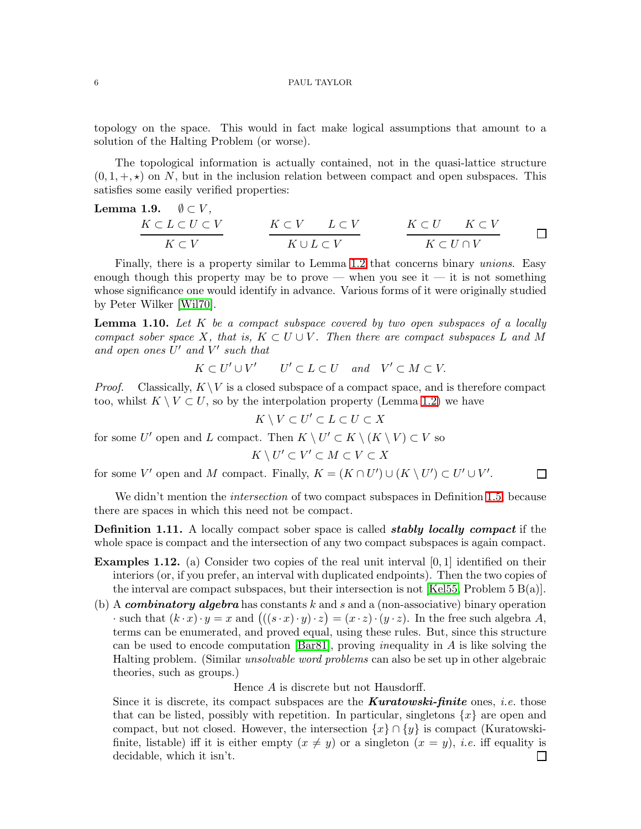topology on the space. This would in fact make logical assumptions that amount to a solution of the Halting Problem (or worse).

The topological information is actually contained, not in the quasi-lattice structure  $(0, 1, +, \star)$  on N, but in the inclusion relation between compact and open subspaces. This satisfies some easily verified properties:

<span id="page-5-0"></span>**Lemma 1.9.** 
$$
\emptyset \subset V
$$
,  
\n $\begin{array}{c}\nK \subset L \subset U \subset V \\
K \subset V\n\end{array}$ \n $\begin{array}{c}\nK \subset V \\
K \cup L \subset V\n\end{array}$ \n $\begin{array}{c}\nK \subset U \\
K \subset U \cap V\n\end{array}$ 

Finally, there is a property similar to Lemma [1.2](#page-2-2) that concerns binary *unions*. Easy enough though this property may be to prove — when you see it — it is not something whose significance one would identify in advance. Various forms of it were originally studied by Peter Wilker [\[Wil70\]](#page-68-5).

<span id="page-5-1"></span>Lemma 1.10. *Let* K *be a compact subspace covered by two open subspaces of a locally compact sober space* X, that is,  $K \subset U \cup V$ . Then there are compact subspaces L and M *and open ones* U ′ *and* V ′ *such that*

$$
K \subset U' \cup V' \qquad U' \subset L \subset U \quad and \quad V' \subset M \subset V.
$$

*Proof.* Classically,  $K \setminus V$  is a closed subspace of a compact space, and is therefore compact too, whilst  $K \setminus V \subset U$ , so by the interpolation property (Lemma [1.2\)](#page-2-2) we have

$$
K \setminus V \subset U' \subset L \subset U \subset X
$$

for some U' open and L compact. Then  $K \setminus U' \subset K \setminus (K \setminus V) \subset V$  so

$$
K \setminus U' \subset V' \subset M \subset V \subset X
$$

 $\Box$ 

for some V' open and M compact. Finally,  $K = (K \cap U') \cup (K \setminus U') \subset U' \cup V'$ .

We didn't mention the *intersection* of two compact subspaces in Definition [1.5,](#page-3-0) because there are spaces in which this need not be compact.

**Definition 1.11.** A locally compact sober space is called **stably locally compact** if the whole space is compact and the intersection of any two compact subspaces is again compact.

- <span id="page-5-2"></span>**Examples 1.12.** (a) Consider two copies of the real unit interval  $[0, 1]$  identified on their interiors (or, if you prefer, an interval with duplicated endpoints). Then the two copies of the interval are compact subspaces, but their intersection is not [\[Kel55,](#page-68-6) Problem 5  $B(a)$ ].
- <span id="page-5-3"></span>(b) A *combinatory algebra* has constants k and s and a (non-associative) binary operation  $\cdot$  such that  $(k \cdot x) \cdot y = x$  and  $(((s \cdot x) \cdot y) \cdot z) = (x \cdot z) \cdot (y \cdot z)$ . In the free such algebra A, terms can be enumerated, and proved equal, using these rules. But, since this structure can be used to encode computation [\[Bar81\]](#page-67-2), proving *in*equality in A is like solving the Halting problem. (Similar *unsolvable word problems* can also be set up in other algebraic theories, such as groups.)

Hence A is discrete but not Hausdorff.

Since it is discrete, its compact subspaces are the Kuratowski-finite ones, *i.e.* those that can be listed, possibly with repetition. In particular, singletons  $\{x\}$  are open and compact, but not closed. However, the intersection  $\{x\} \cap \{y\}$  is compact (Kuratowskifinite, listable) iff it is either empty  $(x \neq y)$  or a singleton  $(x = y)$ , *i.e.* iff equality is decidable, which it isn't. $\Box$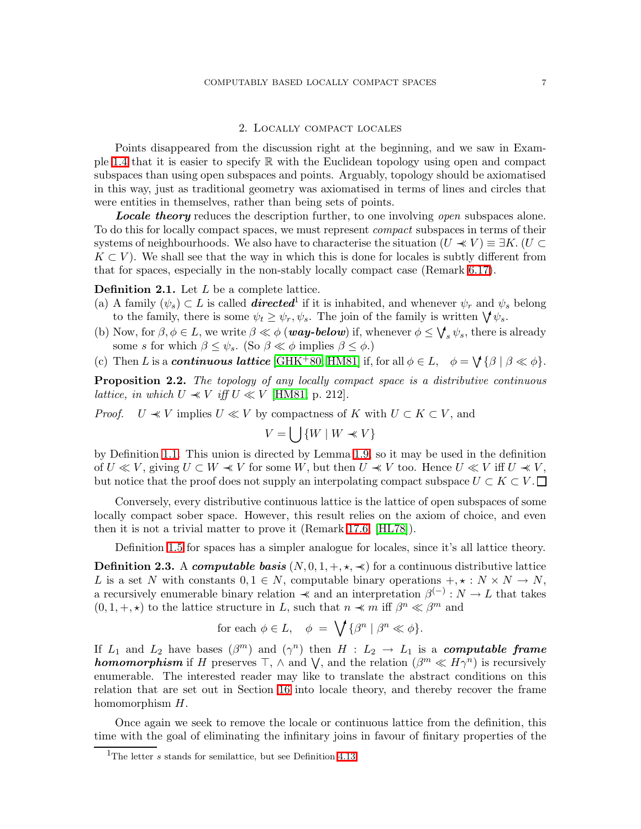# 2. Locally compact locales

<span id="page-6-0"></span>Points disappeared from the discussion right at the beginning, and we saw in Exam-ple [1.4](#page-2-1) that it is easier to specify  $\mathbb R$  with the Euclidean topology using open and compact subspaces than using open subspaces and points. Arguably, topology should be axiomatised in this way, just as traditional geometry was axiomatised in terms of lines and circles that were entities in themselves, rather than being sets of points.

Locale theory reduces the description further, to one involving *open* subspaces alone. To do this for locally compact spaces, we must represent *compact* subspaces in terms of their systems of neighbourhoods. We also have to characterise the situation  $(U \preccurlyeq V) \equiv \exists K. (U \subset$  $K \subset V$ ). We shall see that the way in which this is done for locales is subtly different from that for spaces, especially in the non-stably locally compact case (Remark [6.17\)](#page-27-1).

<span id="page-6-4"></span>**Definition 2.1.** Let  $L$  be a complete lattice.

- (a) A family  $(\psi_s) \subset L$  is called **directed**<sup>1</sup> if it is inhabited, and whenever  $\psi_r$  and  $\psi_s$  belong to the family, there is some  $\psi_t \geq \psi_r, \psi_s$ . The join of the family is written  $\bigvee \psi_s$ .
- <span id="page-6-3"></span>(b) Now, for  $\beta, \phi \in L$ , we write  $\beta \ll \phi$  (**way-below**) if, whenever  $\phi \leq \bigvee_{s} \psi_s$ , there is already some s for which  $\beta \leq \psi_s$ . (So  $\beta \ll \phi$  implies  $\beta \leq \phi$ .)
- <span id="page-6-5"></span><span id="page-6-2"></span>(c) Then L is a **continuous lattice** [\[GHK](#page-67-3)<sup>+</sup>80, [HM81\]](#page-68-3) if, for all  $\phi \in L$ ,  $\phi = \bigvee {\{\beta \mid \beta \ll \phi\}}$ .

Proposition 2.2. *The topology of any locally compact space is a distributive continuous lattice, in which*  $U \ll V$  *iff*  $U \ll V$  [\[HM81,](#page-68-3) p. 212].

*Proof.*  $U \ll V$  implies  $U \ll V$  by compactness of K with  $U \subset K \subset V$ , and

$$
V = \bigcup \{ W \mid W \prec V \}
$$

by Definition [1.1.](#page-2-3) This union is directed by Lemma [1.9,](#page-5-0) so it may be used in the definition of  $U \ll V$ , giving  $U \subset W \ll V$  for some W, but then  $U \ll V$  too. Hence  $U \ll V$  iff  $U \ll V$ , but notice that the proof does not supply an interpolating compact subspace  $U \subset K \subset V$ .

Conversely, every distributive continuous lattice is the lattice of open subspaces of some locally compact sober space. However, this result relies on the axiom of choice, and even then it is not a trivial matter to prove it (Remark [17.6,](#page-65-0) [\[HL78\]](#page-68-7)).

Definition [1.5](#page-3-0) for spaces has a simpler analogue for locales, since it's all lattice theory.

<span id="page-6-1"></span>**Definition 2.3.** A computable basis  $(N, 0, 1, +, \star, \star)$  for a continuous distributive lattice L is a set N with constants  $0, 1 \in N$ , computable binary operations  $+$ ,  $\star : N \times N \rightarrow N$ , a recursively enumerable binary relation  $\prec$  and an interpretation  $\beta^{(-)} : N \to L$  that takes  $(0, 1, +, \star)$  to the lattice structure in L, such that  $n \prec m$  iff  $\beta^n \ll \beta^m$  and

$$
\text{for each }\phi\in L,\quad \phi \;=\; \bigvee\,\{\beta^n\ |\ \beta^n\ll \phi\}.
$$

If  $L_1$  and  $L_2$  have bases  $(\beta^m)$  and  $(\gamma^n)$  then  $H : L_2 \to L_1$  is a **computable frame homomorphism** if H preserves  $\top$ ,  $\wedge$  and  $\bigvee$ , and the relation  $(\beta^{m} \ll H\gamma^{n})$  is recursively enumerable. The interested reader may like to translate the abstract conditions on this relation that are set out in Section [16](#page-59-0) into locale theory, and thereby recover the frame homomorphism  $H$ .

Once again we seek to remove the locale or continuous lattice from the definition, this time with the goal of eliminating the infinitary joins in favour of finitary properties of the

<sup>&</sup>lt;sup>1</sup>The letter  $s$  stands for semilattice, but see Definition [4.13.](#page-15-0)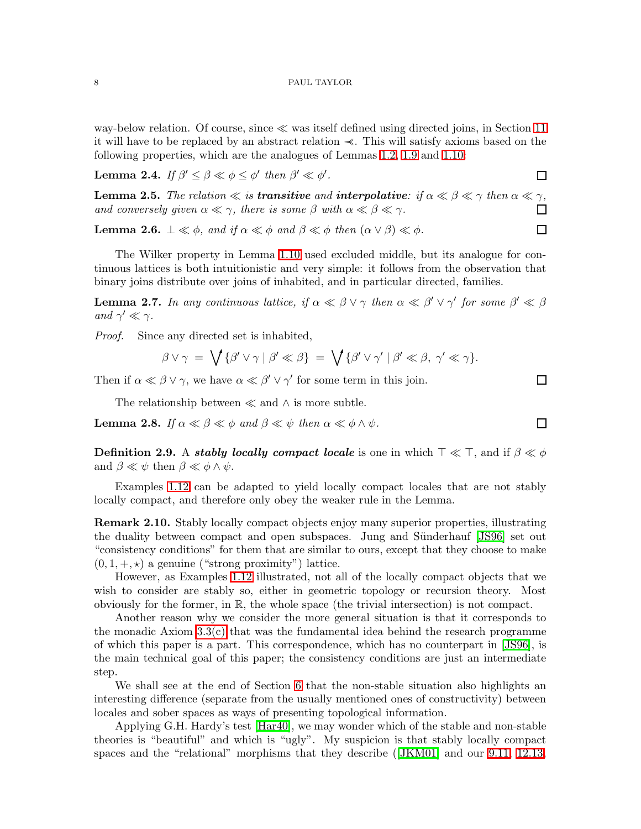way-below relation. Of course, since ≪ was itself defined using directed joins, in Section [11](#page-43-0) it will have to be replaced by an abstract relation ≺≺. This will satisfy axioms based on the following properties, which are the analogues of Lemmas [1.2,](#page-2-2) [1.9](#page-5-0) and [1.10:](#page-5-1)

 $\Box$ 

 $\Box$ 

 $\Box$ 

 $\Box$ 

Lemma 2.4. *If*  $\beta' \leq \beta \ll \phi \leq \phi'$  then  $\beta' \ll \phi'$ .

**Lemma 2.5.** *The relation*  $\ll$  *is transitive and interpolative: if*  $\alpha \ll \beta \ll \gamma$  *then*  $\alpha \ll \gamma$ *, and conversely given*  $\alpha \ll \gamma$ *, there is some*  $\beta$  *with*  $\alpha \ll \beta \ll \gamma$ *.*  $\Box$ 

<span id="page-7-2"></span>**Lemma 2.6.**  $\perp \ll \phi$ , and if  $\alpha \ll \phi$  and  $\beta \ll \phi$  then  $(\alpha \lor \beta) \ll \phi$ .

The Wilker property in Lemma [1.10](#page-5-1) used excluded middle, but its analogue for continuous lattices is both intuitionistic and very simple: it follows from the observation that binary joins distribute over joins of inhabited, and in particular directed, families.

<span id="page-7-0"></span>**Lemma 2.7.** In any continuous lattice, if  $\alpha \ll \beta \lor \gamma$  then  $\alpha \ll \beta' \lor \gamma'$  for some  $\beta' \ll \beta$ *and*  $\gamma' \ll \gamma$ *.* 

*Proof.* Since any directed set is inhabited,

$$
\beta \vee \gamma \ = \ \bigvee \{ \beta' \vee \gamma \mid \beta' \ll \beta \} \ = \ \bigvee \{ \beta' \vee \gamma' \mid \beta' \ll \beta, \ \gamma' \ll \gamma \}.
$$

Then if  $\alpha \ll \beta \lor \gamma$ , we have  $\alpha \ll \beta' \lor \gamma'$  for some term in this join.

The relationship between  $\ll$  and  $\land$  is more subtle.

<span id="page-7-3"></span><span id="page-7-1"></span>**Lemma 2.8.** *If*  $\alpha \ll \beta \ll \phi$  *and*  $\beta \ll \psi$  *then*  $\alpha \ll \phi \land \psi$ *.* 

Definition 2.9. A stably locally compact locale is one in which  $\top \ll \top$ , and if  $\beta \ll \phi$ and  $\beta \ll \psi$  then  $\beta \ll \phi \wedge \psi$ .

Examples [1.12](#page-5-2) can be adapted to yield locally compact locales that are not stably locally compact, and therefore only obey the weaker rule in the Lemma.

Remark 2.10. Stably locally compact objects enjoy many superior properties, illustrating the duality between compact and open subspaces. Jung and Sünderhauf [\[JS96\]](#page-68-4) set out "consistency conditions" for them that are similar to ours, except that they choose to make  $(0, 1, +, \star)$  a genuine ("strong proximity") lattice.

However, as Examples [1.12](#page-5-2) illustrated, not all of the locally compact objects that we wish to consider are stably so, either in geometric topology or recursion theory. Most obviously for the former, in R, the whole space (the trivial intersection) is not compact.

Another reason why we consider the more general situation is that it corresponds to the monadic Axiom  $3.3(c)$  that was the fundamental idea behind the research programme of which this paper is a part. This correspondence, which has no counterpart in [\[JS96\]](#page-68-4), is the main technical goal of this paper; the consistency conditions are just an intermediate step.

We shall see at the end of Section [6](#page-22-0) that the non-stable situation also highlights an interesting difference (separate from the usually mentioned ones of constructivity) between locales and sober spaces as ways of presenting topological information.

Applying G.H. Hardy's test [\[Har40\]](#page-68-8), we may wonder which of the stable and non-stable theories is "beautiful" and which is "ugly". My suspicion is that stably locally compact spaces and the "relational" morphisms that they describe([\[JKM01\]](#page-68-9) and our [9.11,](#page-39-0) [12.13,](#page-49-0)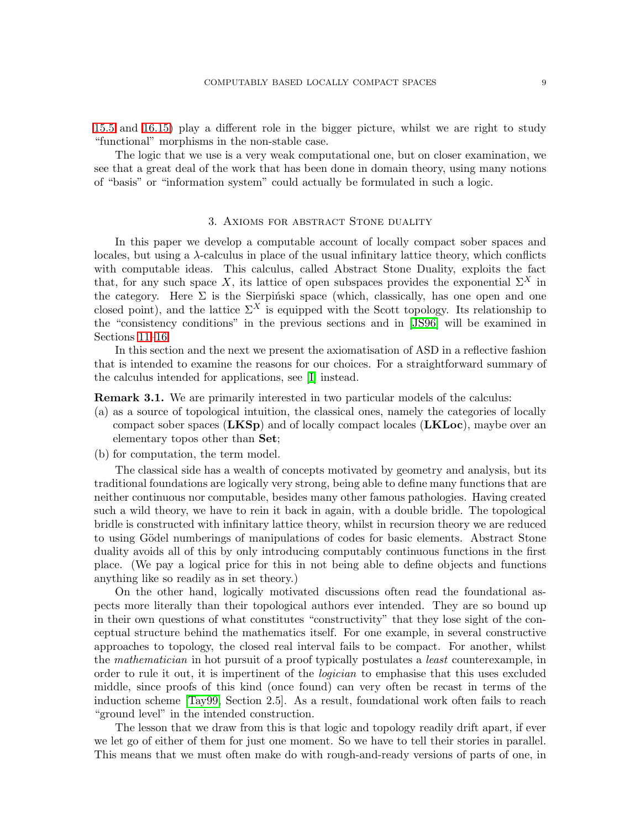[15.5](#page-57-0) and [16.15\)](#page-62-0) play a different role in the bigger picture, whilst we are right to study "functional" morphisms in the non-stable case.

The logic that we use is a very weak computational one, but on closer examination, we see that a great deal of the work that has been done in domain theory, using many notions of "basis" or "information system" could actually be formulated in such a logic.

# 3. Axioms for abstract Stone duality

<span id="page-8-0"></span>In this paper we develop a computable account of locally compact sober spaces and locales, but using a  $\lambda$ -calculus in place of the usual infinitary lattice theory, which conflicts with computable ideas. This calculus, called Abstract Stone Duality, exploits the fact that, for any such space X, its lattice of open subspaces provides the exponential  $\Sigma^X$  in the category. Here  $\Sigma$  is the Sierpiński space (which, classically, has one open and one closed point), and the lattice  $\Sigma^X$  is equipped with the Scott topology. Its relationship to the "consistency conditions" in the previous sections and in [\[JS96\]](#page-68-4) will be examined in Sections [11](#page-43-0)[–16.](#page-59-0)

In this section and the next we present the axiomatisation of ASD in a reflective fashion that is intended to examine the reasons for our choices. For a straightforward summary of the calculus intended for applications, see [\[I\]](#page-69-3) instead.

<span id="page-8-1"></span>**Remark 3.1.** We are primarily interested in two particular models of the calculus:

- (a) as a source of topological intuition, the classical ones, namely the categories of locally compact sober spaces  $(LKSp)$  and of locally compact locales  $(LKLoc)$ , maybe over an elementary topos other than Set;
- (b) for computation, the term model.

The classical side has a wealth of concepts motivated by geometry and analysis, but its traditional foundations are logically very strong, being able to define many functions that are neither continuous nor computable, besides many other famous pathologies. Having created such a wild theory, we have to rein it back in again, with a double bridle. The topological bridle is constructed with infinitary lattice theory, whilst in recursion theory we are reduced to using Gödel numberings of manipulations of codes for basic elements. Abstract Stone duality avoids all of this by only introducing computably continuous functions in the first place. (We pay a logical price for this in not being able to define objects and functions anything like so readily as in set theory.)

On the other hand, logically motivated discussions often read the foundational aspects more literally than their topological authors ever intended. They are so bound up in their own questions of what constitutes "constructivity" that they lose sight of the conceptual structure behind the mathematics itself. For one example, in several constructive approaches to topology, the closed real interval fails to be compact. For another, whilst the *mathematician* in hot pursuit of a proof typically postulates a *least* counterexample, in order to rule it out, it is impertinent of the *logician* to emphasise that this uses excluded middle, since proofs of this kind (once found) can very often be recast in terms of the induction scheme [\[Tay99,](#page-68-10) Section 2.5]. As a result, foundational work often fails to reach "ground level" in the intended construction.

The lesson that we draw from this is that logic and topology readily drift apart, if ever we let go of either of them for just one moment. So we have to tell their stories in parallel. This means that we must often make do with rough-and-ready versions of parts of one, in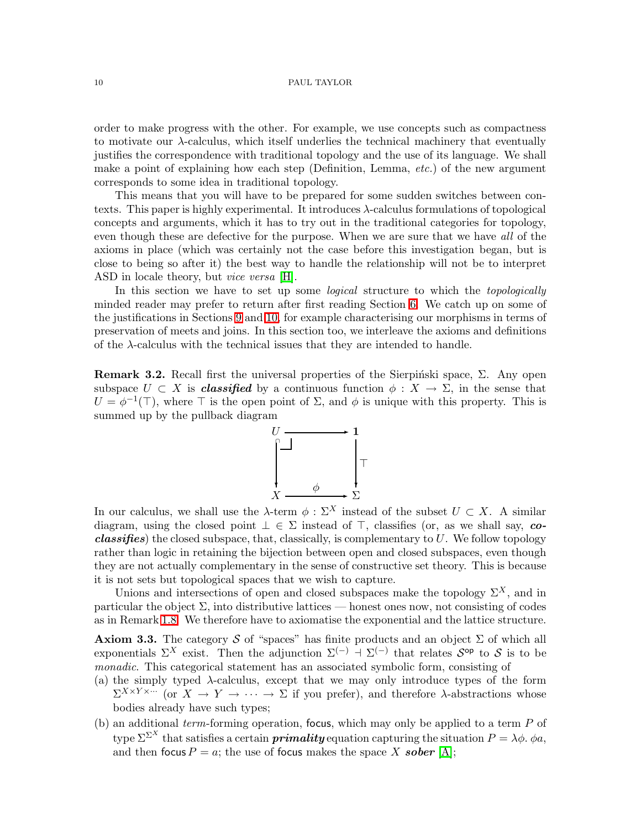order to make progress with the other. For example, we use concepts such as compactness to motivate our λ-calculus, which itself underlies the technical machinery that eventually justifies the correspondence with traditional topology and the use of its language. We shall make a point of explaining how each step (Definition, Lemma, *etc.*) of the new argument corresponds to some idea in traditional topology.

This means that you will have to be prepared for some sudden switches between contexts. This paper is highly experimental. It introduces  $\lambda$ -calculus formulations of topological concepts and arguments, which it has to try out in the traditional categories for topology, even though these are defective for the purpose. When we are sure that we have *all* of the axioms in place (which was certainly not the case before this investigation began, but is close to being so after it) the best way to handle the relationship will not be to interpret ASD in locale theory, but *vice versa* [\[H\]](#page-69-2).

In this section we have to set up some *logical* structure to which the *topologically* minded reader may prefer to return after first reading Section [6.](#page-22-0) We catch up on some of the justifications in Sections [9](#page-37-0) and [10,](#page-40-0) for example characterising our morphisms in terms of preservation of meets and joins. In this section too, we interleave the axioms and definitions of the  $\lambda$ -calculus with the technical issues that they are intended to handle.

<span id="page-9-1"></span>**Remark 3.2.** Recall first the universal properties of the Sierpinski space,  $\Sigma$ . Any open subspace  $U \subset X$  is *classified* by a continuous function  $\phi: X \to \Sigma$ , in the sense that  $U = \phi^{-1}(\top)$ , where  $\top$  is the open point of  $\Sigma$ , and  $\phi$  is unique with this property. This is summed up by the pullback diagram



In our calculus, we shall use the  $\lambda$ -term  $\phi : \Sigma^X$  instead of the subset  $U \subset X$ . A similar diagram, using the closed point  $\bot \in \Sigma$  instead of  $\top$ , classifies (or, as we shall say, co*classifies*) the closed subspace, that, classically, is complementary to  $U$ . We follow topology rather than logic in retaining the bijection between open and closed subspaces, even though they are not actually complementary in the sense of constructive set theory. This is because it is not sets but topological spaces that we wish to capture.

Unions and intersections of open and closed subspaces make the topology  $\Sigma^X$ , and in particular the object  $\Sigma$ , into distributive lattices — honest ones now, not consisting of codes as in Remark [1.8.](#page-4-0) We therefore have to axiomatise the exponential and the lattice structure.

<span id="page-9-3"></span>**Axiom 3.3.** The category S of "spaces" has finite products and an object  $\Sigma$  of which all exponentials  $\Sigma^X$  exist. Then the adjunction  $\Sigma^{(-)} \dashv \Sigma^{(-)}$  that relates  $S^{\text{op}}$  to S is to be *monadic*. This categorical statement has an associated symbolic form, consisting of

- (a) the simply typed  $\lambda$ -calculus, except that we may only introduce types of the form  $\Sigma^{X \times Y \times \cdots}$  (or  $X \to Y \to \cdots \to \Sigma$  if you prefer), and therefore  $\lambda$ -abstractions whose bodies already have such types;
- <span id="page-9-2"></span><span id="page-9-0"></span>(b) an additional *term*-forming operation, focus, which may only be applied to a term P of type  $\Sigma^{\Sigma^{X}}$  that satisfies a certain **primality** equation capturing the situation  $P = \lambda \phi$ .  $\phi a$ , and then focus  $P = a$ ; the use of focus makes the space X sober [\[A\]](#page-68-1);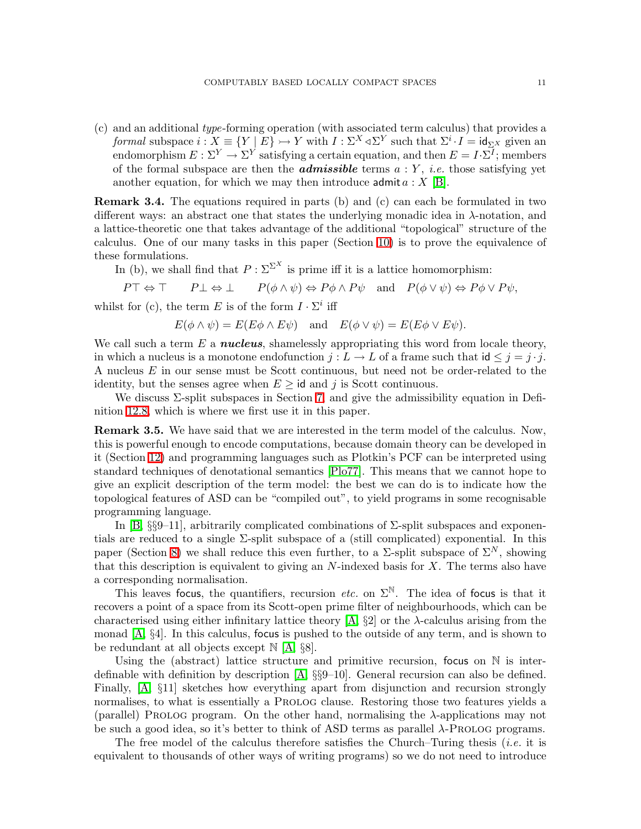(c) and an additional *type*-forming operation (with associated term calculus) that provides a *formal* subspace  $i: X \equiv \{Y \mid E\} \rightarrowtail Y$  with  $I: \Sigma^X \triangleleft \Sigma^Y$  such that  $\Sigma^i \cdot I = id_{\Sigma^X}$  given an endomorphism  $E: \Sigma^Y \to \Sigma^Y$  satisfying a certain equation, and then  $E = I \cdot \Sigma^I$ ; members of the formal subspace are then the **admissible** terms  $a: Y$ , *i.e.* those satisfying yet another equation, for which we may then introduce admit  $a: X$  [\[B\]](#page-68-0).

<span id="page-10-0"></span>**Remark 3.4.** The equations required in parts (b) and (c) can each be formulated in two different ways: an abstract one that states the underlying monadic idea in λ-notation, and a lattice-theoretic one that takes advantage of the additional "topological" structure of the calculus. One of our many tasks in this paper (Section [10\)](#page-40-0) is to prove the equivalence of these formulations.

In (b), we shall find that  $P : \Sigma^{\Sigma^X}$  is prime iff it is a lattice homomorphism:

$$
P \top \Leftrightarrow \top \qquad P \bot \Leftrightarrow \bot \qquad P(\phi \wedge \psi) \Leftrightarrow P\phi \wedge P\psi \quad \text{and} \quad P(\phi \vee \psi) \Leftrightarrow P\phi \vee P\psi,
$$

whilst for (c), the term E is of the form  $I \cdot \Sigma^i$  iff

$$
E(\phi \wedge \psi) = E(E\phi \wedge E\psi)
$$
 and  $E(\phi \vee \psi) = E(E\phi \vee E\psi)$ .

We call such a term  $E$  a *nucleus*, shamelessly appropriating this word from locale theory, in which a nucleus is a monotone endofunction  $j: L \to L$  of a frame such that  $id \leq j = j \cdot j$ . A nucleus E in our sense must be Scott continuous, but need not be order-related to the identity, but the senses agree when  $E \geq id$  and j is Scott continuous.

We discuss  $\Sigma$ -split subspaces in Section [7,](#page-27-0) and give the admissibility equation in Definition [12.8,](#page-48-0) which is where we first use it in this paper.

<span id="page-10-1"></span>**Remark 3.5.** We have said that we are interested in the term model of the calculus. Now, this is powerful enough to encode computations, because domain theory can be developed in it (Section [12\)](#page-46-0) and programming languages such as Plotkin's PCF can be interpreted using standard techniques of denotational semantics [\[Plo77\]](#page-68-11). This means that we cannot hope to give an explicit description of the term model: the best we can do is to indicate how the topological features of ASD can be "compiled out", to yield programs in some recognisable programming language.

In [\[B,](#page-68-0)  $\S\$ 9-11], arbitrarily complicated combinations of  $\Sigma$ -split subspaces and exponentials are reduced to a single  $\Sigma$ -split subspace of a (still complicated) exponential. In this paper (Section [8\)](#page-33-0) we shall reduce this even further, to a  $\Sigma$ -split subspace of  $\Sigma^N$ , showing that this description is equivalent to giving an  $N$ -indexed basis for  $X$ . The terms also have a corresponding normalisation.

This leaves focus, the quantifiers, recursion *etc.* on  $\Sigma^{\mathbb{N}}$ . The idea of focus is that it recovers a point of a space from its Scott-open prime filter of neighbourhoods, which can be characterised using either infinitary lattice theory  $[A, \S2]$  or the  $\lambda$ -calculus arising from the monad [\[A,](#page-68-1) §4]. In this calculus, focus is pushed to the outside of any term, and is shown to be redundant at all objects except N [\[A,](#page-68-1) §8].

Using the (abstract) lattice structure and primitive recursion, focus on  $\mathbb N$  is interdefinable with definition by description [\[A,](#page-68-1) §§9–10]. General recursion can also be defined. Finally, [\[A,](#page-68-1) §11] sketches how everything apart from disjunction and recursion strongly normalises, to what is essentially a Prolog clause. Restoring those two features yields a (parallel) PROLOG program. On the other hand, normalising the  $\lambda$ -applications may not be such a good idea, so it's better to think of ASD terms as parallel  $\lambda$ -PROLOG programs.

The free model of the calculus therefore satisfies the Church–Turing thesis (*i.e.* it is equivalent to thousands of other ways of writing programs) so we do not need to introduce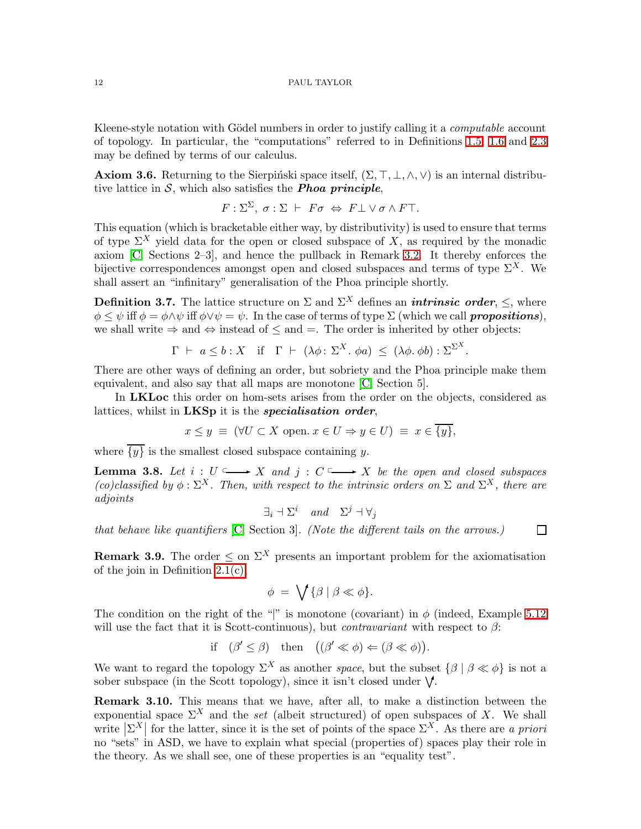Kleene-style notation with Gödel numbers in order to justify calling it a *computable* account of topology. In particular, the "computations" referred to in Definitions [1.5,](#page-3-0) [1.6](#page-3-1) and [2.3](#page-6-1) may be defined by terms of our calculus.

<span id="page-11-1"></span>**Axiom 3.6.** Returning to the Sierpinski space itself,  $(\Sigma, \top, \bot, \wedge, \vee)$  is an internal distributive lattice in  $S$ , which also satisfies the **Phoa principle**,

$$
F: \Sigma^{\Sigma}, \sigma: \Sigma \vdash F\sigma \Leftrightarrow F\bot \vee \sigma \wedge F\top.
$$

This equation (which is bracketable either way, by distributivity) is used to ensure that terms of type  $\Sigma^X$  yield data for the open or closed subspace of X, as required by the monadic axiom [\[C,](#page-68-2) Sections 2–3], and hence the pullback in Remark [3.2.](#page-9-1) It thereby enforces the bijective correspondences amongst open and closed subspaces and terms of type  $\Sigma^X$ . We shall assert an "infinitary" generalisation of the Phoa principle shortly.

<span id="page-11-0"></span>**Definition 3.7.** The lattice structure on  $\Sigma$  and  $\Sigma^X$  defines an *intrinsic order*,  $\leq$ , where  $\phi \leq \psi$  iff  $\phi = \phi \wedge \psi$  iff  $\phi \vee \psi = \psi$ . In the case of terms of type  $\Sigma$  (which we call **propositions**), we shall write  $\Rightarrow$  and  $\Leftrightarrow$  instead of  $\leq$  and  $=$ . The order is inherited by other objects:

$$
\Gamma \vdash a \leq b : X \quad \text{if} \quad \Gamma \vdash (\lambda \phi : \Sigma^X \ldotp \phi a) \leq (\lambda \phi \ldotp \phi b) : \Sigma^{\Sigma^X}
$$

.

There are other ways of defining an order, but sobriety and the Phoa principle make them equivalent, and also say that all maps are monotone [\[C,](#page-68-2) Section 5].

In LKLoc this order on hom-sets arises from the order on the objects, considered as lattices, whilst in LKSp it is the *specialisation order*,

$$
x \le y \equiv (\forall U \subset X \text{ open. } x \in U \Rightarrow y \in U) \equiv x \in \overline{\{y\}},
$$

where  $\overline{\{y\}}$  is the smallest closed subspace containing y.

<span id="page-11-4"></span>**Lemma 3.8.** Let  $i: U \longrightarrow X$  and  $j: C \longrightarrow X$  be the open and closed subspaces *(co)classified by*  $\phi$ :  $\Sigma^X$ . Then, with respect to the intrinsic orders on  $\Sigma$  and  $\Sigma^X$ , there are *adjoints*

$$
\exists_i \dashv \Sigma^i \quad and \quad \Sigma^j \dashv \forall_j
$$

<span id="page-11-2"></span>*that behave like quantifiers* [\[C,](#page-68-2) Section 3]*. (Note the different tails on the arrows.)*  $\Box$ 

**Remark 3.9.** The order  $\leq$  on  $\Sigma^X$  presents an important problem for the axiomatisation of the join in Definition [2.1\(c\),](#page-6-2)

$$
\phi = \bigvee \{ \beta \mid \beta \ll \phi \}.
$$

The condition on the right of the "|" is monotone (covariant) in  $\phi$  (indeed, Example [5.12](#page-20-0) will use the fact that it is Scott-continuous), but *contravariant* with respect to β:

if 
$$
(\beta' \le \beta)
$$
 then  $((\beta' \ll \phi) \Leftarrow (\beta \ll \phi))$ .

We want to regard the topology  $\Sigma^X$  as another *space*, but the subset  $\{\beta \mid \beta \ll \phi\}$  is not a sober subspace (in the Scott topology), since it isn't closed under  $\mathsf{V}$ .

<span id="page-11-3"></span>Remark 3.10. This means that we have, after all, to make a distinction between the exponential space  $\Sigma^X$  and the *set* (albeit structured) of open subspaces of X. We shall write  $|\Sigma^X|$  for the latter, since it is the set of points of the space  $\Sigma^X$ . As there are *a priori* no "sets" in ASD, we have to explain what special (properties of) spaces play their role in the theory. As we shall see, one of these properties is an "equality test".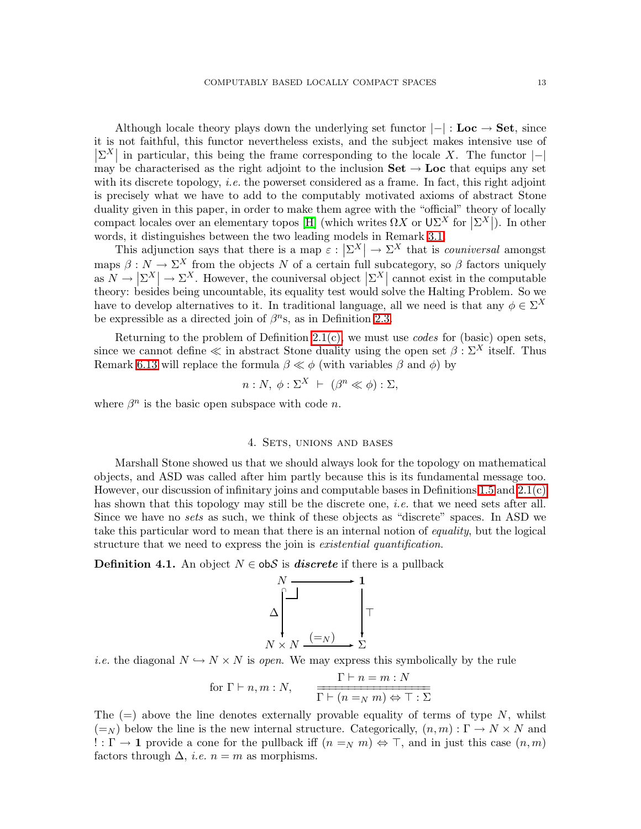Although locale theory plays down the underlying set functor  $|-|:$  Loc  $\rightarrow$  Set, since it is not faithful, this functor nevertheless exists, and the subject makes intensive use of  $|\Sigma^X|$  in particular, this being the frame corresponding to the locale X. The functor  $|-|$ may be characterised as the right adjoint to the inclusion  $\mathbf{Set} \to \mathbf{Loc}$  that equips any set with its discrete topology, *i.e.* the powerset considered as a frame. In fact, this right adjoint is precisely what we have to add to the computably motivated axioms of abstract Stone duality given in this paper, in order to make them agree with the "official" theory of locally compact locales over an elementary topos [\[H\]](#page-69-2) (which writes  $\Omega X$  or  $U\Sigma^X$  for  $|\Sigma^X|$ ). In other words, it distinguishes between the two leading models in Remark [3.1.](#page-8-1)

This adjunction says that there is a map  $\varepsilon : |\Sigma^X| \to \Sigma^X$  that is *couniversal* amongst maps  $\beta: N \to \Sigma^X$  from the objects N of a certain full subcategory, so  $\beta$  factors uniquely as  $N \to \left| \Sigma^X \right| \to \Sigma^X$ . However, the couniversal object  $\left| \Sigma^X \right|$  cannot exist in the computable theory: besides being uncountable, its equality test would solve the Halting Problem. So we have to develop alternatives to it. In traditional language, all we need is that any  $\phi \in \Sigma^X$ be expressible as a directed join of  $\beta^{n}$ s, as in Definition [2.3.](#page-6-1)

Returning to the problem of Definition [2.1\(c\),](#page-6-2) we must use *codes* for (basic) open sets, since we cannot define  $\ll$  in abstract Stone duality using the open set  $\beta : \Sigma^X$  itself. Thus Remark [6.13](#page-26-1) will replace the formula  $\beta \ll \phi$  (with variables  $\beta$  and  $\phi$ ) by

$$
n: N, \ \phi: \Sigma^{X} \ \vdash \ (\beta^{n} \ll \phi) : \Sigma,
$$

<span id="page-12-0"></span>where  $\beta^n$  is the basic open subspace with code *n*.

# 4. SETS, UNIONS AND BASES

Marshall Stone showed us that we should always look for the topology on mathematical objects, and ASD was called after him partly because this is its fundamental message too. However, our discussion of infinitary joins and computable bases in Definitions [1.5](#page-3-0) and [2.1\(c\)](#page-6-2) has shown that this topology may still be the discrete one, *i.e.* that we need sets after all. Since we have no *sets* as such, we think of these objects as "discrete" spaces. In ASD we take this particular word to mean that there is an internal notion of *equality*, but the logical structure that we need to express the join is *existential quantification*.

**Definition 4.1.** An object  $N \in \text{obS}$  is *discrete* if there is a pullback



*i.e.* the diagonal  $N \hookrightarrow N \times N$  is *open*. We may express this symbolically by the rule

for 
$$
\Gamma \vdash n, m : N
$$
,  $\frac{\Gamma \vdash n = m : N}{\Gamma \vdash (n = N m) \Leftrightarrow \top : \Sigma}$ 

The  $(=)$  above the line denotes externally provable equality of terms of type N, whilst  $(=_N)$  below the line is the new internal structure. Categorically,  $(n,m): \Gamma \to N \times N$  and ! : Γ → 1 provide a cone for the pullback iff  $(n =_N m) \Leftrightarrow \top$ , and in just this case  $(n,m)$ factors through  $\Delta$ , *i.e.*  $n = m$  as morphisms.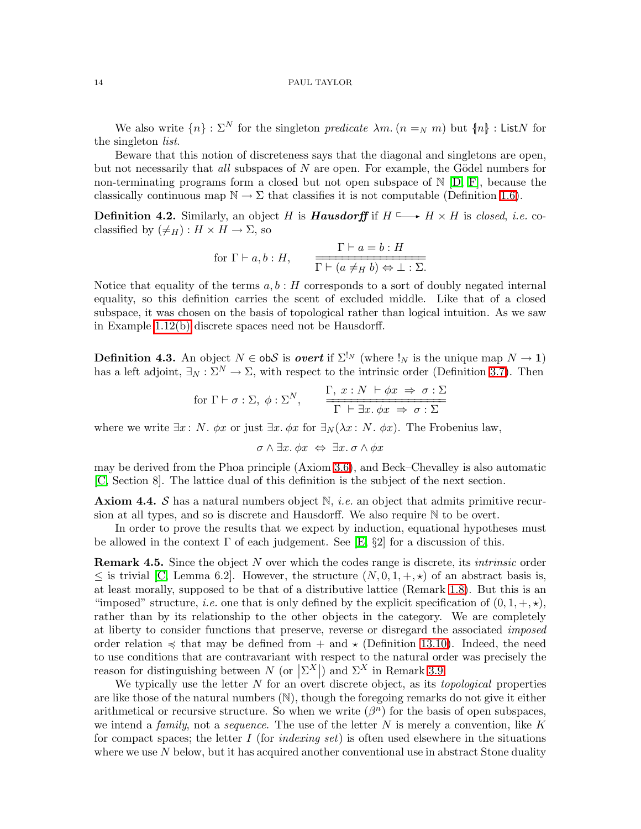We also write  $\{n\}$ :  $\Sigma^N$  for the singleton *predicate*  $\lambda m$ .  $(n =_N m)$  but  $\{n\}$ : ListN for the singleton *list*.

Beware that this notion of discreteness says that the diagonal and singletons are open, but not necessarily that *all* subspaces of N are open. For example, the Gödel numbers for non-terminating programs form a closed but not open subspace of  $\mathbb{N}$  [\[D,](#page-69-4) [F\]](#page-69-5), because the classically continuous map  $\mathbb{N} \to \Sigma$  that classifies it is not computable (Definition [1.6\)](#page-3-1).

<span id="page-13-1"></span>**Definition 4.2.** Similarly, an object H is **Hausdorff** if  $H \longrightarrow H \times H$  is *closed, i.e.* coclassified by  $(\neq_H) : H \times H \to \Sigma$ , so

for 
$$
\Gamma \vdash a, b : H
$$
,  $\frac{\Gamma \vdash a = b : H}{\Gamma \vdash (a \neq_H b) \Leftrightarrow \bot : \Sigma}$ .

Notice that equality of the terms  $a, b : H$  corresponds to a sort of doubly negated internal equality, so this definition carries the scent of excluded middle. Like that of a closed subspace, it was chosen on the basis of topological rather than logical intuition. As we saw in Example [1.12\(b\)](#page-5-3) discrete spaces need not be Hausdorff.

<span id="page-13-0"></span>**Definition 4.3.** An object  $N \in \text{obS}$  is *overt* if  $\Sigma^{\mathbb{I}_N}$  (where  $\mathbb{I}_N$  is the unique map  $N \to \mathbf{1}$ ) has a left adjoint,  $\exists_N : \Sigma^N \to \Sigma$ , with respect to the intrinsic order (Definition [3.7\)](#page-11-0). Then

$$
\text{for } \Gamma \vdash \sigma : \Sigma, \ \phi : \Sigma^N, \qquad \frac{\Gamma, \ x : N \vdash \phi x \Rightarrow \sigma : \Sigma}{\Gamma \vdash \exists x. \ \phi x \Rightarrow \sigma : \Sigma}
$$

where we write  $\exists x : N$ .  $\phi x$  or just  $\exists x \cdot \phi x$  for  $\exists_N (\lambda x : N \cdot \phi x)$ . The Frobenius law,

$$
\sigma \wedge \exists x. \phi x \Leftrightarrow \exists x. \sigma \wedge \phi x
$$

may be derived from the Phoa principle (Axiom [3.6\)](#page-11-1), and Beck–Chevalley is also automatic [\[C,](#page-68-2) Section 8]. The lattice dual of this definition is the subject of the next section.

<span id="page-13-2"></span>Axiom 4.4. S has a natural numbers object N, *i.e.* an object that admits primitive recursion at all types, and so is discrete and Hausdorff. We also require N to be overt.

In order to prove the results that we expect by induction, equational hypotheses must be allowed in the context  $\Gamma$  of each judgement. See [\[E,](#page-69-1) §2] for a discussion of this.

<span id="page-13-3"></span>Remark 4.5. Since the object N over which the codes range is discrete, its *intrinsic* order  $\leq$  is trivial [\[C,](#page-68-2) Lemma 6.2]. However, the structure  $(N, 0, 1, +, \star)$  of an abstract basis is, at least morally, supposed to be that of a distributive lattice (Remark [1.8\)](#page-4-0). But this is an "imposed" structure, *i.e.* one that is only defined by the explicit specification of  $(0, 1, +, \star)$ , rather than by its relationship to the other objects in the category. We are completely at liberty to consider functions that preserve, reverse or disregard the associated *imposed* order relation  $\preccurlyeq$  that may be defined from  $+$  and  $\star$  (Definition [13.10\)](#page-52-0). Indeed, the need to use conditions that are contravariant with respect to the natural order was precisely the reason for distinguishing between  $N$  (or  $|\Sigma^X|$ ) and  $\Sigma^X$  in Remark [3.9.](#page-11-2)

We typically use the letter N for an overt discrete object, as its *topological* properties are like those of the natural numbers  $(N)$ , though the foregoing remarks do not give it either arithmetical or recursive structure. So when we write  $(\beta^n)$  for the basis of open subspaces, we intend a *family*, not a *sequence*. The use of the letter N is merely a convention, like K for compact spaces; the letter I (for *indexing set*) is often used elsewhere in the situations where we use  $N$  below, but it has acquired another conventional use in abstract Stone duality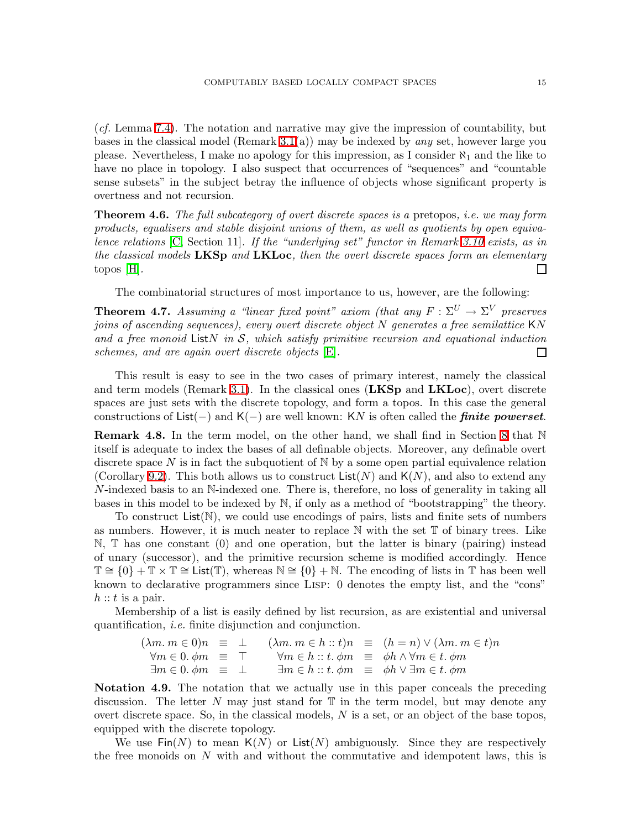(*cf.* Lemma [7.4\)](#page-28-0). The notation and narrative may give the impression of countability, but bases in the classical model (Remark [3.1\(](#page-8-1)a)) may be indexed by *any* set, however large you please. Nevertheless, I make no apology for this impression, as I consider  $\aleph_1$  and the like to have no place in topology. I also suspect that occurrences of "sequences" and "countable sense subsets" in the subject betray the influence of objects whose significant property is overtness and not recursion.

Theorem 4.6. *The full subcategory of overt discrete spaces is a* pretopos*, i.e. we may form products, equalisers and stable disjoint unions of them, as well as quotients by open equivalence relations* [\[C,](#page-68-2) Section 11]*. If the "underlying set" functor in Remark [3.10](#page-11-3) exists, as in the classical models* LKSp *and* LKLoc*, then the overt discrete spaces form an elementary* topos [\[H\]](#page-69-2)*.*  $\Box$ 

The combinatorial structures of most importance to us, however, are the following:

<span id="page-14-0"></span>**Theorem 4.7.** Assuming a "linear fixed point" axiom (that any  $F : \Sigma^U \to \Sigma^V$  preserves *joins of ascending sequences), every overt discrete object* N *generates a free semilattice* KN *and a free monoid* ListN *in* S*, which satisfy primitive recursion and equational induction schemes, and are again overt discrete objects* [\[E\]](#page-69-1)*.*  $\Box$ 

This result is easy to see in the two cases of primary interest, namely the classical and term models (Remark [3.1\)](#page-8-1). In the classical ones  $(LKSp)$  and  $LKLoc$ ), overt discrete spaces are just sets with the discrete topology, and form a topos. In this case the general constructions of List(−) and K(−) are well known: KN is often called the **finite powerset**.

<span id="page-14-1"></span>**Remark 4.8.** In the term model, on the other hand, we shall find in Section [8](#page-33-0) that  $\mathbb N$ itself is adequate to index the bases of all definable objects. Moreover, any definable overt discrete space N is in fact the subquotient of  $\mathbb N$  by a some open partial equivalence relation (Corollary [9.2\)](#page-37-1). This both allows us to construct  $List(N)$  and  $K(N)$ , and also to extend any N-indexed basis to an N-indexed one. There is, therefore, no loss of generality in taking all bases in this model to be indexed by N, if only as a method of "bootstrapping" the theory.

To construct  $List(N)$ , we could use encodings of pairs, lists and finite sets of numbers as numbers. However, it is much neater to replace  $\mathbb N$  with the set  $\mathbb T$  of binary trees. Like N, T has one constant (0) and one operation, but the latter is binary (pairing) instead of unary (successor), and the primitive recursion scheme is modified accordingly. Hence  $\mathbb{T} \cong \{0\} + \mathbb{T} \times \mathbb{T} \cong$  List( $\mathbb{T}$ ), whereas  $\mathbb{N} \cong \{0\} + \mathbb{N}$ . The encoding of lists in T has been well known to declarative programmers since Lisp: 0 denotes the empty list, and the "cons"  $h :: t$  is a pair.

Membership of a list is easily defined by list recursion, as are existential and universal quantification, *i.e.* finite disjunction and conjunction.

$$
(\lambda m. m \in 0)n \equiv \bot \quad (\lambda m. m \in h :: t)n \equiv (h = n) \lor (\lambda m. m \in t)n
$$
  
\n
$$
\forall m \in 0. \phi m \equiv \top \quad \forall m \in h :: t. \phi m \equiv \phi h \land \forall m \in t. \phi m
$$
  
\n
$$
\exists m \in 0. \phi m \equiv \bot \quad \exists m \in h :: t. \phi m \equiv \phi h \lor \exists m \in t. \phi m
$$

<span id="page-14-2"></span>Notation 4.9. The notation that we actually use in this paper conceals the preceding discussion. The letter N may just stand for  $\mathbb T$  in the term model, but may denote any overt discrete space. So, in the classical models,  $N$  is a set, or an object of the base topos, equipped with the discrete topology.

We use  $\text{Fin}(N)$  to mean  $\mathsf{K}(N)$  or  $\text{List}(N)$  ambiguously. Since they are respectively the free monoids on  $N$  with and without the commutative and idempotent laws, this is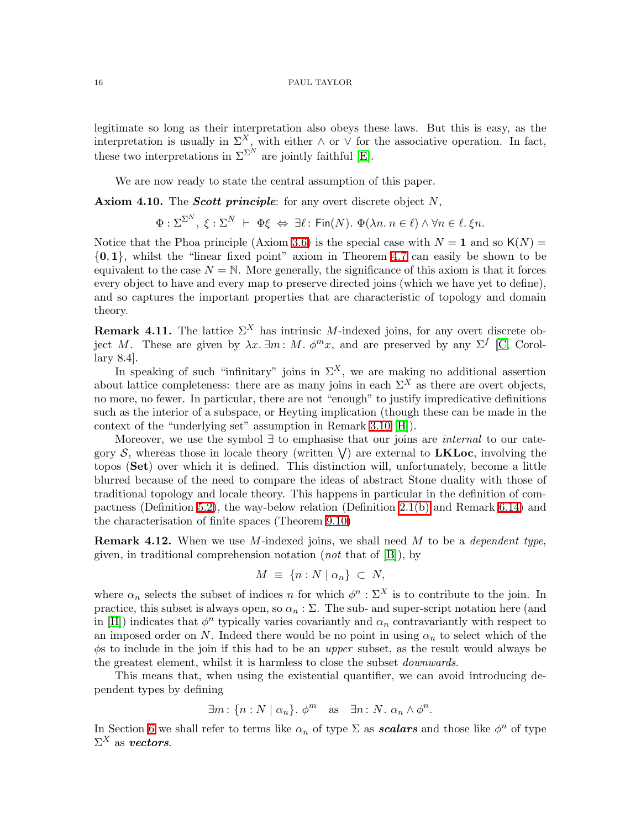legitimate so long as their interpretation also obeys these laws. But this is easy, as the interpretation is usually in  $\Sigma^X$ , with either  $\wedge$  or  $\vee$  for the associative operation. In fact, these two interpretations in  $\Sigma^{\Sigma^{N}}$  are jointly faithful [\[E\]](#page-69-1).

We are now ready to state the central assumption of this paper.

<span id="page-15-1"></span>Axiom 4.10. The *Scott principle*: for any overt discrete object  $N$ ,

$$
\Phi : \Sigma^{\Sigma^N}, \ \xi : \Sigma^N \ \vdash \ \Phi \xi \ \Leftrightarrow \ \exists \ell \colon \text{Fin}(N). \ \Phi(\lambda n. \ n \in \ell) \ \land \ \forall n \in \ell. \ \xi n.
$$

Notice that the Phoa principle (Axiom [3.6\)](#page-11-1) is the special case with  $N = 1$  and so  $K(N) =$  $\{0, 1\}$ , whilst the "linear fixed point" axiom in Theorem [4.7](#page-14-0) can easily be shown to be equivalent to the case  $N = N$ . More generally, the significance of this axiom is that it forces every object to have and every map to preserve directed joins (which we have yet to define), and so captures the important properties that are characteristic of topology and domain theory.

<span id="page-15-2"></span>**Remark 4.11.** The lattice  $\Sigma^X$  has intrinsic M-indexed joins, for any overt discrete object M. These are given by  $\lambda x. \exists m : M. \phi^m x$ , and are preserved by any  $\Sigma^f$  [\[C,](#page-68-2) Corollary 8.4].

In speaking of such "infinitary" joins in  $\Sigma^X$ , we are making no additional assertion about lattice completeness: there are as many joins in each  $\Sigma^X$  as there are overt objects, no more, no fewer. In particular, there are not "enough" to justify impredicative definitions such as the interior of a subspace, or Heyting implication (though these can be made in the context of the "underlying set" assumption in Remark [3.10](#page-11-3) [\[H\]](#page-69-2)).

Moreover, we use the symbol ∃ to emphasise that our joins are *internal* to our category S, whereas those in locale theory (written  $\vee$ ) are external to LKLoc, involving the topos (Set) over which it is defined. This distinction will, unfortunately, become a little blurred because of the need to compare the ideas of abstract Stone duality with those of traditional topology and locale theory. This happens in particular in the definition of compactness (Definition [5.2\)](#page-18-0), the way-below relation (Definition [2.1\(b\)](#page-6-3) and Remark [6.14\)](#page-26-2) and the characterisation of finite spaces (Theorem [9.10\)](#page-39-1)

<span id="page-15-3"></span>Remark 4.12. When we use M-indexed joins, we shall need M to be a *dependent type*, given, in traditional comprehension notation (*not* that of [\[B\]](#page-68-0)), by

$$
M \equiv \{ n : N \mid \alpha_n \} \subset N,
$$

where  $\alpha_n$  selects the subset of indices n for which  $\phi^n : \Sigma^X$  is to contribute to the join. In practice, this subset is always open, so  $\alpha_n : \Sigma$ . The sub- and super-script notation here (and in [\[H\]](#page-69-2)) indicates that  $\phi^n$  typically varies covariantly and  $\alpha_n$  contravariantly with respect to an imposed order on N. Indeed there would be no point in using  $\alpha_n$  to select which of the φs to include in the join if this had to be an *upper* subset, as the result would always be the greatest element, whilst it is harmless to close the subset *downwards*.

This means that, when using the existential quantifier, we can avoid introducing dependent types by defining

$$
\exists m: \{n: N \mid \alpha_n\}. \phi^m \quad \text{as} \quad \exists n: N. \ \alpha_n \wedge \phi^n.
$$

<span id="page-15-0"></span>In Section [6](#page-22-0) we shall refer to terms like  $\alpha_n$  of type  $\Sigma$  as **scalars** and those like  $\phi^n$  of type  $\Sigma^X$  as vectors.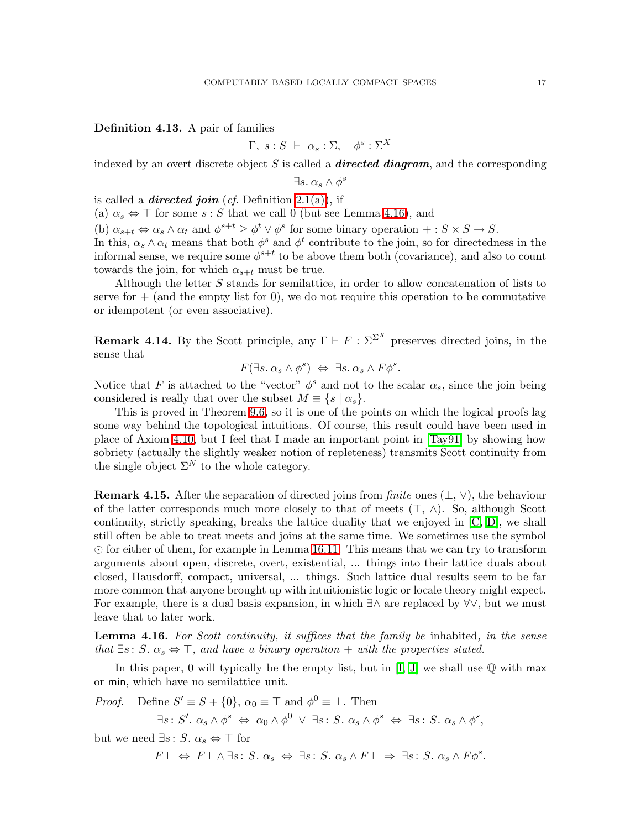Definition 4.13. A pair of families

$$
\Gamma, s : S \ \vdash \ \alpha_s : \Sigma, \quad \phi^s : \Sigma^X
$$

indexed by an overt discrete object S is called a **directed diagram**, and the corresponding

$$
\exists s.\ \alpha_s \wedge \phi^s
$$

is called a **directed join** (*cf.* Definition [2.1\(a\)\)](#page-6-4), if

(a)  $\alpha_s \Leftrightarrow \top$  for some  $s : S$  that we call 0 (but see Lemma [4.16\)](#page-16-0), and

(b)  $\alpha_{s+t} \Leftrightarrow \alpha_s \wedge \alpha_t$  and  $\phi^{s+t} \geq \phi^t \vee \phi^s$  for some binary operation  $+: S \times S \to S$ .

In this,  $\alpha_s \wedge \alpha_t$  means that both  $\phi^s$  and  $\phi^t$  contribute to the join, so for directedness in the informal sense, we require some  $\phi^{s+t}$  to be above them both (covariance), and also to count towards the join, for which  $\alpha_{s+t}$  must be true.

Although the letter S stands for semilattice, in order to allow concatenation of lists to serve for  $+$  (and the empty list for 0), we do not require this operation to be commutative or idempotent (or even associative).

<span id="page-16-1"></span>**Remark 4.14.** By the Scott principle, any  $\Gamma \vdash F : \Sigma^{\Sigma^X}$  preserves directed joins, in the sense that

$$
F(\exists s. \alpha_s \wedge \phi^s) \Leftrightarrow \exists s. \alpha_s \wedge F\phi^s.
$$

Notice that F is attached to the "vector"  $\phi^s$  and not to the scalar  $\alpha_s$ , since the join being considered is really that over the subset  $M \equiv \{s \mid \alpha_s\}.$ 

This is proved in Theorem [9.6,](#page-38-0) so it is one of the points on which the logical proofs lag some way behind the topological intuitions. Of course, this result could have been used in place of Axiom [4.10,](#page-15-1) but I feel that I made an important point in [\[Tay91\]](#page-68-12) by showing how sobriety (actually the slightly weaker notion of repleteness) transmits Scott continuity from the single object  $\Sigma^N$  to the whole category.

<span id="page-16-2"></span>**Remark 4.15.** After the separation of directed joins from *finite* ones  $(\perp, \vee)$ , the behaviour of the latter corresponds much more closely to that of meets  $(\top, \wedge)$ . So, although Scott continuity, strictly speaking, breaks the lattice duality that we enjoyed in [\[C,](#page-68-2) [D\]](#page-69-4), we shall still often be able to treat meets and joins at the same time. We sometimes use the symbol ⊙ for either of them, for example in Lemma [16.11.](#page-61-0) This means that we can try to transform arguments about open, discrete, overt, existential, ... things into their lattice duals about closed, Hausdorff, compact, universal, ... things. Such lattice dual results seem to be far more common that anyone brought up with intuitionistic logic or locale theory might expect. For example, there is a dual basis expansion, in which ∃∧ are replaced by ∀∨, but we must leave that to later work.

<span id="page-16-0"></span>Lemma 4.16. *For Scott continuity, it suffices that the family be* inhabited*, in the sense that*  $\exists s : S \, \alpha_s \Leftrightarrow \top$ , and have a binary operation + with the properties stated.

In this paper, 0 will typically be the empty list, but in  $[I, J]$  $[I, J]$  we shall use  $\mathbb Q$  with max or min, which have no semilattice unit.

*Proof.* Define  $S' \equiv S + \{0\}$ ,  $\alpha_0 \equiv \top$  and  $\phi^0 \equiv \bot$ . Then

 $\exists s : S'. \ \alpha_s \wedge \phi^s \Leftrightarrow \ \alpha_0 \wedge \phi^0 \ \vee \ \exists s : S. \ \alpha_s \wedge \phi^s \Leftrightarrow \ \exists s : S. \ \alpha_s \wedge \phi^s,$ 

but we need  $\exists s : S \cdot \alpha_s \Leftrightarrow \top$  for

 $F\bot \Leftrightarrow F\bot \wedge \exists s : S. \ \alpha_s \Leftrightarrow \exists s : S. \ \alpha_s \wedge F\bot \Rightarrow \exists s : S. \ \alpha_s \wedge F\phi^s.$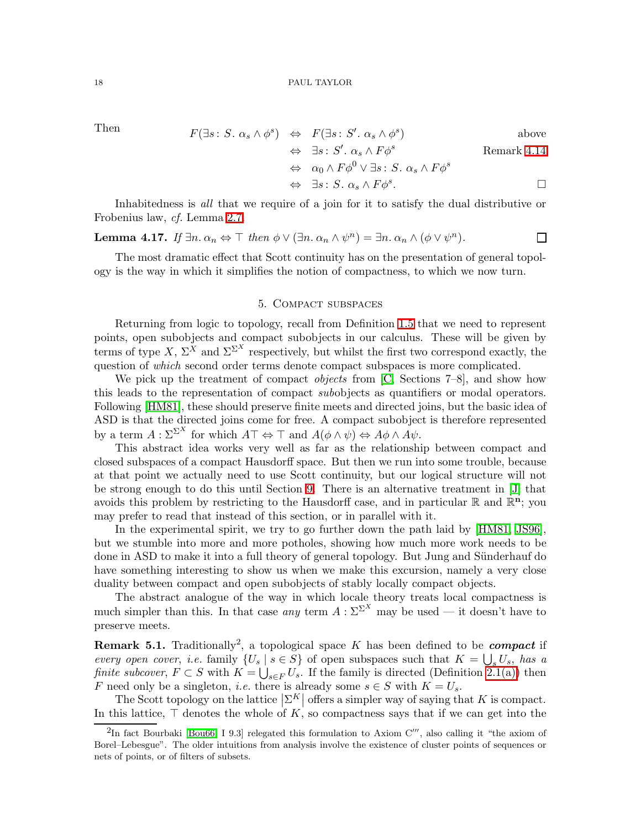Then 
$$
F(\exists s: S. \alpha_s \wedge \phi^s) \Leftrightarrow F(\exists s: S'. \alpha_s \wedge \phi^s)
$$
 above

$$
\Leftrightarrow \exists s: S'. \ \alpha_s \land F\phi^s
$$
 Remark 4.14  

$$
\Leftrightarrow \alpha_0 \land F\phi^0 \lor \exists s: S. \ \alpha_s \land F\phi^s
$$

$$
\Leftrightarrow \exists s: S. \; \alpha_s \wedge F\phi^s. \Box
$$

<span id="page-17-1"></span>Inhabitedness is *all* that we require of a join for it to satisfy the dual distributive or Frobenius law, *cf.* Lemma [2.7.](#page-7-0)

**Lemma 4.17.** If 
$$
\exists n. \alpha_n \Leftrightarrow \top
$$
 then  $\phi \lor (\exists n. \alpha_n \land \psi^n) = \exists n. \alpha_n \land (\phi \lor \psi^n)$ .

The most dramatic effect that Scott continuity has on the presentation of general topology is the way in which it simplifies the notion of compactness, to which we now turn.

# 5. Compact subspaces

<span id="page-17-0"></span>Returning from logic to topology, recall from Definition [1.5](#page-3-0) that we need to represent points, open subobjects and compact subobjects in our calculus. These will be given by terms of type X,  $\Sigma^X$  and  $\Sigma^{\Sigma^X}$  respectively, but whilst the first two correspond exactly, the question of *which* second order terms denote compact subspaces is more complicated.

We pick up the treatment of compact *objects* from [\[C,](#page-68-2) Sections 7–8], and show how this leads to the representation of compact *sub*objects as quantifiers or modal operators. Following [\[HM81\]](#page-68-3), these should preserve finite meets and directed joins, but the basic idea of ASD is that the directed joins come for free. A compact subobject is therefore represented by a term  $A: \Sigma^{\Sigma^X}$  for which  $A\top \Leftrightarrow \top$  and  $A(\phi \wedge \psi) \Leftrightarrow A\phi \wedge A\psi$ .

This abstract idea works very well as far as the relationship between compact and closed subspaces of a compact Hausdorff space. But then we run into some trouble, because at that point we actually need to use Scott continuity, but our logical structure will not be strong enough to do this until Section [9.](#page-37-0) There is an alternative treatment in [\[J\]](#page-69-6) that avoids this problem by restricting to the Hausdorff case, and in particular  $\mathbb{R}$  and  $\mathbb{R}^n$ ; you may prefer to read that instead of this section, or in parallel with it.

In the experimental spirit, we try to go further down the path laid by [\[HM81,](#page-68-3) [JS96\]](#page-68-4), but we stumble into more and more potholes, showing how much more work needs to be done in ASD to make it into a full theory of general topology. But Jung and Sünderhauf do have something interesting to show us when we make this excursion, namely a very close duality between compact and open subobjects of stably locally compact objects.

The abstract analogue of the way in which locale theory treats local compactness is much simpler than this. In that case *any* term  $A : \Sigma^{\Sigma^X}$  may be used — it doesn't have to preserve meets.

**Remark 5.1.** Traditionally<sup>2</sup>, a topological space K has been defined to be *compact* if *every open cover, i.e.* family  $\{U_s \mid s \in S\}$  of open subspaces such that  $K = \bigcup_s U_s$ , has a *finite subcover*,  $F \subset S$  with  $K = \bigcup_{s \in F} U_s$ . If the family is directed (Definition [2.1\(a\)\)](#page-6-4) then F need only be a singleton, *i.e.* there is already some  $s \in S$  with  $K = U_s$ .

The Scott topology on the lattice  $\left|\sum^K\right|$  offers a simpler way of saying that K is compact. In this lattice,  $\top$  denotes the whole of K, so compactness says that if we can get into the

<sup>&</sup>lt;sup>2</sup>In fact Bourbaki [\[Bou66,](#page-67-4) I 9.3] relegated this formulation to Axiom C''', also calling it "the axiom of Borel–Lebesgue". The older intuitions from analysis involve the existence of cluster points of sequences or nets of points, or of filters of subsets.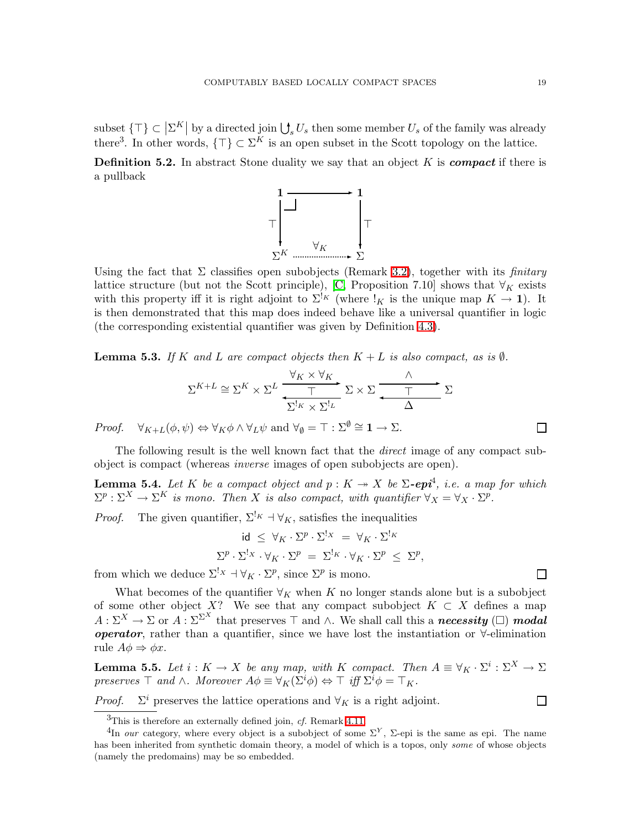subset  $\{\top\} \subset \left|\Sigma^K\right|$  by a directed join  $\bigcup_s U_s$  then some member  $U_s$  of the family was already there<sup>3</sup>. In other words,  $\{\top\} \subset \Sigma^K$  is an open subset in the Scott topology on the lattice.

<span id="page-18-0"></span>**Definition 5.2.** In abstract Stone duality we say that an object K is *compact* if there is a pullback



Using the fact that  $\Sigma$  classifies open subobjects (Remark [3.2\)](#page-9-1), together with its *finitary* lattice structure (but not the Scott principle), [\[C,](#page-68-2) Proposition 7.10] shows that  $\forall_K$  exists with this property iff it is right adjoint to  $\Sigma^{k}$  (where  $k \to 1$ ). It is then demonstrated that this map does indeed behave like a universal quantifier in logic (the corresponding existential quantifier was given by Definition [4.3\)](#page-13-0).

<span id="page-18-1"></span>**Lemma 5.3.** *If* K and L are compact objects then  $K + L$  *is also compact, as is*  $\emptyset$ *.* 

$$
\Sigma^{K+L} \cong \Sigma^{K} \times \Sigma^{L} \xrightarrow{\forall_K \times \forall_K} \Sigma \times \Sigma \xrightarrow{\wedge} \Sigma
$$

*Proof.*  $\forall_{K+L}(\phi, \psi) \Leftrightarrow \forall_K \phi \wedge \forall_L \psi \text{ and } \forall_{\phi} = \top : \Sigma^{\phi} \cong \mathbf{1} \rightarrow \Sigma.$ 

<span id="page-18-2"></span>The following result is the well known fact that the *direct* image of any compact subobject is compact (whereas *inverse* images of open subobjects are open).

**Lemma 5.4.** Let K be a compact object and  $p: K \rightarrow X$  be  $\Sigma$ -epi<sup>4</sup>, i.e. a map for which  $\Sigma^p : \Sigma^X \to \Sigma^K$  *is mono. Then* X *is also compact, with quantifier*  $\forall_X = \forall_X \cdot \Sigma^p$ .

*Proof.* The given quantifier,  $\Sigma^{k}$  +  $\forall K$ , satisfies the inequalities

$$
\mathrm{id} \leq \forall_K \cdot \Sigma^p \cdot \Sigma^{!_X} = \forall_K \cdot \Sigma^{!_K}
$$

$$
\Sigma^p \cdot \Sigma^{!_X} \cdot \forall_K \cdot \Sigma^p = \Sigma^{!_K} \cdot \forall_K \cdot \Sigma^p \leq \Sigma^p
$$

,

from which we deduce  $\Sigma^! x \dashv \forall K \cdot \Sigma^p$ , since  $\Sigma^p$  is mono.

What becomes of the quantifier  $\forall_K$  when K no longer stands alone but is a subobject of some other object X? We see that any compact subobject  $K \subset X$  defines a map  $A: \Sigma^X \to \Sigma$  or  $A: \Sigma^{\Sigma^X}$  that preserves  $\top$  and  $\wedge$ . We shall call this a **necessity** ( $\square$ ) **modal operator**, rather than a quantifier, since we have lost the instantiation or  $\forall$ -elimination rule  $A\phi \Rightarrow \phi x$ .

<span id="page-18-3"></span>**Lemma 5.5.** Let  $i: K \to X$  be any map, with K compact. Then  $A \equiv \forall_K \cdot \Sigma^i: \Sigma^X \to \Sigma$ *preserves*  $\top$  *and*  $\wedge$ *. Moreover*  $A\phi \equiv \forall_K(\Sigma^i \phi) \Leftrightarrow \top$  *iff*  $\Sigma^i \phi = \top_K$ *.* 

 $Proof.$  $\Sigma^i$  preserves the lattice operations and  $\forall K$  is a right adjoint. П

 $\Box$ 

<sup>3</sup>This is therefore an externally defined join, *cf.* Remark [4.11.](#page-15-2)

<sup>&</sup>lt;sup>4</sup>In *our* category, where every object is a subobject of some  $\Sigma^Y$ , Σ-epi is the same as epi. The name has been inherited from synthetic domain theory, a model of which is a topos, only *some* of whose objects (namely the predomains) may be so embedded.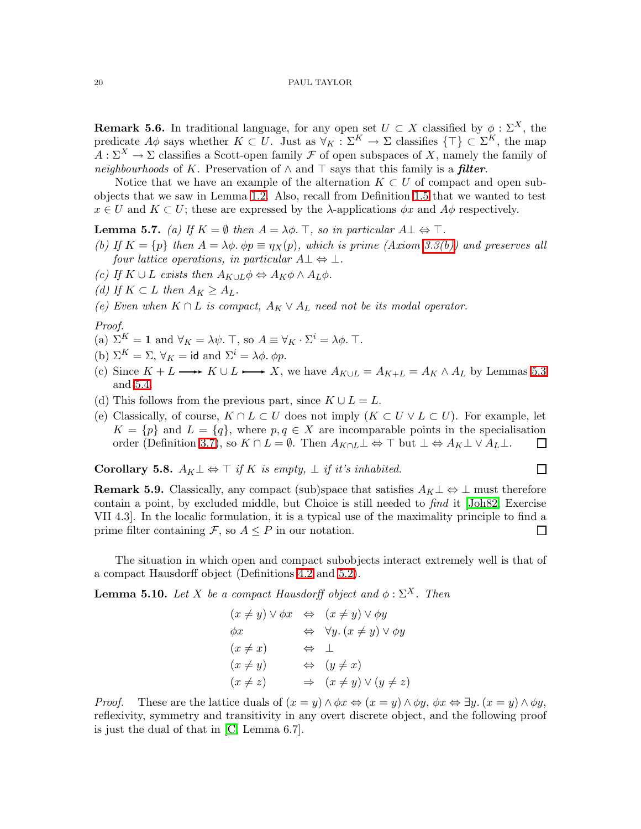<span id="page-19-0"></span>**Remark 5.6.** In traditional language, for any open set  $U \subset X$  classified by  $\phi : \Sigma^X$ , the predicate  $A\phi$  says whether  $K\subset U$ . Just as  $\forall_K:\Sigma^K\to\Sigma$  classifies  $\{\top\}\subset\Sigma^K$ , the map  $A: \Sigma^X \to \Sigma$  classifies a Scott-open family F of open subspaces of X, namely the family of *neighbourhoods* of K. Preservation of  $\land$  and  $\top$  says that this family is a *filter*.

Notice that we have an example of the alternation  $K \subset U$  of compact and open subobjects that we saw in Lemma [1.2.](#page-2-2) Also, recall from Definition [1.5](#page-3-0) that we wanted to test  $x \in U$  and  $K \subset U$ ; these are expressed by the  $\lambda$ -applications  $\phi x$  and  $A\phi$  respectively.

**Lemma 5.7.** *(a)* If  $K = \emptyset$  *then*  $A = \lambda \phi$ . *⊤, so in particular*  $A \perp \Leftrightarrow \top$ *.* 

- *(b)* If  $K = \{p\}$  then  $A = \lambda \phi$ ,  $\phi p \equiv \eta_X(p)$ , which is prime (Axiom [3.3\(b\)\)](#page-9-2) and preserves all *four lattice operations, in particular*  $A \perp \Leftrightarrow \perp$ *.*
- <span id="page-19-1"></span>*(c)* If  $K \cup L$  *exists then*  $A_{K \cup L} \phi \Leftrightarrow A_K \phi \wedge A_L \phi$ *.*
- <span id="page-19-3"></span>*(d)* If  $K \subset L$  *then*  $A_K \geq A_L$ *.*

*(e)* Even when  $K ∩ L$  *is compact,*  $A_K ∨ A_L$  *need not be its modal operator.* 

*Proof.*

- (a)  $\Sigma^K = \mathbf{1}$  and  $\forall_K = \lambda \psi$ . T, so  $A \equiv \forall_K \cdot \Sigma^i = \lambda \phi$ . T.
- (b)  $\Sigma^K = \Sigma$ ,  $\forall_K = id$  and  $\Sigma^i = \lambda \phi$ .  $\phi p$ .
- (c) Since  $K + L \longrightarrow K \cup L \longrightarrow X$ , we have  $A_{K \cup L} = A_{K+L} = A_{K} \wedge A_{L}$  by Lemmas [5.3](#page-18-1) and [5.4.](#page-18-2)
- (d) This follows from the previous part, since  $K \cup L = L$ .
- (e) Classically, of course,  $K \cap L \subset U$  does not imply  $(K \subset U \vee L \subset U)$ . For example, let  $K = \{p\}$  and  $L = \{q\}$ , where  $p, q \in X$  are incomparable points in the specialisation order (Definition [3.7\)](#page-11-0), so  $K \cap L = \emptyset$ . Then  $A_{K \cap L} \perp \Leftrightarrow \top$  but  $\perp \Leftrightarrow A_K \perp \vee A_L \perp$ .  $\Box$

 $\Box$ 

<span id="page-19-2"></span>Corollary 5.8.  $A_K ⊥ ⊕ ⊤$  *if* K *is empty*,  $⊥$  *if it's inhabited.* 

**Remark 5.9.** Classically, any compact (sub)space that satisfies  $A_K \perp \Leftrightarrow \perp$  must therefore contain a point, by excluded middle, but Choice is still needed to *find* it [\[Joh82,](#page-68-13) Exercise VII 4.3]. In the localic formulation, it is a typical use of the maximality principle to find a prime filter containing  $\mathcal{F}$ , so  $A \leq P$  in our notation.  $\Box$ 

The situation in which open and compact subobjects interact extremely well is that of a compact Hausdorff object (Definitions [4.2](#page-13-1) and [5.2\)](#page-18-0).

**Lemma 5.10.** *Let* X *be a compact Hausdorff object and*  $\phi$  :  $\Sigma^X$ *. Then* 

$$
(x \neq y) \lor \phi x \iff (x \neq y) \lor \phi y
$$
  
\n
$$
\phi x \iff \forall y. (x \neq y) \lor \phi y
$$
  
\n
$$
(x \neq x) \iff \bot
$$
  
\n
$$
(x \neq y) \iff (y \neq x)
$$
  
\n
$$
(x \neq z) \Rightarrow (x \neq y) \lor (y \neq z)
$$

*Proof.* These are the lattice duals of  $(x = y) \land \phi x \Leftrightarrow (x = y) \land \phi y$ ,  $\phi x \Leftrightarrow \exists y \ldotp (x = y) \land \phi y$ , reflexivity, symmetry and transitivity in any overt discrete object, and the following proof is just the dual of that in [\[C,](#page-68-2) Lemma 6.7].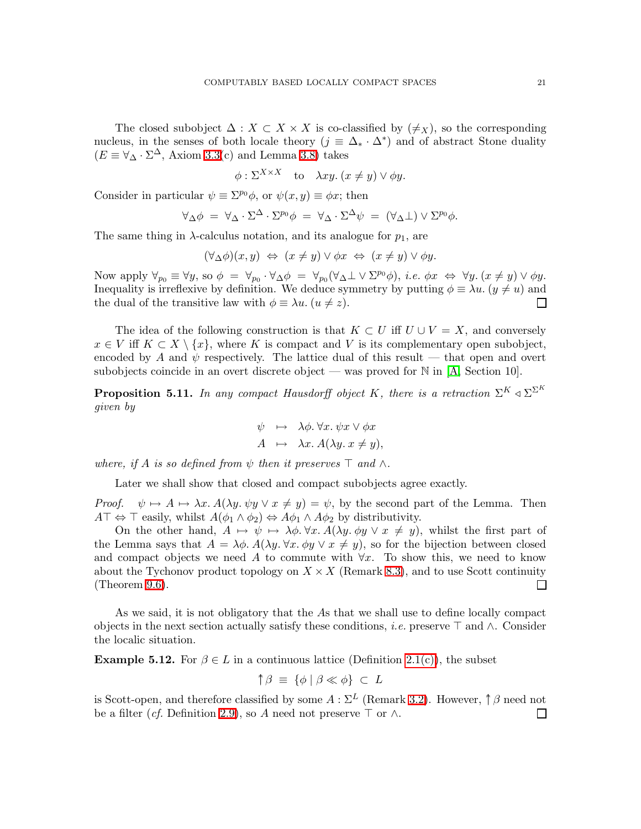The closed subobject  $\Delta: X \subset X \times X$  is co-classified by  $(\neq_X)$ , so the corresponding nucleus, in the senses of both locale theory  $(j \equiv \Delta_* \cdot \Delta^*)$  and of abstract Stone duality  $(E \equiv \forall_{\Delta} \cdot \Sigma^{\Delta}$ , Axiom [3.3\(](#page-9-3)c) and Lemma [3.8\)](#page-11-4) takes

$$
\phi : \Sigma^{X \times X}
$$
 to  $\lambda xy. (x \neq y) \vee \phi y$ .

Consider in particular  $\psi \equiv \Sigma^{p_0} \phi$ , or  $\psi(x, y) \equiv \phi x$ ; then

$$
\forall_{\Delta}\phi = \forall_{\Delta}\cdot\Sigma^{\Delta}\cdot\Sigma^{p_0}\phi = \forall_{\Delta}\cdot\Sigma^{\Delta}\psi = (\forall_{\Delta}\bot)\vee\Sigma^{p_0}\phi.
$$

The same thing in  $\lambda$ -calculus notation, and its analogue for  $p_1$ , are

 $(\forall_{\Delta}\phi)(x,y) \Leftrightarrow (x \neq y) \vee \phi x \Leftrightarrow (x \neq y) \vee \phi y.$ 

Now apply  $\forall_{p_0} \equiv \forall y$ , so  $\phi = \forall_{p_0} \cdot \forall_{\Delta} \phi = \forall_{p_0} (\forall_{\Delta} \bot \vee \Sigma^{p_0} \phi)$ , *i.e.*  $\phi x \Leftrightarrow \forall y \cdot (x \neq y) \vee \phi y$ . Inequality is irreflexive by definition. We deduce symmetry by putting  $\phi \equiv \lambda u$ .  $(y \neq u)$  and the dual of the transitive law with  $\phi \equiv \lambda u$ .  $(u \neq z)$ .  $\Box$ 

The idea of the following construction is that  $K \subset U$  iff  $U \cup V = X$ , and conversely  $x \in V$  iff  $K \subset X \setminus \{x\}$ , where K is compact and V is its complementary open subobject, encoded by A and  $\psi$  respectively. The lattice dual of this result — that open and overt subobjects coincide in an overt discrete object — was proved for  $\mathbb N$  in [\[A,](#page-68-1) Section 10].

<span id="page-20-1"></span>**Proposition 5.11.** In any compact Hausdorff object K, there is a retraction  $\Sigma^K \triangleleft \Sigma^{S^K}$ *given by*

$$
\psi \mapsto \lambda \phi. \forall x. \psi x \lor \phi x A \mapsto \lambda x. A(\lambda y. x \neq y),
$$

*where, if* A *is so defined from*  $\psi$  *then it preserves*  $\top$  *and*  $\wedge$ *.* 

Later we shall show that closed and compact subobjects agree exactly.

*Proof.*  $\psi \mapsto A \mapsto \lambda x. A(\lambda y. \psi y \vee x \neq y) = \psi$ , by the second part of the Lemma. Then  $A\top \Leftrightarrow \top$  easily, whilst  $A(\phi_1 \wedge \phi_2) \Leftrightarrow A\phi_1 \wedge A\phi_2$  by distributivity.

On the other hand,  $A \mapsto \psi \mapsto \lambda \phi$ .  $\forall x$ .  $A(\lambda y \phi y \lor x \neq y)$ , whilst the first part of the Lemma says that  $A = \lambda \phi$ .  $A(\lambda y \cdot \forall x \cdot \phi y \vee x \neq y)$ , so for the bijection between closed and compact objects we need A to commute with  $\forall x$ . To show this, we need to know about the Tychonov product topology on  $X \times X$  (Remark [8.3\)](#page-34-0), and to use Scott continuity (Theorem [9.6\)](#page-38-0). П

As we said, it is not obligatory that the As that we shall use to define locally compact objects in the next section actually satisfy these conditions, *i.e.* preserve ⊤ and ∧. Consider the localic situation.

<span id="page-20-0"></span>**Example 5.12.** For  $\beta \in L$  in a continuous lattice (Definition [2.1\(c\)\)](#page-6-2), the subset

$$
\uparrow \beta \equiv \{\phi \mid \beta \ll \phi\} \subset L
$$

is Scott-open, and therefore classified by some  $A : \Sigma^L$  (Remark [3.2\)](#page-9-1). However,  $\uparrow \beta$  need not be a filter (*cf.* Definition [2.9\)](#page-7-1), so A need not preserve  $\top$  or  $\wedge$ .  $\Box$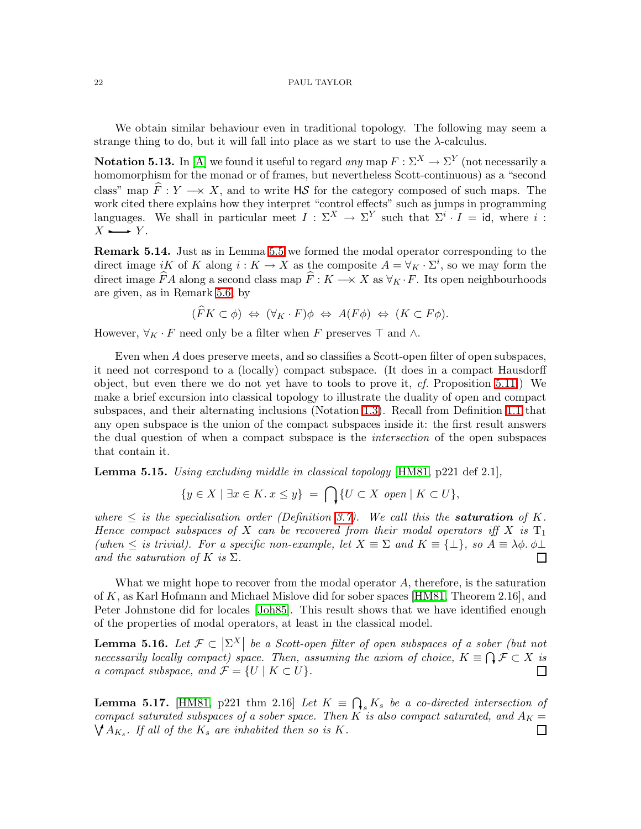<span id="page-21-1"></span>We obtain similar behaviour even in traditional topology. The following may seem a strange thing to do, but it will fall into place as we start to use the  $\lambda$ -calculus.

**Notation 5.13.** In [\[A\]](#page-68-1) we found it useful to regard *any* map  $F : \Sigma^X \to \Sigma^Y$  (not necessarily a homomorphism for the monad or of frames, but nevertheless Scott-continuous) as a "second class" map  $\hat{F}: Y \longrightarrow X$ , and to write HS for the category composed of such maps. The work cited there explains how they interpret "control effects" such as jumps in programming languages. We shall in particular meet  $I : \Sigma^X \to \Sigma^Y$  such that  $\Sigma^i \cdot I = id$ , where i:  $X \rightarrow Y$ .

<span id="page-21-2"></span>Remark 5.14. Just as in Lemma [5.5](#page-18-3) we formed the modal operator corresponding to the direct image iK of K along  $i: K \to X$  as the composite  $A = \forall_K \cdot \Sigma^i$ , so we may form the direct image  $\widehat{F}A$  along a second class map  $\widehat{F}: K \longrightarrow X$  as  $\forall K \cdot F$ . Its open neighbourhoods are given, as in Remark [5.6,](#page-19-0) by

$$
(\widehat{F}K \subset \phi) \Leftrightarrow (\forall_K \cdot F)\phi \Leftrightarrow A(F\phi) \Leftrightarrow (K \subset F\phi).
$$

However,  $\forall_K \cdot F$  need only be a filter when F preserves  $\top$  and  $\wedge$ .

Even when A does preserve meets, and so classifies a Scott-open filter of open subspaces, it need not correspond to a (locally) compact subspace. (It does in a compact Hausdorff object, but even there we do not yet have to tools to prove it, *cf.* Proposition [5.11.](#page-20-1)) We make a brief excursion into classical topology to illustrate the duality of open and compact subspaces, and their alternating inclusions (Notation [1.3\)](#page-2-4). Recall from Definition [1.1](#page-2-3) that any open subspace is the union of the compact subspaces inside it: the first result answers the dual question of when a compact subspace is the *intersection* of the open subspaces that contain it.

<span id="page-21-3"></span>Lemma 5.15. *Using excluding middle in classical topology* [\[HM81,](#page-68-3) p221 def 2.1]*,*

$$
\{y \in X \mid \exists x \in K. x \le y\} = \bigcap \{U \subset X \text{ open} \mid K \subset U\},\
$$

where  $\leq$  *is the specialisation order (Definition [3.7\)](#page-11-0). We call this the saturation of K. Hence compact subspaces of* X *can be recovered from their modal operators iff* X *is*  $T_1$ (when  $\leq$  *is trivial). For a specific non-example, let*  $X \equiv \Sigma$  *and*  $K \equiv \{\perp\}$ *, so*  $A \equiv \lambda \phi$ *.*  $\phi \perp$ *and the saturation of*  $K$  *is*  $\Sigma$ *.*  $\Box$ 

What we might hope to recover from the modal operator A, therefore, is the saturation of K, as Karl Hofmann and Michael Mislove did for sober spaces [\[HM81,](#page-68-3) Theorem 2.16], and Peter Johnstone did for locales [\[Joh85\]](#page-68-14). This result shows that we have identified enough of the properties of modal operators, at least in the classical model.

<span id="page-21-0"></span>**Lemma 5.16.** Let  $\mathcal{F} \subset \left| \Sigma^X \right|$  be a Scott-open filter of open subspaces of a sober (but not *necessarily locally compact) space. Then, assuming the axiom of choice,*  $K \equiv \bigcap \mathcal{F} \subset X$  is *a compact subspace, and*  $\mathcal{F} = \{U \mid K \subset U\}.$  $\Box$ 

<span id="page-21-4"></span>**Lemma 5.17.** [\[HM81,](#page-68-3) p221 thm 2.16] *Let*  $K = \bigcap_{s} K_s$  *be a co-directed intersection of compact saturated subspaces of a sober space. Then* K *is also compact saturated, and*  $A_K = \bigvee A_{K_s}$ . If all of the  $K_s$  are inhabited then so is K.  $\mathcal{M}_{K_s}$ . If all of the  $K_s$  are inhabited then so is  $K_s$ .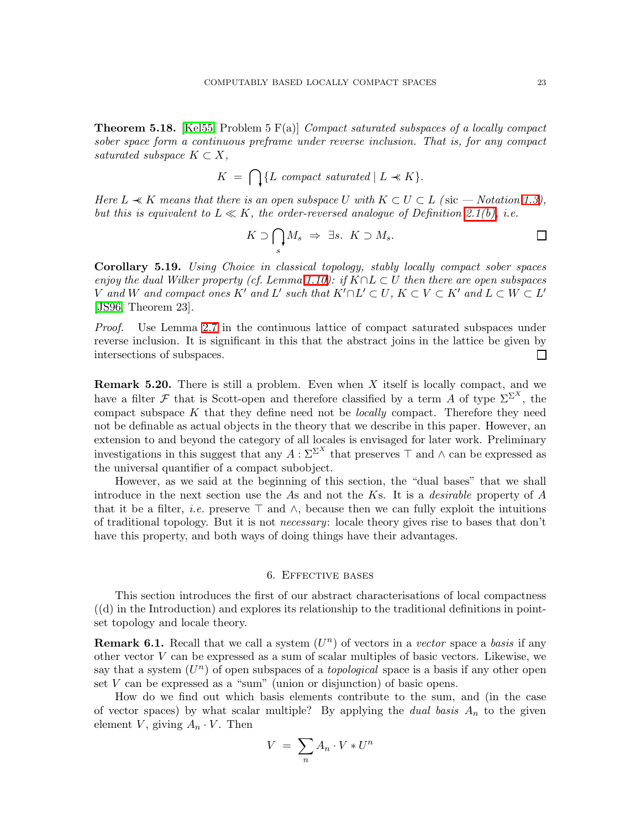<span id="page-22-1"></span>Theorem 5.18. [\[Kel55,](#page-68-6) Problem 5 F(a)] *Compact saturated subspaces of a locally compact sober space form a continuous preframe under reverse inclusion. That is, for any compact saturated subspace*  $K \subset X$ ,

$$
K = \bigcap \{ L \text{ compact saturated} \mid L \ll K \}.
$$

*Here*  $L \ll K$  *means that there is an open subspace* U *with*  $K \subset U \subset L$  *(sic — Notation [1.3\)](#page-2-4), but this is equivalent to*  $L \ll K$ , the order-reversed analogue of Definition [2.1\(b\),](#page-6-3) *i.e.* 

$$
K \supset \bigcap_s M_s \Rightarrow \exists s. \ K \supset M_s.
$$

<span id="page-22-2"></span>Corollary 5.19. *Using Choice in classical topology, stably locally compact sober spaces enjoy the dual Wilker property (cf. Lemma [1.10\)](#page-5-1): if* K∩L ⊂ U *then there are open subspaces* V and W and compact ones K' and L' such that  $K' \cap L' \subset U$ ,  $K \subset V \subset K'$  and  $L \subset W \subset L'$ [\[JS96,](#page-68-4) Theorem 23]*.*

*Proof.* Use Lemma [2.7](#page-7-0) in the continuous lattice of compact saturated subspaces under reverse inclusion. It is significant in this that the abstract joins in the lattice be given by intersections of subspaces.  $\Box$ 

**Remark 5.20.** There is still a problem. Even when  $X$  itself is locally compact, and we have a filter F that is Scott-open and therefore classified by a term A of type  $\sum^{\infty}$ , the compact subspace K that they define need not be *locally* compact. Therefore they need not be definable as actual objects in the theory that we describe in this paper. However, an extension to and beyond the category of all locales is envisaged for later work. Preliminary investigations in this suggest that any  $A: \Sigma^{\Sigma^X}$  that preserves  $\top$  and  $\wedge$  can be expressed as the universal quantifier of a compact subobject.

However, as we said at the beginning of this section, the "dual bases" that we shall introduce in the next section use the As and not the Ks. It is a *desirable* property of A that it be a filter, *i.e.* preserve  $\top$  and  $\wedge$ , because then we can fully exploit the intuitions of traditional topology. But it is not *necessary*: locale theory gives rise to bases that don't have this property, and both ways of doing things have their advantages.

# 6. Effective bases

<span id="page-22-0"></span>This section introduces the first of our abstract characterisations of local compactness  $((d)$  in the Introduction) and explores its relationship to the traditional definitions in pointset topology and locale theory.

**Remark 6.1.** Recall that we call a system  $(U<sup>n</sup>)$  of vectors in a *vector* space a *basis* if any other vector  $V$  can be expressed as a sum of scalar multiples of basic vectors. Likewise, we say that a system  $(U<sup>n</sup>)$  of open subspaces of a *topological* space is a basis if any other open set  $V$  can be expressed as a "sum" (union or disjunction) of basic opens.

How do we find out which basis elements contribute to the sum, and (in the case of vector spaces) by what scalar multiple? By applying the *dual basis*  $A_n$  to the given element V, giving  $A_n \cdot V$ . Then

$$
V = \sum_{n} A_n \cdot V * U^n
$$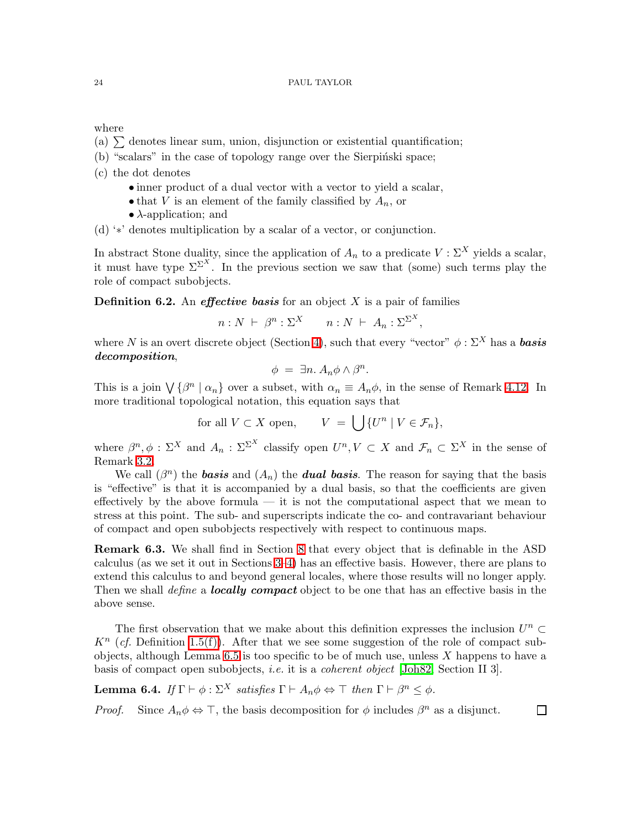where

- (a)  $\Sigma$  denotes linear sum, union, disjunction or existential quantification;
- $(b)$  "scalars" in the case of topology range over the Sierpinski space;
- (c) the dot denotes
	- inner product of a dual vector with a vector to yield a scalar,
	- that V is an element of the family classified by  $A_n$ , or
	- $\lambda$ -application; and

(d) '∗' denotes multiplication by a scalar of a vector, or conjunction.

In abstract Stone duality, since the application of  $A_n$  to a predicate  $V : \Sigma^X$  yields a scalar, it must have type  $\Sigma^{\Sigma^{X}}$ . In the previous section we saw that (some) such terms play the role of compact subobjects.

<span id="page-23-2"></span>**Definition 6.2.** An *effective basis* for an object  $X$  is a pair of families

$$
n: N \ \vdash \ \beta^n: \Sigma^X \qquad n: N \ \vdash \ A_n: \Sigma^{\Sigma^X},
$$

where N is an overt discrete object (Section [4\)](#page-12-0), such that every "vector"  $\phi : \Sigma^X$  has a **basis** decomposition,

$$
\phi = \exists n. A_n \phi \wedge \beta^n.
$$

This is a join  $\bigvee \{\beta^n \mid \alpha_n\}$  over a subset, with  $\alpha_n \equiv A_n \phi$ , in the sense of Remark [4.12.](#page-15-3) In more traditional topological notation, this equation says that

for all 
$$
V \subset X
$$
 open,  $V = \bigcup \{U^n | V \in \mathcal{F}_n\},\$ 

where  $\beta^n, \phi : \Sigma^X$  and  $A_n : \Sigma^{\Sigma^X}$  classify open  $U^n, V \subset X$  and  $\mathcal{F}_n \subset \Sigma^X$  in the sense of Remark [3.2.](#page-9-1)

We call  $(\beta^n)$  the **basis** and  $(A_n)$  the **dual basis**. The reason for saying that the basis is "effective" is that it is accompanied by a dual basis, so that the coefficients are given effectively by the above formula — it is not the computational aspect that we mean to stress at this point. The sub- and superscripts indicate the co- and contravariant behaviour of compact and open subobjects respectively with respect to continuous maps.

<span id="page-23-1"></span>Remark 6.3. We shall find in Section [8](#page-33-0) that every object that is definable in the ASD calculus (as we set it out in Sections [3–](#page-8-0)[4\)](#page-12-0) has an effective basis. However, there are plans to extend this calculus to and beyond general locales, where those results will no longer apply. Then we shall *define* a *locally compact* object to be one that has an effective basis in the above sense.

The first observation that we make about this definition expresses the inclusion  $U^n \subset$  $K<sup>n</sup>$  (*cf.* Definition [1.5\(f\)\)](#page-3-2). After that we see some suggestion of the role of compact sub-objects, although Lemma [6.5](#page-24-0) is too specific to be of much use, unless  $X$  happens to have a basis of compact open subobjects, *i.e.* it is a *coherent object* [\[Joh82,](#page-68-13) Section II 3].

<span id="page-23-0"></span>Lemma 6.4. *If*  $\Gamma \vdash \phi : \Sigma^X$  *satisfies*  $\Gamma \vdash A_n \phi \Leftrightarrow \top$  *then*  $\Gamma \vdash \beta^n \leq \phi$ *.* 

*Proof.* Since  $A_n \phi \Leftrightarrow \top$ , the basis decomposition for  $\phi$  includes  $\beta^n$  as a disjunct.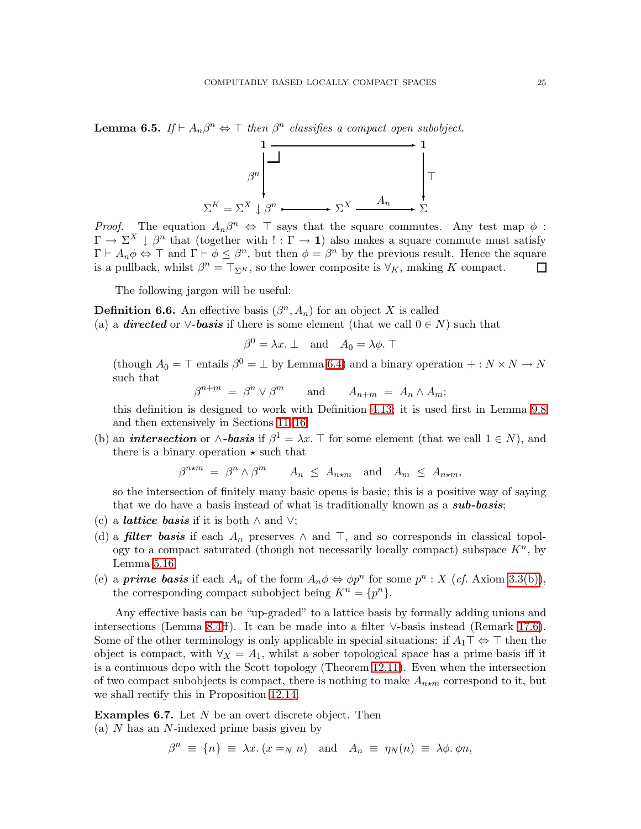<span id="page-24-0"></span>**Lemma 6.5.** *If*  $\vdash A_n\beta^n \Leftrightarrow \top$  *then*  $\beta^n$  *classifies a compact open subobject.* 



*Proof.* The equation  $A_n\beta^n \Leftrightarrow \top$  says that the square commutes. Any test map  $\phi$ :  $\Gamma \to \Sigma^X \downarrow \beta^n$  that (together with  $! : \Gamma \to \mathbf{1}$ ) also makes a square commute must satisfy  $\Gamma \vdash A_n \phi \Leftrightarrow \top$  and  $\Gamma \vdash \phi \leq \beta^n$ , but then  $\phi = \beta^n$  by the previous result. Hence the square is a pullback, whilst  $\beta^n = \top_{\Sigma^K}$ , so the lower composite is  $\forall_K$ , making K compact.  $\Box$ 

The following jargon will be useful:

<span id="page-24-3"></span>**Definition 6.6.** An effective basis  $(\beta^n, A_n)$  for an object X is called (a) a **directed** or  $\vee$ -**basis** if there is some element (that we call  $0 \in N$ ) such that

$$
\beta^0 = \lambda x. \perp \quad \text{and} \quad A_0 = \lambda \phi. \perp
$$

(though  $A_0 = \top$  entails  $\beta^0 = \bot$  by Lemma [6.4\)](#page-23-0) and a binary operation  $+: N \times N \to N$ such that

 $\beta^{n+m} = \beta^n \vee \beta^m$  and  $A_{n+m} = A_n \wedge A_m;$ 

this definition is designed to work with Definition [4.13;](#page-15-0) it is used first in Lemma [9.8](#page-39-2) and then extensively in Sections [11](#page-43-0)[–16;](#page-59-0)

(b) an *intersection* or  $\wedge$ -basis if  $\beta^1 = \lambda x$ . T for some element (that we call  $1 \in N$ ), and there is a binary operation  $\star$  such that

 $\beta^{n \star m} = \beta^n \wedge \beta^m \quad A_n \leq A_{n \star m}$  and  $A_m \leq A_{n \star m}$ ,

so the intersection of finitely many basic opens is basic; this is a positive way of saying that we do have a basis instead of what is traditionally known as a **sub-basis**;

- (c) a *lattice basis* if it is both  $\land$  and  $\lor$ ;
- (d) a *filter basis* if each  $A_n$  preserves  $\wedge$  and  $\top$ , and so corresponds in classical topology to a compact saturated (though not necessarily locally compact) subspace  $K<sup>n</sup>$ , by Lemma [5.16;](#page-21-0)
- (e) a **prime basis** if each  $A_n$  of the form  $A_n \phi \Leftrightarrow \phi p^n$  for some  $p^n : X$  (*cf.* Axiom [3.3\(b\)\)](#page-9-2), the corresponding compact subobject being  $K^n = \{p^n\}.$

Any effective basis can be "up-graded" to a lattice basis by formally adding unions and intersections (Lemma [8.4ff](#page-34-1)). It can be made into a filter ∨-basis instead (Remark [17.6\)](#page-65-0). Some of the other terminology is only applicable in special situations: if  $A_1 \top \Leftrightarrow \top$  then the object is compact, with  $\forall x = A_1$ , whilst a sober topological space has a prime basis iff it is a continuous dcpo with the Scott topology (Theorem [12.11\)](#page-49-1). Even when the intersection of two compact subobjects is compact, there is nothing to make  $A_{n \star m}$  correspond to it, but we shall rectify this in Proposition [12.14.](#page-50-1)

<span id="page-24-2"></span><span id="page-24-1"></span>**Examples 6.7.** Let  $N$  be an overt discrete object. Then (a) N has an N-indexed prime basis given by

 $\beta^n \equiv \{n\} \equiv \lambda x. (x =_N n) \text{ and } A_n \equiv \eta_N(n) \equiv \lambda \phi. \phi n,$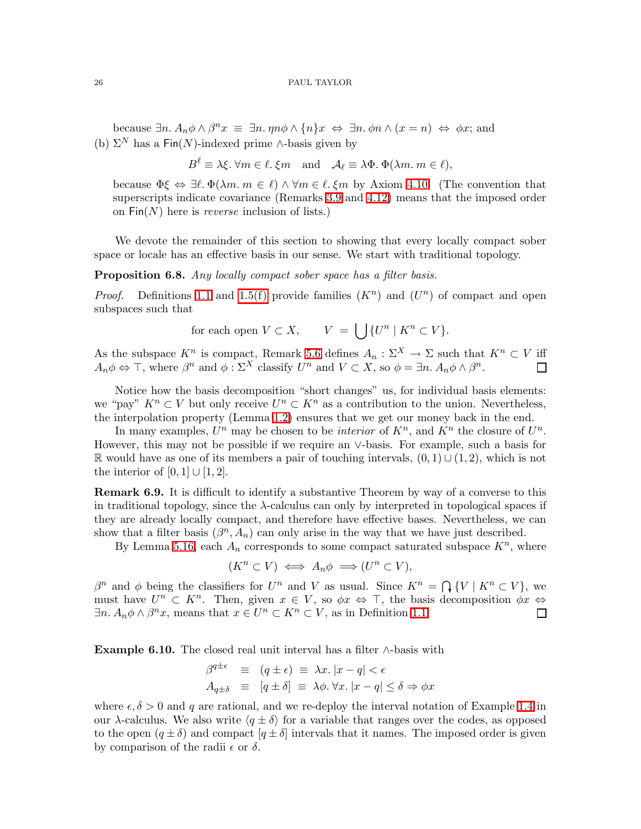<span id="page-25-1"></span>because  $\exists n. A_n \phi \wedge \beta^n x \equiv \exists n. \eta n \phi \wedge \{n\} x \Leftrightarrow \exists n. \phi n \wedge (x = n) \Leftrightarrow \phi x$ ; and (b)  $\Sigma^N$  has a Fin(N)-indexed prime ∧-basis given by

$$
B^{\ell} \equiv \lambda \xi. \,\forall m \in \ell. \,\xi m \quad \text{and} \quad \mathcal{A}_{\ell} \equiv \lambda \Phi. \,\Phi(\lambda m. \, m \in \ell),
$$

because  $\Phi \xi \Leftrightarrow \exists \ell, \Phi(\lambda m, m \in \ell) \wedge \forall m \in \ell, \xi m$  by Axiom [4.10.](#page-15-1) (The convention that superscripts indicate covariance (Remarks [3.9](#page-11-2) and [4.12\)](#page-15-3) means that the imposed order on Fin(N) here is *reverse* inclusion of lists.)

We devote the remainder of this section to showing that every locally compact sober space or locale has an effective basis in our sense. We start with traditional topology.

Proposition 6.8. *Any locally compact sober space has a filter basis.*

*Proof.* Definitions [1.1](#page-2-3) and [1.5\(f\)](#page-3-2) provide families  $(K<sup>n</sup>)$  and  $(U<sup>n</sup>)$  of compact and open subspaces such that

for each open 
$$
V \subset X
$$
,  $V = \bigcup \{U^n \mid K^n \subset V\}$ .

As the subspace  $K^n$  is compact, Remark [5.6](#page-19-0) defines  $A_n : \Sigma^X \to \Sigma$  such that  $K^n \subset V$  iff  $A_n \phi \Leftrightarrow \top$ , where  $\beta^n$  and  $\phi : \Sigma^X$  classify  $U^n$  and  $V \subset X$ , so  $\phi = \exists n. A_n \phi \wedge \beta^n$ . П

Notice how the basis decomposition "short changes" us, for individual basis elements: we "pay"  $K^n \subset V$  but only receive  $U^n \subset K^n$  as a contribution to the union. Nevertheless, the interpolation property (Lemma [1.2\)](#page-2-2) ensures that we get our money back in the end.

In many examples,  $U^n$  may be chosen to be *interior* of  $K^n$ , and  $K^n$  the closure of  $U^n$ . However, this may not be possible if we require an ∨-basis. For example, such a basis for R would have as one of its members a pair of touching intervals,  $(0, 1) \cup (1, 2)$ , which is not the interior of  $[0, 1] \cup [1, 2]$ .

Remark 6.9. It is difficult to identify a substantive Theorem by way of a converse to this in traditional topology, since the  $\lambda$ -calculus can only by interpreted in topological spaces if they are already locally compact, and therefore have effective bases. Nevertheless, we can show that a filter basis  $(\beta^n, A_n)$  can only arise in the way that we have just described.

By Lemma [5.16,](#page-21-0) each  $A_n$  corresponds to some compact saturated subspace  $K^n$ , where

$$
(K^n \subset V) \iff A_n \phi \implies (U^n \subset V),
$$

β<sup>n</sup> and φ being the classifiers for  $U^n$  and V as usual. Since  $K^n = \bigcap \{V \mid K^n \subset V\}$ , we must have  $U^n \subset K^n$ . Then, given  $x \in V$ , so  $\phi x \Leftrightarrow \top$ , the basis decomposition  $\phi x \Leftrightarrow$  $\exists n. A_n \phi \wedge \beta^n x$ , means that  $x \in U^n \subset K^n \subset V$ , as in Definition [1.1.](#page-2-3) П

<span id="page-25-0"></span>Example 6.10. The closed real unit interval has a filter  $\wedge$ -basis with

$$
\begin{array}{rcl}\n\beta^{q \pm \epsilon} & \equiv & (q \pm \epsilon) \equiv \lambda x. \, |x - q| < \epsilon \\
A_{q \pm \delta} & \equiv & [q \pm \delta] \equiv \lambda \phi. \, \forall x. \, |x - q| \le \delta \Rightarrow \phi x\n\end{array}
$$

where  $\epsilon, \delta > 0$  and q are rational, and we re-deploy the interval notation of Example [1.4](#page-2-1) in our λ-calculus. We also write  $\langle q \pm \delta \rangle$  for a variable that ranges over the codes, as opposed to the open  $(q \pm \delta)$  and compact  $(q \pm \delta)$  intervals that it names. The imposed order is given by comparison of the radii  $\epsilon$  or  $\delta$ .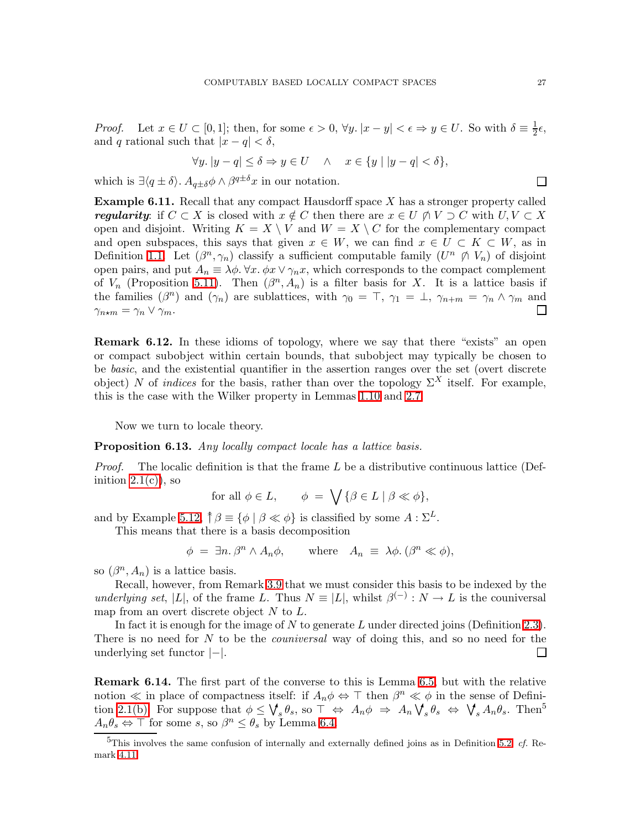*Proof.* Let  $x \in U \subset [0,1]$ ; then, for some  $\epsilon > 0$ ,  $\forall y \mid x - y \mid < \epsilon \Rightarrow y \in U$ . So with  $\delta \equiv \frac{1}{2}$  $rac{1}{2}\epsilon,$ and q rational such that  $|x - q| < \delta$ ,

$$
\forall y. \, |y - q| \le \delta \Rightarrow y \in U \quad \land \quad x \in \{y \mid |y - q| < \delta\},
$$

<span id="page-26-0"></span>which is  $\exists \langle q \pm \delta \rangle$ .  $A_{q\pm \delta} \phi \wedge \beta^{q\pm \delta} x$  in our notation.

**Example 6.11.** Recall that any compact Hausdorff space  $X$  has a stronger property called regularity: if  $C \subset X$  is closed with  $x \notin C$  then there are  $x \in U \ntriangle V \supset C$  with  $U, V \subset X$ open and disjoint. Writing  $K = X \setminus V$  and  $W = X \setminus C$  for the complementary compact and open subspaces, this says that given  $x \in W$ , we can find  $x \in U \subset K \subset W$ , as in Definition [1.1.](#page-2-3) Let  $(\beta^n, \gamma_n)$  classify a sufficient computable family  $(U^n \nrightarrow V_n)$  of disjoint open pairs, and put  $A_n \equiv \lambda \phi$ .  $\forall x. \phi x \vee \gamma_n x$ , which corresponds to the compact complement of  $V_n$  (Proposition [5.11\)](#page-20-1). Then  $(\beta^n, A_n)$  is a filter basis for X. It is a lattice basis if the families  $(\beta^n)$  and  $(\gamma_n)$  are sublattices, with  $\gamma_0 = \top$ ,  $\gamma_1 = \bot$ ,  $\gamma_{n+m} = \gamma_n \wedge \gamma_m$  and П  $\gamma_{n\star m} = \gamma_n \vee \gamma_m.$ 

Remark 6.12. In these idioms of topology, where we say that there "exists" an open or compact subobject within certain bounds, that subobject may typically be chosen to be *basic*, and the existential quantifier in the assertion ranges over the set (overt discrete object) N of *indices* for the basis, rather than over the topology  $\Sigma^X$  itself. For example, this is the case with the Wilker property in Lemmas [1.10](#page-5-1) and [2.7.](#page-7-0)

Now we turn to locale theory.

# <span id="page-26-1"></span>Proposition 6.13. *Any locally compact locale has a lattice basis.*

*Proof.* The localic definition is that the frame L be a distributive continuous lattice (Definition  $2.1(c)$ , so

for all  $\phi \in L$ ,  $\phi = \bigvee \{ \beta \in L \mid \beta \ll \phi \},\$ 

and by Example [5.12,](#page-20-0)  $\uparrow \beta \equiv {\phi \mid \beta \ll \phi}$  is classified by some  $A : \Sigma^L$ . This means that there is a basis decomposition

$$
\phi = \exists n. \beta^n \wedge A_n \phi, \quad \text{where} \quad A_n \equiv \lambda \phi. \ (\beta^n \ll \phi),
$$

so  $(\beta^n, A_n)$  is a lattice basis.

Recall, however, from Remark [3.9](#page-11-2) that we must consider this basis to be indexed by the *underlying set*, |L|, of the frame L. Thus  $N \equiv |L|$ , whilst  $\beta^{(-)} : N \to L$  is the couniversal map from an overt discrete object  $N$  to  $L$ .

In fact it is enough for the image of N to generate  $L$  under directed joins (Definition [2.3\)](#page-6-1). There is no need for N to be the *couniversal* way of doing this, and so no need for the underlying set functor |−|.  $\mathsf{I}$ 

<span id="page-26-2"></span>Remark 6.14. The first part of the converse to this is Lemma [6.5,](#page-24-0) but with the relative notion  $\ll$  in place of compactness itself: if  $A_n \phi \Leftrightarrow \top$  then  $\beta^n \ll \phi$  in the sense of Defini-tion [2.1\(b\).](#page-6-3) For suppose that  $\phi \leq \bigvee_s \theta_s$ , so  $\top \Leftrightarrow A_n \phi \Rightarrow A_n \bigvee_s \theta_s \Leftrightarrow \bigvee_s A_n \theta_s$ . Then<sup>5</sup>  $A_n \theta_s \Leftrightarrow \top$  for some s, so  $\beta^n \leq \theta_s$  by Lemma [6.4.](#page-23-0)

<sup>5</sup>This involves the same confusion of internally and externally defined joins as in Definition [5.2,](#page-18-0) *cf.* Remark [4.11.](#page-15-2)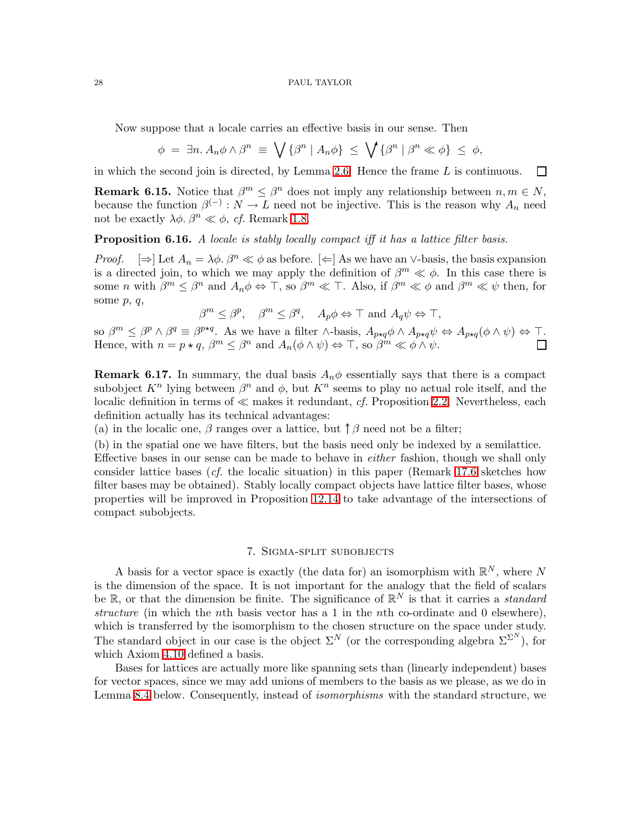Now suppose that a locale carries an effective basis in our sense. Then

$$
\phi = \exists n. A_n \phi \wedge \beta^n \equiv \bigvee \{\beta^n \mid A_n \phi\} \leq \bigvee \{\beta^n \mid \beta^n \ll \phi\} \leq \phi,
$$

<span id="page-27-3"></span>in which the second join is directed, by Lemma [2.6.](#page-7-2) Hence the frame  $L$  is continuous.  $\Box$ 

**Remark 6.15.** Notice that  $\beta^m \leq \beta^n$  does not imply any relationship between  $n, m \in N$ , because the function  $\beta^{(-)}: N \to L$  need not be injective. This is the reason why  $A_n$  need not be exactly  $\lambda \phi$ .  $\beta^n \ll \phi$ , *cf.* Remark [1.8.](#page-4-0)

<span id="page-27-2"></span>Proposition 6.16. *A locale is stably locally compact iff it has a lattice filter basis.*

*Proof.*  $[\Rightarrow]$  Let  $A_n = \lambda \phi$ .  $\beta^n \ll \phi$  as before.  $[\Leftarrow]$  As we have an ∨-basis, the basis expansion is a directed join, to which we may apply the definition of  $\beta^m \ll \phi$ . In this case there is some *n* with  $\beta^m \leq \beta^n$  and  $A_n \phi \Leftrightarrow \top$ , so  $\beta^m \ll \top$ . Also, if  $\beta^m \ll \phi$  and  $\beta^m \ll \psi$  then, for some  $p, q$ ,

 $\beta^m \leq \beta^p$ ,  $\beta^m \leq \beta^q$ ,  $A_p \phi \Leftrightarrow \top$  and  $A_q \psi \Leftrightarrow \top$ ,

so  $\beta^m \leq \beta^p \wedge \beta^q \equiv \beta^{p \star q}$ . As we have a filter  $\wedge$ -basis,  $A_{p \star q} \phi \wedge A_{p \star q} \psi \Leftrightarrow A_{p \star q} (\phi \wedge \psi) \Leftrightarrow \top$ . Hence, with  $n = p \star q$ ,  $\beta^m \leq \beta^n$  and  $A_n(\phi \wedge \psi) \Leftrightarrow \top$ , so  $\beta^m \ll \phi \wedge \psi$ .

<span id="page-27-1"></span>**Remark 6.17.** In summary, the dual basis  $A_n\phi$  essentially says that there is a compact subobject  $K^n$  lying between  $\beta^n$  and  $\phi$ , but  $K^n$  seems to play no actual role itself, and the localic definition in terms of ≪ makes it redundant, *cf.* Proposition [2.2.](#page-6-5) Nevertheless, each definition actually has its technical advantages:

(a) in the localic one,  $\beta$  ranges over a lattice, but  $\uparrow \beta$  need not be a filter;

(b) in the spatial one we have filters, but the basis need only be indexed by a semilattice. Effective bases in our sense can be made to behave in *either* fashion, though we shall only consider lattice bases (*cf.* the localic situation) in this paper (Remark [17.6](#page-65-0) sketches how filter bases may be obtained). Stably locally compact objects have lattice filter bases, whose properties will be improved in Proposition [12.14](#page-50-1) to take advantage of the intersections of compact subobjects.

# 7. Sigma-split subobjects

<span id="page-27-0"></span>A basis for a vector space is exactly (the data for) an isomorphism with  $\mathbb{R}^N$ , where N is the dimension of the space. It is not important for the analogy that the field of scalars be  $\mathbb{R}$ , or that the dimension be finite. The significance of  $\mathbb{R}^N$  is that it carries a *standard structure* (in which the nth basis vector has a 1 in the nth co-ordinate and 0 elsewhere), which is transferred by the isomorphism to the chosen structure on the space under study. The standard object in our case is the object  $\Sigma^N$  (or the corresponding algebra  $\Sigma^{\Sigma^N}$ ), for which Axiom [4.10](#page-15-1) defined a basis.

Bases for lattices are actually more like spanning sets than (linearly independent) bases for vector spaces, since we may add unions of members to the basis as we please, as we do in Lemma [8.4](#page-34-1) below. Consequently, instead of *isomorphisms* with the standard structure, we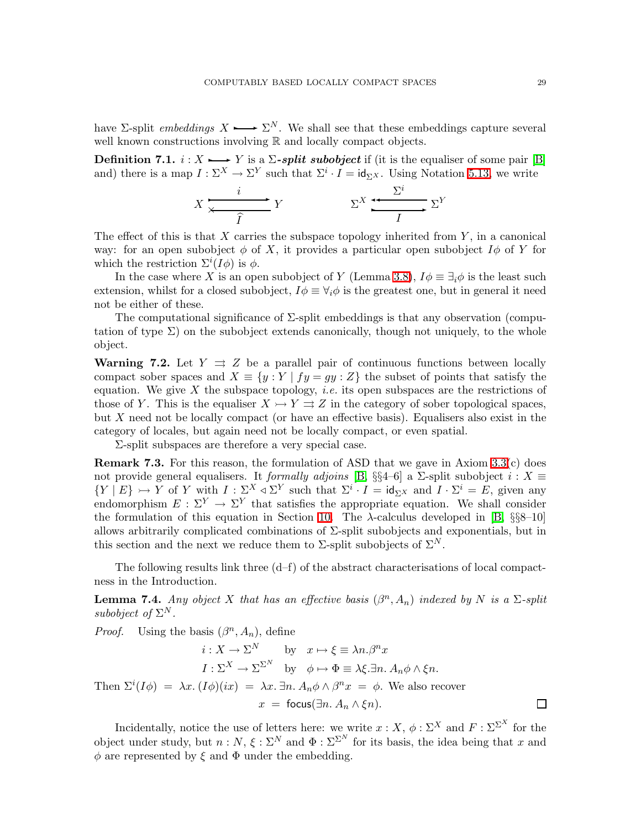have  $\Sigma$ -split *embeddings*  $X \longrightarrow \Sigma^N$ . We shall see that these embeddings capture several well known constructions involving  $\mathbb R$  and locally compact objects.

**Definition 7.1.**  $i: X \rightarrow Y$  is a  $\Sigma$ -split subobject if (it is the equaliser of some pair [\[B\]](#page-68-0) and) there is a map  $I: \Sigma^X \to \Sigma^Y$  such that  $\Sigma^i \cdot I = id_{\Sigma^X}$ . Using Notation [5.13,](#page-21-1) we write

$$
X \xrightarrow{\qquad i \qquad} Y \qquad \qquad \Sigma^X \xrightarrow{\Sigma^i} \Sigma^Y
$$

The effect of this is that  $X$  carries the subspace topology inherited from  $Y$ , in a canonical way: for an open subobject  $\phi$  of X, it provides a particular open subobject  $I\phi$  of Y for which the restriction  $\Sigma^{i}(I\phi)$  is  $\phi$ .

In the case where X is an open subobject of Y (Lemma [3.8\)](#page-11-4),  $I\phi \equiv \exists_i \phi$  is the least such extension, whilst for a closed subobject,  $I\phi \equiv \forall_i \phi$  is the greatest one, but in general it need not be either of these.

The computational significance of  $\Sigma$ -split embeddings is that any observation (computation of type  $\Sigma$ ) on the subobject extends canonically, though not uniquely, to the whole object.

**Warning 7.2.** Let  $Y \rightrightarrows Z$  be a parallel pair of continuous functions between locally compact sober spaces and  $X \equiv \{y : Y | fy = gy : Z\}$  the subset of points that satisfy the equation. We give  $X$  the subspace topology, *i.e.* its open subspaces are the restrictions of those of Y. This is the equaliser  $X \rightarrow Y \rightrightarrows Z$  in the category of sober topological spaces, but  $X$  need not be locally compact (or have an effective basis). Equalisers also exist in the category of locales, but again need not be locally compact, or even spatial.

Σ-split subspaces are therefore a very special case.

**Remark 7.3.** For this reason, the formulation of ASD that we gave in Axiom  $3.3(c)$  does not provide general equalisers. It *formally adjoins* [\[B,](#page-68-0) §§4–6] a  $\Sigma$ -split subobject  $i: X \equiv$  ${Y \mid E} \rightarrow Y$  of Y with  $I: \sum^{X} \triangleleft \Sigma^{Y}$  such that  $\Sigma^{i} \cdot I = id_{\Sigma^{X}}$  and  $I \cdot \Sigma^{i} = E$ , given any endomorphism  $E: \Sigma^Y \to \Sigma^Y$  that satisfies the appropriate equation. We shall consider the formulation of this equation in Section [10.](#page-40-0) The  $\lambda$ -calculus developed in [\[B,](#page-68-0) §§8–10] allows arbitrarily complicated combinations of  $\Sigma$ -split subobjects and exponentials, but in this section and the next we reduce them to  $\Sigma$ -split subobjects of  $\Sigma^N$ .

<span id="page-28-0"></span>The following results link three  $(d-f)$  of the abstract characterisations of local compactness in the Introduction.

**Lemma 7.4.** *Any object* X *that has an effective basis*  $(\beta^n, A_n)$  *indexed by* N *is a*  $\Sigma$ -split *subobject of*  $\Sigma^N$ .

*Proof.* Using the basis  $(\beta^n, A_n)$ , define

$$
i: X \to \Sigma^N \qquad \text{by} \quad x \mapsto \xi \equiv \lambda n.\beta^n x
$$

$$
I: \Sigma^X \to \Sigma^{\Sigma^N} \qquad \text{by} \quad \phi \mapsto \Phi \equiv \lambda \xi.\exists n. \ A_n \phi \wedge \xi n.
$$
Then  $\Sigma^i(I\phi) = \lambda x. (I\phi)(ix) = \lambda x. \exists n. \ A_n \phi \wedge \beta^n x = \phi.$  We also recover
$$
x = \text{focus}(\exists n. \ A_n \wedge \xi n).
$$

Incidentally, notice the use of letters here: we write  $x: X, \phi : \Sigma^X$  and  $F : \Sigma^{\Sigma^X}$  for the object under study, but  $n : N, \xi : \Sigma^N$  and  $\Phi : \Sigma^{\Sigma^N}$  for its basis, the idea being that x and  $\phi$  are represented by  $\xi$  and  $\Phi$  under the embedding.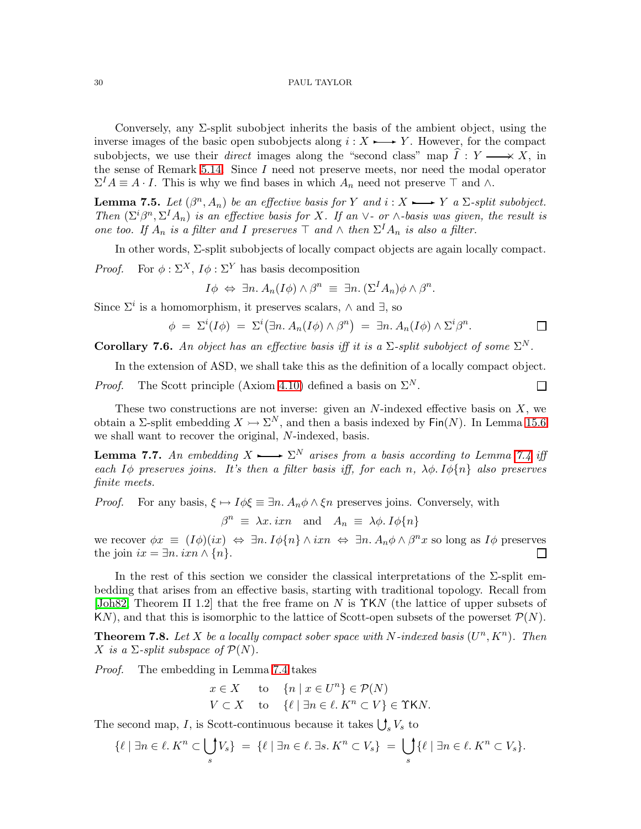Conversely, any  $\Sigma$ -split subobject inherits the basis of the ambient object, using the inverse images of the basic open subobjects along  $i: X \rightarrow Y$ . However, for the compact subobjects, we use their *direct* images along the "second class" map  $\hat{I}: Y \longrightarrow X$ , in the sense of Remark [5.14.](#page-21-2) Since  $I$  need not preserve meets, nor need the modal operator  $\Sigma^I A \equiv A \cdot I$ . This is why we find bases in which  $A_n$  need not preserve  $\top$  and  $\wedge$ .

<span id="page-29-1"></span>**Lemma 7.5.** Let  $(\beta^n, A_n)$  be an effective basis for Y and  $i : X \rightarrow Y$  a  $\Sigma$ -split subobject. *Then*  $(\Sigma^i \beta^n, \Sigma^I A_n)$  *is an effective basis for* X*. If an*  $\vee$ *- or*  $\wedge$ *-basis was given, the result is one too. If*  $A_n$  *is a filter and I preserves*  $\top$  *and*  $\wedge$  *then*  $\Sigma^I A_n$  *is also a filter.* 

In other words, Σ-split subobjects of locally compact objects are again locally compact.

*Proof.* For  $\phi : \Sigma^X$ ,  $I\phi : \Sigma^Y$  has basis decomposition

$$
I\phi \Leftrightarrow \exists n. A_n(I\phi) \wedge \beta^n \equiv \exists n. (\Sigma^I A_n)\phi \wedge \beta^n.
$$

Since  $\Sigma^i$  is a homomorphism, it preserves scalars,  $\wedge$  and  $\exists$ , so

$$
\phi = \Sigma^{i}(I\phi) = \Sigma^{i}(\exists n. A_n(I\phi) \wedge \beta^n) = \exists n. A_n(I\phi) \wedge \Sigma^{i} \beta^n.
$$

 $\Box$ 

Corollary 7.6. An object has an effective basis iff it is a  $\Sigma$ -split subobject of some  $\Sigma^N$ .

In the extension of ASD, we shall take this as the definition of a locally compact object.

*Proof.* The Scott principle (Axiom [4.10\)](#page-15-1) defined a basis on  $\Sigma^N$ .

These two constructions are not inverse: given an  $N$ -indexed effective basis on  $X$ , we obtain a  $\Sigma$ -split embedding  $X \rightarrowtail \Sigma^N$ , and then a basis indexed by Fin(N). In Lemma [15.6](#page-57-1) we shall want to recover the original, N-indexed, basis.

<span id="page-29-2"></span>**Lemma 7.7.** An embedding  $X \rightarrow \Sigma^N$  arises from a basis according to Lemma [7.4](#page-28-0) iff *each*  $I\phi$  *preserves joins.* It's then a filter basis iff, for each n,  $\lambda\phi$ .  $I\phi\{n\}$  also preserves *finite meets.*

*Proof.* For any basis,  $\xi \mapsto I\phi \xi \equiv \exists n. A_n \phi \wedge \xi n$  preserves joins. Conversely, with

 $\beta^n \equiv \lambda x \cdot i x n$  and  $A_n \equiv \lambda \phi \cdot I \phi \{n\}$ 

we recover  $\phi x \equiv (I\phi)(ix) \Leftrightarrow \exists n. I\phi\{n\} \wedge ixn \Leftrightarrow \exists n. A_n\phi \wedge \beta^n x$  so long as  $I\phi$  preserves the join  $ix = \exists n. i x n \wedge \{n\}.$  $\Box$ 

In the rest of this section we consider the classical interpretations of the Σ-split embedding that arises from an effective basis, starting with traditional topology. Recall from [\[Joh82,](#page-68-13) Theorem II 1.2] that the free frame on N is  $\Upsilon$ KN (the lattice of upper subsets of KN), and that this is isomorphic to the lattice of Scott-open subsets of the powerset  $\mathcal{P}(N)$ .

<span id="page-29-0"></span>**Theorem 7.8.** Let X be a locally compact sober space with N-indexed basis  $(U^n, K^n)$ . Then X is a  $\Sigma$ -split subspace of  $\mathcal{P}(N)$ .

*Proof.* The embedding in Lemma [7.4](#page-28-0) takes

$$
x \in X
$$
 to  $\{n \mid x \in U^n\} \in \mathcal{P}(N)$   
\n $V \subset X$  to  $\{\ell \mid \exists n \in \ell, K^n \subset V\} \in \Upsilon K N$ .

The second map, I, is Scott-continuous because it takes  $\bigcup_s V_s$  to

$$
\{\ell \mid \exists n \in \ell, K^n \subset \bigcup_s V_s \} = \{\ell \mid \exists n \in \ell, \exists s, K^n \subset V_s \} = \bigcup_s \{\ell \mid \exists n \in \ell, K^n \subset V_s \}.
$$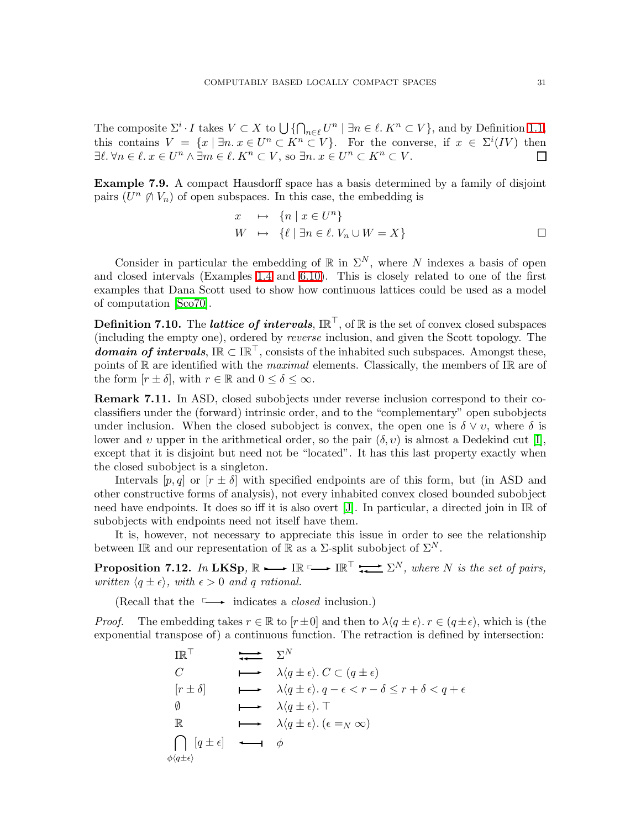The composite  $\Sigma^i \cdot I$  takes  $V \subset X$  to  $\bigcup \{ \bigcap_{n \in \ell} U^n \mid \exists n \in \ell \mid K^n \subset V \}$ , and by Definition [1.1,](#page-2-3) this contains  $V = \{x \mid \exists n. x \in U^n \subset K^n \subset V\}.$  For the converse, if  $x \in \Sigma^i(V)$  then  $\exists \ell. \forall n \in \ell. \ x \in U^n \land \exists m \in \ell. \ K^n \subset V, \text{ so } \exists n. \ x \in U^n \subset K^n \subset V.$ П

Example 7.9. A compact Hausdorff space has a basis determined by a family of disjoint pairs  $(U^n \ntriangle V_n)$  of open subspaces. In this case, the embedding is

$$
x \quad \mapsto \quad \{n \mid x \in U^n\}
$$
  

$$
W \quad \mapsto \quad \{\ell \mid \exists n \in \ell.\ V_n \cup W = X\}
$$

Consider in particular the embedding of  $\mathbb R$  in  $\Sigma^N$ , where N indexes a basis of open and closed intervals (Examples [1.4](#page-2-1) and [6.10\)](#page-25-0). This is closely related to one of the first examples that Dana Scott used to show how continuous lattices could be used as a model of computation [\[Sco70\]](#page-68-15).

<span id="page-30-0"></span>**Definition 7.10.** The *lattice of intervals*,  $\text{IR}^{\top}$ , of  $\text{R}$  is the set of convex closed subspaces (including the empty one), ordered by *reverse* inclusion, and given the Scott topology. The domain of intervals,  $\mathbb{IR} \subset \mathbb{IR}^{\top}$ , consists of the inhabited such subspaces. Amongst these, points of R are identified with the *maximal* elements. Classically, the members of IR are of the form  $[r \pm \delta]$ , with  $r \in \mathbb{R}$  and  $0 \leq \delta \leq \infty$ .

Remark 7.11. In ASD, closed subobjects under reverse inclusion correspond to their coclassifiers under the (forward) intrinsic order, and to the "complementary" open subobjects under inclusion. When the closed subobject is convex, the open one is  $\delta \vee v$ , where  $\delta$  is lower and v upper in the arithmetical order, so the pair  $(\delta, v)$  is almost a Dedekind cut [\[I\]](#page-69-3), except that it is disjoint but need not be "located". It has this last property exactly when the closed subobject is a singleton.

Intervals  $[p,q]$  or  $[r \pm \delta]$  with specified endpoints are of this form, but (in ASD and other constructive forms of analysis), not every inhabited convex closed bounded subobject need have endpoints. It does so iff it is also overt [\[J\]](#page-69-6). In particular, a directed join in IR of subobjects with endpoints need not itself have them.

It is, however, not necessary to appreciate this issue in order to see the relationship between IR and our representation of R as a  $\Sigma$ -split subobject of  $\Sigma^N$ .

<span id="page-30-1"></span>**Proposition 7.12.** *In* LKSp,  $\mathbb{R} \longrightarrow \mathbb{IR}^{\top} \longrightarrow \mathbb{IR}^{\top} \longrightarrow \mathbb{R}^N$ , where N is the set of pairs, *written*  $\langle q \pm \epsilon \rangle$ *, with*  $\epsilon > 0$  *and* q *rational.* 

(Recall that the  $\longrightarrow$  indicates a *closed* inclusion.)

*Proof.* The embedding takes  $r \in \mathbb{R}$  to  $[r \pm 0]$  and then to  $\lambda \langle q \pm \epsilon \rangle$ .  $r \in (q \pm \epsilon)$ , which is (the exponential transpose of) a continuous function. The retraction is defined by intersection:

$$
\begin{array}{ccc}\n\text{IR}^{\top} & & \sum N \\
C & & \lambda(q \pm \epsilon), C \subset (q \pm \epsilon) \\
[r \pm \delta] & & \lambda(q \pm \epsilon), q - \epsilon < r - \delta \le r + \delta < q + \epsilon \\
\emptyset & & \lambda(q \pm \epsilon), \top \\
\mathbb{R} & & \lambda(q \pm \epsilon), \top \\
\bigcap_{\phi(q \pm \epsilon)} [q \pm \epsilon] & \longleftrightarrow & \phi\n\end{array}
$$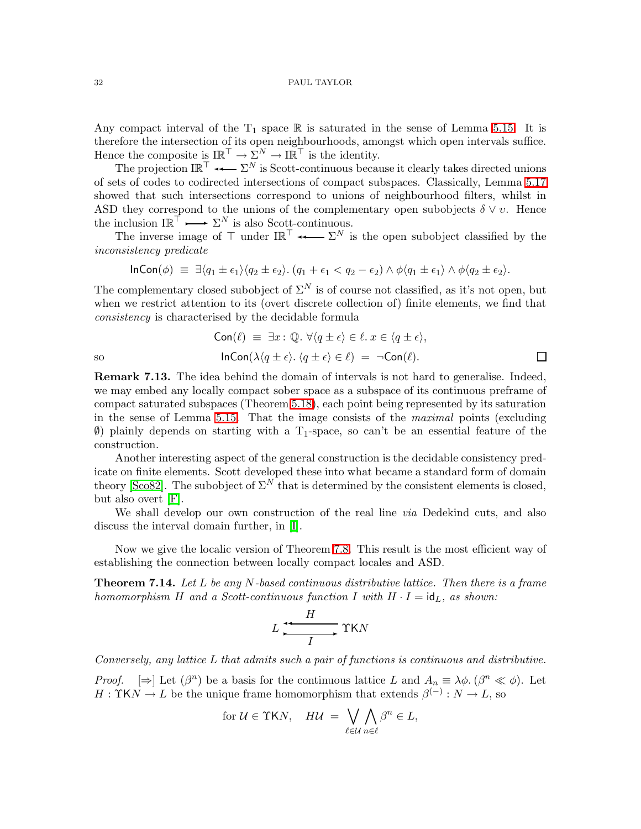Any compact interval of the  $T_1$  space R is saturated in the sense of Lemma [5.15.](#page-21-3) It is therefore the intersection of its open neighbourhoods, amongst which open intervals suffice. Hence the composite is  $\mathbb{IR}^{\top} \to \Sigma^{N} \to \mathbb{IR}^{\top}$  is the identity.

The projection  $\mathbb{IR}^{\top} \longrightarrow \mathbb{R}^N$  is Scott-continuous because it clearly takes directed unions of sets of codes to codirected intersections of compact subspaces. Classically, Lemma [5.17](#page-21-4) showed that such intersections correspond to unions of neighbourhood filters, whilst in ASD they correspond to the unions of the complementary open subobjects  $\delta \vee v$ . Hence the inclusion  $\mathbb{IR}^{\mathbb{T}} \longrightarrow \Sigma^N$  is also Scott-continuous.

The inverse image of  $\top$  under  $I\mathbb{R}^{\top} \longrightarrow \Sigma^N$  is the open subobject classified by the *inconsistency predicate*

$$
\ln\text{Con}(\phi) \equiv \exists \langle q_1 \pm \epsilon_1 \rangle \langle q_2 \pm \epsilon_2 \rangle \cdot (q_1 + \epsilon_1 < q_2 - \epsilon_2) \wedge \phi \langle q_1 \pm \epsilon_1 \rangle \wedge \phi \langle q_2 \pm \epsilon_2 \rangle.
$$

The complementary closed subobject of  $\Sigma^N$  is of course not classified, as it's not open, but when we restrict attention to its (overt discrete collection of) finite elements, we find that *consistency* is characterised by the decidable formula

$$
\text{Con}(\ell) \equiv \exists x : \mathbb{Q}. \ \forall \langle q \pm \epsilon \rangle \in \ell. \ x \in \langle q \pm \epsilon \rangle,
$$
\n
$$
\text{InCon}(\lambda \langle q \pm \epsilon \rangle. \ \langle q \pm \epsilon \rangle \in \ell) = \neg \text{Con}(\ell).
$$

**Remark 7.13.** The idea behind the domain of intervals is not hard to generalise. Indeed, we may embed any locally compact sober space as a subspace of its continuous preframe of compact saturated subspaces (Theorem [5.18\)](#page-22-1), each point being represented by its saturation in the sense of Lemma [5.15.](#page-21-3) That the image consists of the *maximal* points (excluding  $\emptyset$ ) plainly depends on starting with a T<sub>1</sub>-space, so can't be an essential feature of the construction.

Another interesting aspect of the general construction is the decidable consistency predicate on finite elements. Scott developed these into what became a standard form of domain theory [\[Sco82\]](#page-68-16). The subobject of  $\Sigma^N$  that is determined by the consistent elements is closed, but also overt [\[F\]](#page-69-5).

We shall develop our own construction of the real line *via* Dedekind cuts, and also discuss the interval domain further, in [\[I\]](#page-69-3).

<span id="page-31-0"></span>Now we give the localic version of Theorem [7.8.](#page-29-0) This result is the most efficient way of establishing the connection between locally compact locales and ASD.

Theorem 7.14. *Let* L *be any* N*-based continuous distributive lattice. Then there is a frame homomorphism* H and a Scott-continuous function I with  $H \cdot I = id_L$ , as shown:

$$
L \xrightarrow{H} \Upsilon KN
$$

*Conversely, any lattice* L *that admits such a pair of functions is continuous and distributive.*

*Proof.*  $[\Rightarrow]$  Let  $(\beta^n)$  be a basis for the continuous lattice L and  $A_n \equiv \lambda \phi$ .  $(\beta^n \ll \phi)$ . Let  $H: \Upsilon K N \to L$  be the unique frame homomorphism that extends  $\beta^{(-)}: N \to L$ , so

$$
\text{for }\mathcal{U}\in \Upsilon \mathsf{K} N,\quad H\mathcal{U}\;=\;\bigvee_{\ell\in \mathcal{U}}\bigwedge_{n\in \ell} \beta^n \in L,
$$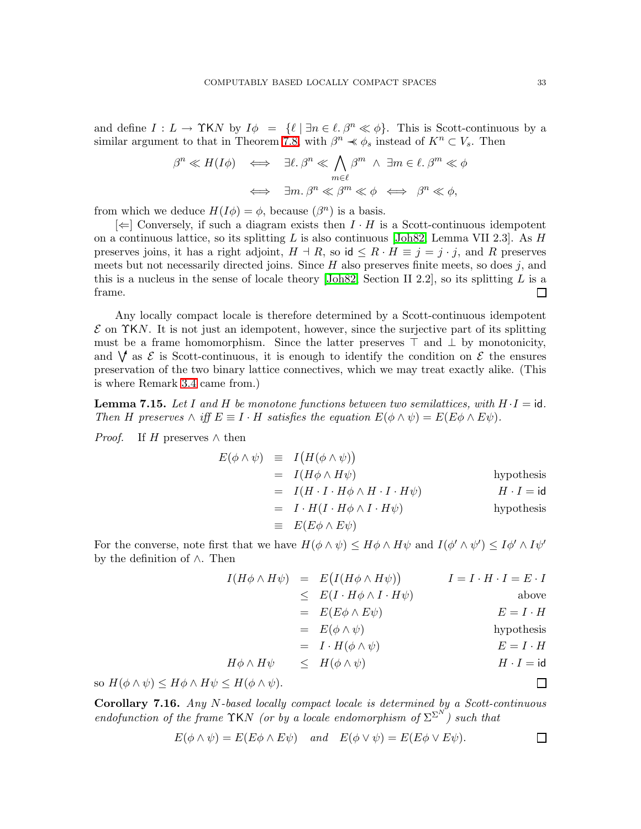and define  $I: L \to \Upsilon K N$  by  $I\phi = {\ell | \exists n \in \ell, \beta^n \ll \phi}.$  This is Scott-continuous by a similar argument to that in Theorem [7.8,](#page-29-0) with  $\beta^n \prec \phi_s$  instead of  $K^n \subset V_s$ . Then

$$
\beta^{n} \ll H(I\phi) \iff \exists \ell. \ \beta^{n} \ll \bigwedge_{m \in \ell} \beta^{m} \ \land \ \exists m \in \ell. \ \beta^{m} \ll \phi
$$

$$
\iff \ \exists m. \ \beta^{n} \ll \beta^{m} \ll \phi \iff \beta^{n} \ll \phi,
$$

from which we deduce  $H(I\phi) = \phi$ , because  $(\beta^n)$  is a basis.

 $[\Leftarrow]$  Conversely, if such a diagram exists then  $I \cdot H$  is a Scott-continuous idempotent on a continuous lattice, so its splitting L is also continuous [\[Joh82,](#page-68-13) Lemma VII 2.3]. As H preserves joins, it has a right adjoint,  $H \dashv R$ , so id  $\leq R \cdot H \equiv j = j \cdot j$ , and R preserves meets but not necessarily directed joins. Since  $H$  also preserves finite meets, so does j, and this is a nucleus in the sense of locale theory [\[Joh82,](#page-68-13) Section II 2.2], so its splitting L is a frame.  $\Box$ 

Any locally compact locale is therefore determined by a Scott-continuous idempotent  $\mathcal E$  on  $\Upsilon$ KN. It is not just an idempotent, however, since the surjective part of its splitting must be a frame homomorphism. Since the latter preserves  $\top$  and  $\bot$  by monotonicity, and  $\forall$  as  $\mathcal E$  is Scott-continuous, it is enough to identify the condition on  $\mathcal E$  the ensures preservation of the two binary lattice connectives, which we may treat exactly alike. (This is where Remark [3.4](#page-10-0) came from.)

<span id="page-32-0"></span>**Lemma 7.15.** Let I and H be monotone functions between two semilattices, with  $H \cdot I = id$ . *Then* H preserves  $\wedge$  *iff*  $E \equiv I \cdot H$  *satisfies the equation*  $E(\phi \wedge \psi) = E(E\phi \wedge E\psi)$ *.* 

*Proof.* If H preserves  $\wedge$  then

$$
E(\phi \land \psi) \equiv I(H(\phi \land \psi))
$$
  
\n
$$
= I(H\phi \land H\psi)
$$
hypothesis  
\n
$$
= I(H \cdot I \cdot H\phi \land H \cdot I \cdot H\psi)
$$
hypothesis  
\n
$$
= I \cdot H(I \cdot H\phi \land I \cdot H\psi)
$$
hypothesis  
\n
$$
\equiv E(E\phi \land E\psi)
$$

For the converse, note first that we have  $H(\phi \wedge \psi) \leq H\phi \wedge H\psi$  and  $I(\phi' \wedge \psi') \leq I\phi' \wedge I\psi'$ by the definition of ∧. Then

$$
I(H\phi \wedge H\psi) = E(I(H\phi \wedge H\psi)) \qquad I = I \cdot H \cdot I = E \cdot I
$$
  
\n
$$
\leq E(I \cdot H\phi \wedge I \cdot H\psi) \qquad \text{above}
$$
  
\n
$$
= E(E\phi \wedge E\psi) \qquad E = I \cdot H
$$
  
\n
$$
= E(\phi \wedge \psi) \qquad \text{hypothesis}
$$
  
\n
$$
= I \cdot H(\phi \wedge \psi) \qquad E = I \cdot H
$$
  
\n
$$
H\phi \wedge H\psi \leq H(\phi \wedge \psi) \qquad H \cdot I = id
$$

so  $H(\phi \wedge \psi) \leq H\phi \wedge H\psi \leq H(\phi \wedge \psi)$ .

Corollary 7.16. *Any* N*-based locally compact locale is determined by a Scott-continuous endofunction of the frame*  $\Upsilon$ KN *(or by a locale endomorphism of*  $\Sigma^{\Sigma^{N}}$ *) such that* 

$$
E(\phi \wedge \psi) = E(E\phi \wedge E\psi)
$$
 and  $E(\phi \vee \psi) = E(E\phi \vee E\psi).$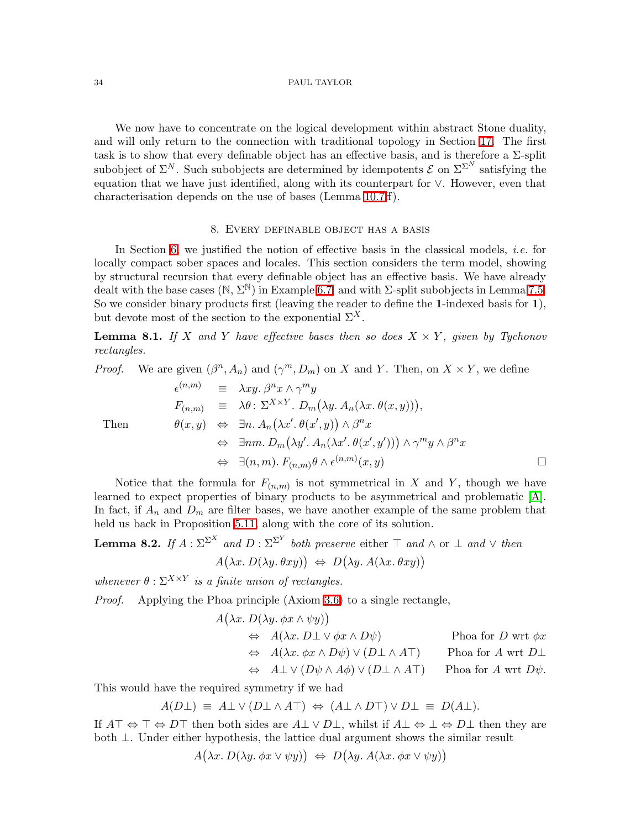We now have to concentrate on the logical development within abstract Stone duality, and will only return to the connection with traditional topology in Section [17.](#page-63-0) The first task is to show that every definable object has an effective basis, and is therefore a  $\Sigma$ -split subobject of  $\Sigma^N$ . Such subobjects are determined by idempotents  $\mathcal E$  on  $\Sigma^{\Sigma^N}$  satisfying the equation that we have just identified, along with its counterpart for ∨. However, even that characterisation depends on the use of bases (Lemma [10.7ff](#page-41-0)).

### 8. Every definable object has a basis

<span id="page-33-0"></span>In Section [6,](#page-22-0) we justified the notion of effective basis in the classical models, *i.e.* for locally compact sober spaces and locales. This section considers the term model, showing by structural recursion that every definable object has an effective basis. We have already dealt with the base cases ( $\mathbb{N}, \Sigma^{\mathbb{N}}$ ) in Example [6.7,](#page-24-1) and with  $\Sigma$ -split subobjects in Lemma [7.5.](#page-29-1) So we consider binary products first (leaving the reader to define the 1-indexed basis for 1), but devote most of the section to the exponential  $\Sigma^X$ .

<span id="page-33-1"></span>**Lemma 8.1.** If X and Y have effective bases then so does  $X \times Y$ , given by Tychonov *rectangles.*

*Proof.* We are given  $(\beta^n, A_n)$  and  $(\gamma^m, D_m)$  on X and Y. Then, on  $X \times Y$ , we define

$$
\epsilon^{(n,m)} \equiv \lambda xy. \beta^n x \wedge \gamma^m y
$$
  
\n
$$
F_{(n,m)} \equiv \lambda \theta : \Sigma^{X \times Y} . D_m(\lambda y. A_n(\lambda x. \theta(x, y))),
$$
  
\nThen  
\n
$$
\theta(x, y) \Leftrightarrow \exists n. A_n(\lambda x'. \theta(x', y)) \wedge \beta^n x
$$
  
\n
$$
\Leftrightarrow \exists nm. D_m(\lambda y'. A_n(\lambda x'. \theta(x', y'))) \wedge \gamma^m y \wedge \beta^n x
$$
  
\n
$$
\Leftrightarrow \exists (n, m). F_{(n,m)} \theta \wedge \epsilon^{(n,m)}(x, y)
$$

Notice that the formula for  $F_{(n,m)}$  is not symmetrical in X and Y, though we have learned to expect properties of binary products to be asymmetrical and problematic [\[A\]](#page-68-1). In fact, if  $A_n$  and  $D_m$  are filter bases, we have another example of the same problem that held us back in Proposition [5.11,](#page-20-1) along with the core of its solution.

<span id="page-33-2"></span>**Lemma 8.2.** If 
$$
A : \Sigma^{\Sigma^{X}}
$$
 and  $D : \Sigma^{\Sigma^{Y}}$  both preserve either T and  $\wedge$  or  $\bot$  and  $\vee$  then  
 $A(\lambda x. D(\lambda y. \theta xy)) \Leftrightarrow D(\lambda y. A(\lambda x. \theta xy))$ 

whenever  $\theta$  :  $\Sigma^{X \times Y}$  *is a finite union of rectangles.* 

*Proof.* Applying the Phoa principle (Axiom [3.6\)](#page-11-1) to a single rectangle,

A λx. D(λy. φx ∧ ψy) ⇔ A(λx. D⊥ ∨ φx ∧ Dψ) Phoa for D wrt φx ⇔ A(λx. φx ∧ Dψ) ∨ (D⊥ ∧ A⊤) Phoa for A wrt D⊥ ⇔ A⊥ ∨ (Dψ ∧ Aφ) ∨ (D⊥ ∧ A⊤) Phoa for A wrt Dψ.

This would have the required symmetry if we had

$$
A(D\bot) \equiv A\bot \vee (D\bot \wedge A\top) \Leftrightarrow (A\bot \wedge D\top) \vee D\bot \equiv D(A\bot).
$$

If  $A\top \Leftrightarrow \top \Leftrightarrow D\top$  then both sides are  $A\bot \vee D\bot$ , whilst if  $A\bot \Leftrightarrow \bot \Leftrightarrow D\bot$  then they are both  $\perp$ . Under either hypothesis, the lattice dual argument shows the similar result

$$
A(\lambda x. D(\lambda y. \phi x \vee \psi y)) \Leftrightarrow D(\lambda y. A(\lambda x. \phi x \vee \psi y))
$$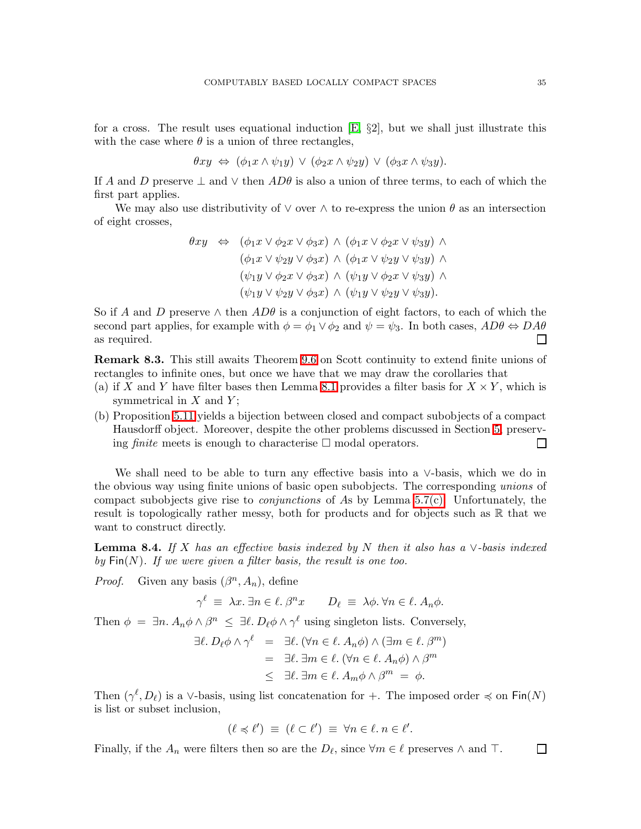for a cross. The result uses equational induction  $\mathbb{E}$ ,  $\S2$ , but we shall just illustrate this with the case where  $\theta$  is a union of three rectangles,

$$
\theta xy \Leftrightarrow (\phi_1 x \wedge \psi_1 y) \vee (\phi_2 x \wedge \psi_2 y) \vee (\phi_3 x \wedge \psi_3 y).
$$

If A and D preserve  $\perp$  and  $\vee$  then  $AD\theta$  is also a union of three terms, to each of which the first part applies.

We may also use distributivity of  $\vee$  over  $\wedge$  to re-express the union  $\theta$  as an intersection of eight crosses,

$$
\theta xy \Leftrightarrow (\phi_1 x \lor \phi_2 x \lor \phi_3 x) \land (\phi_1 x \lor \phi_2 x \lor \psi_3 y) \land \n(\phi_1 x \lor \psi_2 y \lor \phi_3 x) \land (\phi_1 x \lor \psi_2 y \lor \psi_3 y) \land \n(\psi_1 y \lor \phi_2 x \lor \phi_3 x) \land (\psi_1 y \lor \phi_2 x \lor \psi_3 y) \land \n(\psi_1 y \lor \psi_2 y \lor \phi_3 x) \land (\psi_1 y \lor \psi_2 y \lor \psi_3 y).
$$

So if A and D preserve  $\wedge$  then  $AD\theta$  is a conjunction of eight factors, to each of which the second part applies, for example with  $\phi = \phi_1 \vee \phi_2$  and  $\psi = \psi_3$ . In both cases,  $AD\theta \Leftrightarrow D A\theta$ as required.  $\Box$ 

<span id="page-34-0"></span>Remark 8.3. This still awaits Theorem [9.6](#page-38-0) on Scott continuity to extend finite unions of rectangles to infinite ones, but once we have that we may draw the corollaries that

- (a) if X and Y have filter bases then Lemma [8.1](#page-33-1) provides a filter basis for  $X \times Y$ , which is symmetrical in  $X$  and  $Y$ ;
- (b) Proposition [5.11](#page-20-1) yields a bijection between closed and compact subobjects of a compact Hausdorff object. Moreover, despite the other problems discussed in Section [5,](#page-17-0) preserving *finite* meets is enough to characterise  $\Box$  modal operators.  $\Box$

We shall need to be able to turn any effective basis into a ∨-basis, which we do in the obvious way using finite unions of basic open subobjects. The corresponding *unions* of compact subobjects give rise to *conjunctions* of As by Lemma [5.7\(c\).](#page-19-1) Unfortunately, the result is topologically rather messy, both for products and for objects such as  $\mathbb R$  that we want to construct directly.

<span id="page-34-1"></span>Lemma 8.4. *If* X *has an effective basis indexed by* N *then it also has a* ∨*-basis indexed* by  $\textsf{Fin}(N)$ *. If we were given a filter basis, the result is one too.* 

*Proof.* Given any basis  $(\beta^n, A_n)$ , define

 $\gamma^{\ell} \equiv \lambda x.$   $\exists n \in \ell$ .  $\beta^n x$   $D_{\ell} \equiv \lambda \phi$ .  $\forall n \in \ell$ .  $A_n \phi$ .

Then  $\phi = \exists n. A_n \phi \wedge \beta^n \leq \exists \ell. D_\ell \phi \wedge \gamma^\ell$  using singleton lists. Conversely,

$$
\exists \ell. D_{\ell} \phi \land \gamma^{\ell} = \exists \ell. (\forall n \in \ell. A_{n} \phi) \land (\exists m \in \ell. \beta^{m})
$$
  
=  $\exists \ell. \exists m \in \ell. (\forall n \in \ell. A_{n} \phi) \land \beta^{m}$   
 $\leq \exists \ell. \exists m \in \ell. A_{m} \phi \land \beta^{m} = \phi.$ 

Then  $(\gamma^{\ell}, D_{\ell})$  is a  $\vee$ -basis, using list concatenation for +. The imposed order  $\preccurlyeq$  on Fin $(N)$ is list or subset inclusion,

$$
(\ell \preccurlyeq \ell') \equiv (\ell \subset \ell') \equiv \forall n \in \ell \ldotp n \in \ell'.
$$

Finally, if the  $A_n$  were filters then so are the  $D_\ell$ , since  $\forall m \in \ell$  preserves  $\wedge$  and  $\top$ .  $\Box$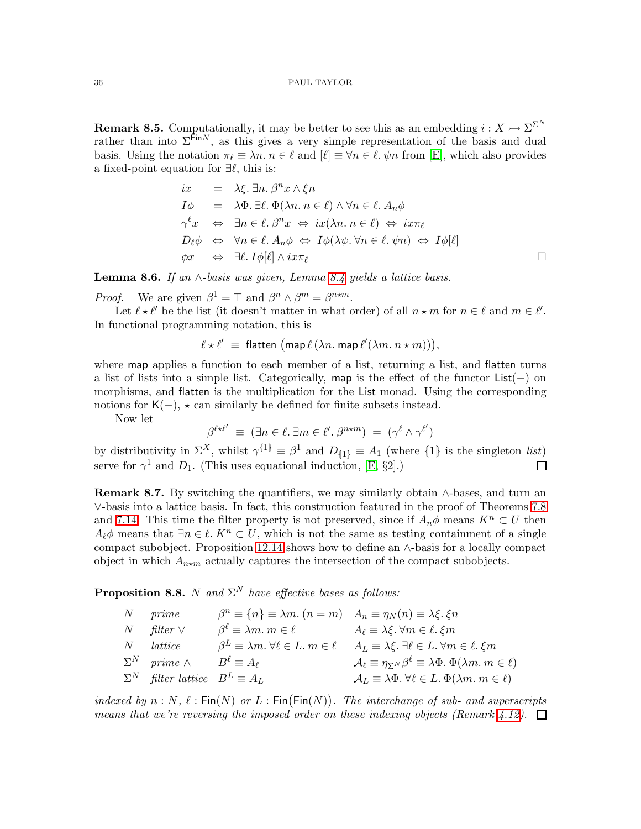<span id="page-35-3"></span>**Remark 8.5.** Computationally, it may be better to see this as an embedding  $i: X \rightarrow \Sigma^{\Sigma^N}$ rather than into  $\Sigma^{\hat{F}$ in<sup>N</sup>, as this gives a very simple representation of the basis and dual basis. Using the notation  $\pi_{\ell} \equiv \lambda n$ .  $n \in \ell$  and  $[\ell] \equiv \forall n \in \ell$ .  $\psi n$  from [\[E\]](#page-69-1), which also provides a fixed-point equation for  $\exists \ell$ , this is:

$$
ix = \lambda \xi. \exists n. \beta^n x \wedge \xi n
$$
  
\n
$$
I\phi = \lambda \Phi. \exists \ell. \Phi(\lambda n. n \in \ell) \wedge \forall n \in \ell. A_n \phi
$$
  
\n
$$
\gamma^{\ell}x \Leftrightarrow \exists n \in \ell. \beta^n x \Leftrightarrow ix(\lambda n. n \in \ell) \Leftrightarrow ix\pi_{\ell}
$$
  
\n
$$
D_{\ell}\phi \Leftrightarrow \forall n \in \ell. A_n \phi \Leftrightarrow I\phi(\lambda \psi. \forall n \in \ell. \psi n) \Leftrightarrow I\phi[\ell]
$$
  
\n
$$
\phi x \Leftrightarrow \exists \ell. I\phi[\ell] \wedge ix\pi_{\ell}
$$

<span id="page-35-2"></span>Lemma 8.6. *If an* ∧*-basis was given, Lemma [8.4](#page-34-1) yields a lattice basis.*

*Proof.* We are given  $\beta^1 = \top$  and  $\beta^n \wedge \beta^m = \beta^{n \star m}$ .

Let  $\ell \star \ell'$  be the list (it doesn't matter in what order) of all  $n \star m$  for  $n \in \ell$  and  $m \in \ell'$ . In functional programming notation, this is

$$
\ell \star \ell' \equiv \text{flatten } (\text{map } \ell (\lambda n. \text{ map } \ell' (\lambda m. n \star m)))
$$

where map applies a function to each member of a list, returning a list, and flatten turns a list of lists into a simple list. Categorically, map is the effect of the functor List(−) on morphisms, and flatten is the multiplication for the List monad. Using the corresponding notions for  $K(-)$ ,  $\star$  can similarly be defined for finite subsets instead.

Now let

$$
\beta^{\ell \star \ell'} \equiv (\exists n \in \ell \ldotp \exists m \in \ell' \ldotp \beta^{n \star m}) = (\gamma^{\ell} \land \gamma^{\ell'})
$$

by distributivity in  $\Sigma^X$ , whilst  $\gamma^{\{1\}} \equiv \beta^1$  and  $D_{\{1\}} \equiv A_1$  (where  $\{1\}$ ) is the singleton *list*) serve for  $\gamma^1$  and  $D_1$ . (This uses equational induction, [\[E,](#page-69-1) §2].)  $\Box$ 

<span id="page-35-1"></span>**Remark 8.7.** By switching the quantifiers, we may similarly obtain  $\wedge$ -bases, and turn an ∨-basis into a lattice basis. In fact, this construction featured in the proof of Theorems [7.8](#page-29-0) and [7.14.](#page-31-0) This time the filter property is not preserved, since if  $A_n\phi$  means  $K^n \subset U$  then  $A_{\ell} \phi$  means that  $\exists n \in \ell$ .  $K^n \subset U$ , which is not the same as testing containment of a single compact subobject. Proposition [12.14](#page-50-1) shows how to define an ∧-basis for a locally compact object in which  $A_{n \star m}$  actually captures the intersection of the compact subobjects.

<span id="page-35-0"></span>**Proposition 8.8.** N and  $\Sigma^N$  have effective bases as follows:

| $N$ prime                                            | $\beta^n \equiv \{n\} \equiv \lambda m.$ $(n = m)$ $A_n \equiv \eta_N(n) \equiv \lambda \xi.$ $\xi n$ |                                                                                                                                                                 |
|------------------------------------------------------|-------------------------------------------------------------------------------------------------------|-----------------------------------------------------------------------------------------------------------------------------------------------------------------|
| $N$ filter $\vee$                                    | $\beta^{\ell} \equiv \lambda m. m \in \ell$ $A_{\ell} \equiv \lambda \xi. \forall m \in \ell. \xi m$  |                                                                                                                                                                 |
| $N$ <i>lattice</i>                                   |                                                                                                       | $\beta^L \equiv \lambda m \cdot \forall \ell \in L \cdot m \in \ell \quad A_L \equiv \lambda \xi \cdot \exists \ell \in L \cdot \forall m \in \ell \cdot \xi m$ |
| $\Sigma^N$ prime $\wedge$ $B^{\ell} \equiv A_{\ell}$ |                                                                                                       | $\mathcal{A}_{\ell} \equiv \eta_{\Sigma N} \beta^{\ell} \equiv \lambda \Phi$ . $\Phi(\lambda m. m \in \ell)$                                                    |
| $\Sigma^N$ filter lattice $B^L \equiv A_L$           |                                                                                                       | $\mathcal{A}_L \equiv \lambda \Phi. \ \forall \ell \in L. \ \Phi(\lambda m. \ m \in \ell)$                                                                      |

*indexed by*  $n : N$ ,  $\ell : \text{Fin}(N)$  *or*  $L : \text{Fin}(\text{Fin}(N))$ . The *interchange of sub- and superscripts means that we're reversing the imposed order on these indexing objects (Remark [4.12\)](#page-15-3).*  $\Box$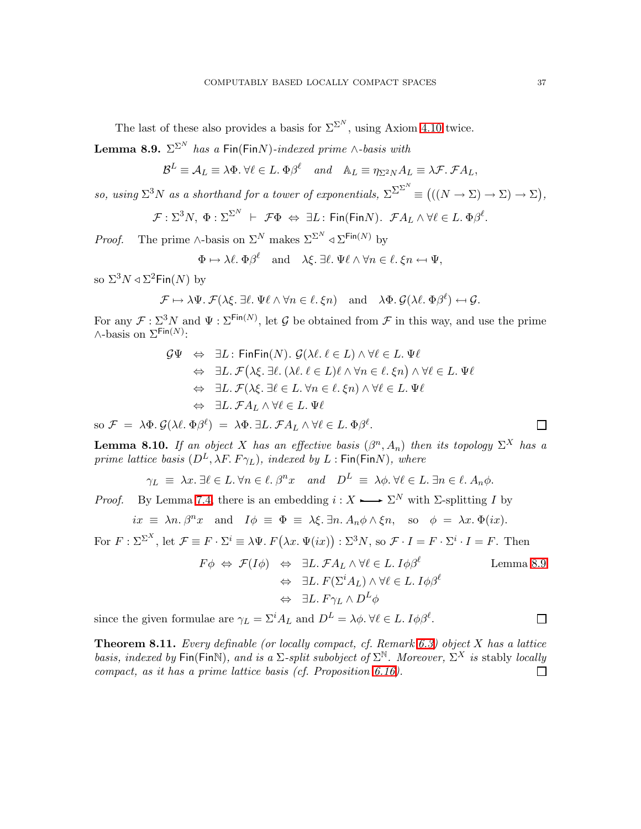The last of these also provides a basis for  $\Sigma^{\Sigma^N}$ , using Axiom [4.10](#page-15-1) twice.

<span id="page-36-0"></span>**Lemma 8.9.**  $\Sigma^{\Sigma^N}$  *has a* Fin(Fin*N*)*-indexed prime* ∧*-basis with* 

$$
\mathcal{B}^L \equiv \mathcal{A}_L \equiv \lambda \Phi. \ \forall \ell \in L. \ \Phi \beta^{\ell} \quad and \quad \mathbb{A}_L \equiv \eta_{\Sigma^2 N} A_L \equiv \lambda \mathcal{F}. \ \mathcal{F} A_L,
$$

*so, using*  $\Sigma^3 N$  *as a shorthand for a tower of exponentials,*  $\Sigma^{\Sigma^N}$  =  $(((N \to \Sigma) \to \Sigma) \to \Sigma)$ ,

$$
\mathcal{F}: \Sigma^3 N, \ \Phi: \Sigma^{\Sigma^N} \ \vdash \ \mathcal{F}\Phi \ \Leftrightarrow \ \exists L: \ \mathsf{Fin}(\mathsf{Fin} N). \ \ \mathcal{F}A_L \wedge \forall \ell \in L. \ \Phi \beta^{\ell}.
$$

*Proof.* The prime ∧-basis on  $\Sigma^N$  makes  $\Sigma^{\Sigma^N} \triangleleft \Sigma^{\text{Fin}(N)}$  by

$$
\Phi \mapsto \lambda \ell
$$
.  $\Phi \beta^{\ell}$  and  $\lambda \xi$ .  $\exists \ell$ .  $\Psi \ell \wedge \forall n \in \ell$ .  $\xi n \leftrightarrow \Psi$ ,

so  $\Sigma^3 N \triangleleft \Sigma^2 \textsf{Fin}(N)$  by

$$
\mathcal{F} \mapsto \lambda \Psi. \ \mathcal{F}(\lambda \xi. \ \exists \ell. \ \Psi \ell \wedge \forall n \in \ell. \ \xi n) \quad \text{and} \quad \lambda \Phi. \ \mathcal{G}(\lambda \ell. \ \Phi \beta^{\ell}) \leftarrow \mathcal{G}.
$$

For any  $\mathcal{F}: \Sigma^3 N$  and  $\Psi: \Sigma^{\text{Fin}(N)}$ , let G be obtained from  $\mathcal F$  in this way, and use the prime  $\wedge$ -basis on  $\Sigma^{\text{Fin}(N)}$ :

$$
\mathcal{G}\Psi \Leftrightarrow \exists L : \mathsf{Fin}\mathsf{Fin}(N). \ \mathcal{G}(\lambda \ell. \ell \in L) \land \forall \ell \in L. \ \Psi \ell
$$
  
\n
$$
\Leftrightarrow \exists L. \ \mathcal{F}(\lambda \xi. \ \exists \ell. \ (\lambda \ell. \ \ell \in L) \ell \land \forall n \in \ell. \ \xi n) \land \forall \ell \in L. \ \Psi \ell
$$
  
\n
$$
\Leftrightarrow \ \exists L. \ \mathcal{F}(\lambda \xi. \ \exists \ell \in L. \ \forall n \in \ell. \ \xi n) \land \forall \ell \in L. \ \Psi \ell
$$
  
\n
$$
\Leftrightarrow \ \exists L. \ \mathcal{F}A_L \land \forall \ell \in L. \ \Psi \ell
$$

so  $\mathcal{F} = \lambda \Phi$ .  $\mathcal{G}(\lambda \ell, \Phi \beta^{\ell}) = \lambda \Phi$ .  $\exists L$ .  $\mathcal{F} A_L \wedge \forall \ell \in L$ .  $\Phi \beta^{\ell}$ .

<span id="page-36-1"></span>**Lemma 8.10.** If an object X has an effective basis  $(\beta^n, A_n)$  then its topology  $\Sigma^X$  has a *prime lattice basis*  $(D^L, \lambda F, F\gamma_L)$ *, indexed by*  $L$ : Fin(FinN)*, where* 

$$
\gamma_L \equiv \lambda x. \exists \ell \in L. \forall n \in \ell. \beta^n x \text{ and } D^L \equiv \lambda \phi. \forall \ell \in L. \exists n \in \ell. A_n \phi.
$$

*Proof.* By Lemma [7.4,](#page-28-0) there is an embedding  $i: X \longrightarrow \Sigma^N$  with  $\Sigma$ -splitting I by

$$
ix \equiv \lambda n \cdot \beta^n x
$$
 and  $I\phi \equiv \Phi \equiv \lambda \xi \cdot \exists n \cdot A_n \phi \wedge \xi n$ , so  $\phi = \lambda x \cdot \Phi(ix)$ .

For  $F : \Sigma^{\Sigma^X}$ , let  $\mathcal{F} \equiv F \cdot \Sigma^i \equiv \lambda \Psi$ .  $F(\lambda x. \Psi(ix)) : \Sigma^3 N$ , so  $\mathcal{F} \cdot I = F \cdot \Sigma^i \cdot I = F$ . Then

$$
F\phi \Leftrightarrow \mathcal{F}(I\phi) \Leftrightarrow \exists L. \mathcal{F}A_L \land \forall \ell \in L. \ I\phi\beta^{\ell} \qquad \text{Lemma 8.9}
$$

$$
\Leftrightarrow \exists L. \ F(\Sigma^i A_L) \land \forall \ell \in L. \ I\phi\beta^{\ell} \qquad \Leftrightarrow \exists L. \ F\gamma_L \land D^L\phi
$$

<span id="page-36-2"></span>since the given formulae are  $\gamma_L = \Sigma^i A_L$  and  $D^L = \lambda \phi$ .  $\forall \ell \in L$ .  $I \phi \beta^{\ell}$ .

Theorem 8.11. *Every definable (or locally compact, cf. Remark [6.3\)](#page-23-1) object* X *has a lattice basis, indexed by* Fin(FinN), and *is a*  $\Sigma$ -split subobject of  $\Sigma^{\mathbb{N}}$ . Moreover,  $\Sigma^X$  is stably *locally compact, as it has a prime lattice basis (cf. Proposition [6.16\)](#page-27-2).*П

$$
\sqcup
$$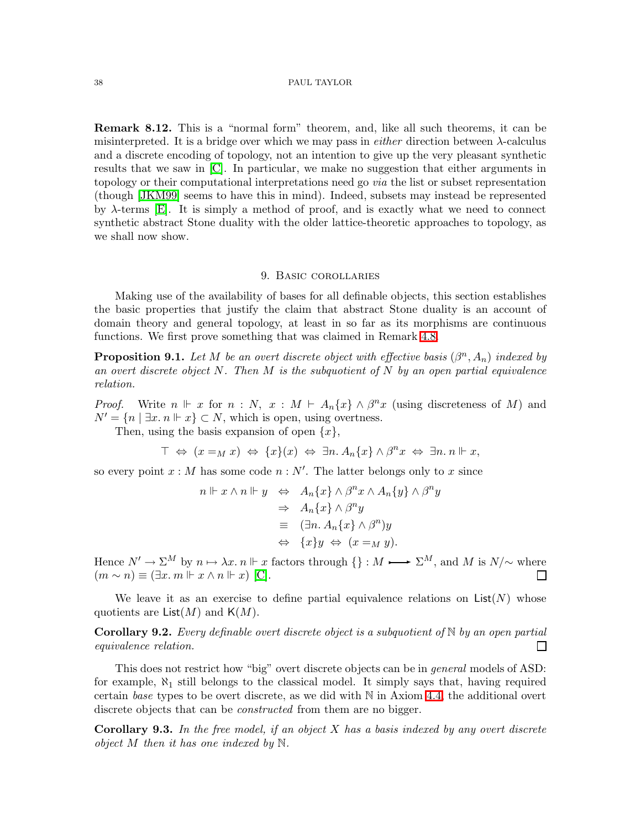<span id="page-37-2"></span>Remark 8.12. This is a "normal form" theorem, and, like all such theorems, it can be misinterpreted. It is a bridge over which we may pass in *either* direction between λ-calculus and a discrete encoding of topology, not an intention to give up the very pleasant synthetic results that we saw in [\[C\]](#page-68-2). In particular, we make no suggestion that either arguments in topology or their computational interpretations need go *via* the list or subset representation (though [\[JKM99\]](#page-68-17) seems to have this in mind). Indeed, subsets may instead be represented by  $\lambda$ -terms [\[E\]](#page-69-1). It is simply a method of proof, and is exactly what we need to connect synthetic abstract Stone duality with the older lattice-theoretic approaches to topology, as we shall now show.

### 9. Basic corollaries

<span id="page-37-0"></span>Making use of the availability of bases for all definable objects, this section establishes the basic properties that justify the claim that abstract Stone duality is an account of domain theory and general topology, at least in so far as its morphisms are continuous functions. We first prove something that was claimed in Remark [4.8.](#page-14-1)

**Proposition 9.1.** Let M be an overt discrete object with effective basis  $(\beta^n, A_n)$  indexed by *an overt discrete object* N*. Then* M *is the subquotient of* N *by an open partial equivalence relation.*

*Proof.* Write  $n \Vdash x$  for  $n : N$ ,  $x : M \vdash A_n\{x\} \wedge \beta^n x$  (using discreteness of M) and  $N' = \{n \mid \exists x \ldotp n \Vdash x\} \subset N$ , which is open, using overtness.

Then, using the basis expansion of open  $\{x\}$ ,

$$
\top \Leftrightarrow (x =_M x) \Leftrightarrow \{x\}(x) \Leftrightarrow \exists n. A_n \{x\} \wedge \beta^n x \Leftrightarrow \exists n. n \Vdash x,
$$

so every point  $x : M$  has some code  $n : N'$ . The latter belongs only to x since

$$
n \Vdash x \land n \Vdash y \Leftrightarrow A_n\{x\} \land \beta^n x \land A_n\{y\} \land \beta^n y
$$
  
\n
$$
\Rightarrow A_n\{x\} \land \beta^n y
$$
  
\n
$$
\equiv (\exists n. A_n\{x\} \land \beta^n) y
$$
  
\n
$$
\Leftrightarrow \{x\} y \Leftrightarrow (x =_M y).
$$

Hence  $N' \to \Sigma^M$  by  $n \mapsto \lambda x$ .  $n \Vdash x$  factors through  $\{\} : M \longrightarrow \Sigma^M$ , and M is  $N/\sim$  where  $(m \sim n) \equiv (\exists x. m \Vdash x \land n \Vdash x)$  [\[C\]](#page-68-2).  $\Box$ 

<span id="page-37-1"></span>We leave it as an exercise to define partial equivalence relations on  $List(N)$  whose quotients are  $List(M)$  and  $K(M)$ .

Corollary 9.2. *Every definable overt discrete object is a subquotient of* N *by an open partial equivalence relation.* П

This does not restrict how "big" overt discrete objects can be in *general* models of ASD: for example,  $\aleph_1$  still belongs to the classical model. It simply says that, having required certain *base* types to be overt discrete, as we did with N in Axiom [4.4,](#page-13-2) the additional overt discrete objects that can be *constructed* from them are no bigger.

Corollary 9.3. *In the free model, if an object* X *has a basis indexed by any overt discrete object* M *then it has one indexed by* N*.*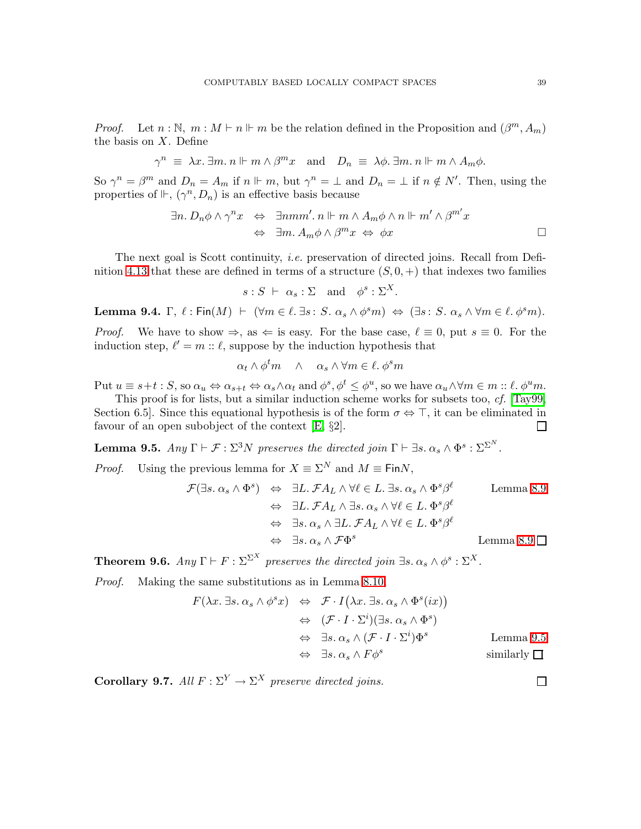*Proof.* Let  $n : \mathbb{N}, m : M \vdash n \Vdash m$  be the relation defined in the Proposition and  $(\beta^m, A_m)$ the basis on  $X$ . Define

$$
\gamma^n \equiv \lambda x. \exists m. n \Vdash m \wedge \beta^m x \text{ and } D_n \equiv \lambda \phi. \exists m. n \Vdash m \wedge A_m \phi.
$$

So  $\gamma^n = \beta^m$  and  $D_n = A_m$  if  $n \Vdash m$ , but  $\gamma^n = \bot$  and  $D_n = \bot$  if  $n \notin N'$ . Then, using the properties of  $\mathbb{H}$ ,  $(\gamma^n, D_n)$  is an effective basis because

$$
\exists n. D_n \phi \land \gamma^n x \Leftrightarrow \exists nmm'.\ n \Vdash m \land A_m \phi \land n \Vdash m' \land \beta^{m'} x
$$
  

$$
\Leftrightarrow \exists m. A_m \phi \land \beta^m x \Leftrightarrow \phi x
$$

The next goal is Scott continuity, *i.e.* preservation of directed joins. Recall from Defi-nition [4.13](#page-15-0) that these are defined in terms of a structure  $(S, 0, +)$  that indexes two families

$$
s: S \ \vdash \ \alpha_s: \Sigma \quad \text{and} \quad \phi^s: \Sigma^X.
$$

Lemma 9.4.  $\Gamma$ ,  $\ell$ : Fin $(M)$   $\vdash$   $(\forall m \in \ell$ .  $\exists s : S. \alpha_s \land \phi^s m) \Leftrightarrow (\exists s : S. \alpha_s \land \forall m \in \ell$ .  $\phi^s m)$ .

*Proof.* We have to show  $\Rightarrow$ , as  $\Leftarrow$  is easy. For the base case,  $\ell \equiv 0$ , put  $s \equiv 0$ . For the induction step,  $\ell' = m :: \ell$ , suppose by the induction hypothesis that

$$
\alpha_t \wedge \phi^t m \quad \wedge \quad \alpha_s \wedge \forall m \in \ell, \, \phi^s m
$$

Put  $u \equiv s+t : S$ , so  $\alpha_u \Leftrightarrow \alpha_{s+t} \Leftrightarrow \alpha_s \wedge \alpha_t$  and  $\phi^s, \phi^t \leq \phi^u$ , so we have  $\alpha_u \wedge \forall m \in m :: \ell.$   $\phi^u m$ .

This proof is for lists, but a similar induction scheme works for subsets too, *cf.* [\[Tay99,](#page-68-10) Section 6.5]. Since this equational hypothesis is of the form  $\sigma \Leftrightarrow \top$ , it can be eliminated in favour of an open subobject of the context [\[E,](#page-69-1) §2].  $\Box$ 

<span id="page-38-1"></span>**Lemma 9.5.**  $Any \Gamma \vdash \mathcal{F} : \Sigma^3 N \text{ preserves the directed join } \Gamma \vdash \exists s. \alpha_s \wedge \Phi^s : \Sigma^{\Sigma^N}.$ 

*Proof.* Using the previous lemma for  $X \equiv \Sigma^N$  and  $M \equiv \text{Fin}N$ ,

$$
\mathcal{F}(\exists s. \alpha_s \land \Phi^s) \Leftrightarrow \exists L. \mathcal{F}A_L \land \forall \ell \in L. \exists s. \alpha_s \land \Phi^s \beta^{\ell} \qquad \text{Lemma 8.9}
$$
  

$$
\Leftrightarrow \exists L. \mathcal{F}A_L \land \exists s. \alpha_s \land \forall \ell \in L. \Phi^s \beta^{\ell}
$$
  

$$
\Leftrightarrow \exists s. \alpha_s \land \exists L. \mathcal{F}A_L \land \forall \ell \in L. \Phi^s \beta^{\ell}
$$
  

$$
\Leftrightarrow \exists s. \alpha_s \land \mathcal{F}\Phi^s \qquad \text{Lemma 8.9}
$$

<span id="page-38-0"></span>**Theorem 9.6.**  $Any \Gamma \vdash F : \Sigma^{\Sigma^X}$  preserves the directed join  $\exists s. \alpha_s \wedge \phi^s : \Sigma^X$ .

*Proof.* Making the same substitutions as in Lemma [8.10,](#page-36-1)

$$
F(\lambda x. \exists s. \alpha_s \land \phi^s x) \Leftrightarrow \mathcal{F} \cdot I(\lambda x. \exists s. \alpha_s \land \Phi^s(ix))
$$
  
\n
$$
\Leftrightarrow (\mathcal{F} \cdot I \cdot \Sigma^i)(\exists s. \alpha_s \land \Phi^s)
$$
  
\n
$$
\Leftrightarrow \exists s. \alpha_s \land (\mathcal{F} \cdot I \cdot \Sigma^i)\Phi^s
$$
 Lemma 9.5  
\n
$$
\Leftrightarrow \exists s. \alpha_s \land F\phi^s
$$
 similarly  $\Box$ 

**Corollary 9.7.** All  $F : \Sigma^Y \to \Sigma^X$  preserve directed joins.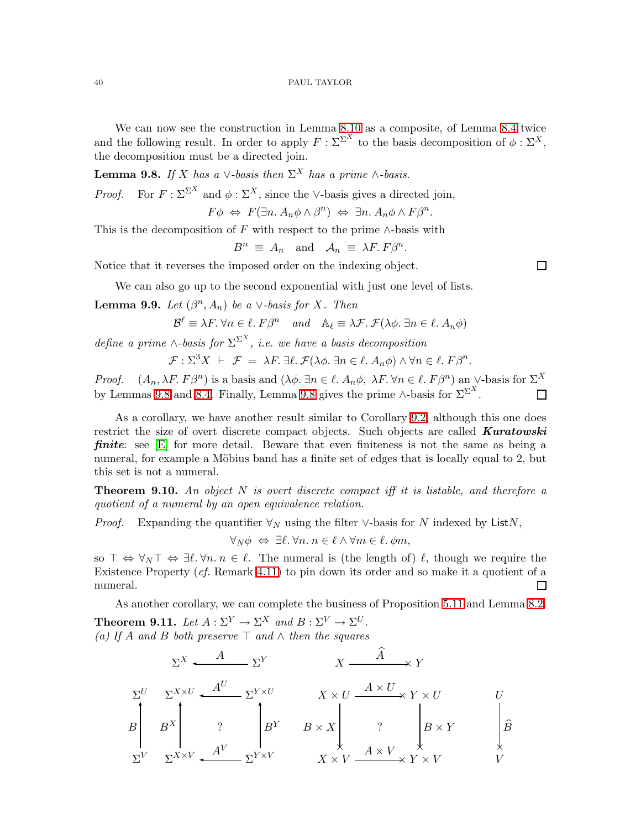We can now see the construction in Lemma [8.10](#page-36-1) as a composite, of Lemma [8.4](#page-34-1) twice and the following result. In order to apply  $F : \Sigma^{\Sigma^X}$  to the basis decomposition of  $\phi : \Sigma^X$ , the decomposition must be a directed join.

<span id="page-39-2"></span>**Lemma 9.8.** *If* X *has a*  $\vee$ *-basis then*  $\Sigma^X$  *has a prime* ∧*-basis.* 

*Proof.* For  $F : \Sigma^{\Sigma^X}$  and  $\phi : \Sigma^X$ , since the ∨-basis gives a directed join,

$$
F\phi \Leftrightarrow F(\exists n. A_n \phi \wedge \beta^n) \Leftrightarrow \exists n. A_n \phi \wedge F\beta^n.
$$

This is the decomposition of F with respect to the prime  $\wedge$ -basis with

$$
B^n \equiv A_n \quad \text{and} \quad A_n \equiv \lambda F. \, F\beta^n.
$$

 $\Box$ 

Notice that it reverses the imposed order on the indexing object.

We can also go up to the second exponential with just one level of lists.

<span id="page-39-3"></span>**Lemma 9.9.** *Let*  $(\beta^n, A_n)$  *be a* ∨*-basis for* X*. Then* 

$$
\mathcal{B}^{\ell} \equiv \lambda F. \,\forall n \in \ell. \, F\beta^{n} \quad and \quad \mathbb{A}_{\ell} \equiv \lambda \mathcal{F.} \,\mathcal{F}(\lambda \phi. \,\exists n \in \ell. \, A_{n}\phi)
$$

*define a prime*  $\wedge$ *-basis for*  $\Sigma^{\Sigma^{X}}$ *, i.e. we have a basis decomposition* 

$$
\mathcal{F}: \Sigma^3 X \ \vdash \ \mathcal{F} \ = \ \lambda F \ \exists \ell \, \ \mathcal{F}(\lambda \phi \ \exists n \in \ell \, \ A_n \phi) \land \forall n \in \ell \, \ \mathcal{F}\beta^n.
$$

*Proof.*  $(A_n, \lambda F, F\beta^n)$  is a basis and  $(\lambda \phi, \exists n \in \ell, A_n \phi, \lambda F, \forall n \in \ell, F\beta^n)$  an ∨-basis for  $\Sigma^X$ by Lemmas [9.8](#page-39-2) and [8.4.](#page-34-1) Finally, Lemma 9.8 gives the prime ∧-basis for  $\Sigma^{\Sigma^X}$ . П

As a corollary, we have another result similar to Corollary [9.2,](#page-37-1) although this one does restrict the size of overt discrete compact objects. Such objects are called **Kuratowski finite:** see  $[E]$  for more detail. Beware that even finiteness is not the same as being a numeral, for example a Möbius band has a finite set of edges that is locally equal to 2, but this set is not a numeral.

<span id="page-39-1"></span>Theorem 9.10. *An object* N *is overt discrete compact iff it is listable, and therefore a quotient of a numeral by an open equivalence relation.*

*Proof.* Expanding the quantifier  $\forall_N$  using the filter ∨-basis for N indexed by ListN,

 $\forall_N \phi \Leftrightarrow \exists \ell. \forall n. n \in \ell \land \forall m \in \ell. \phi m,$ 

so  $\top \Leftrightarrow \forall N \top \Leftrightarrow \exists \ell. \forall n. n \in \ell$ . The numeral is (the length of)  $\ell$ , though we require the Existence Property (*cf.* Remark [4.11\)](#page-15-2) to pin down its order and so make it a quotient of a numeral.  $\Box$ 

<span id="page-39-0"></span>As another corollary, we can complete the business of Proposition [5.11](#page-20-1) and Lemma [8.2.](#page-33-2) **Theorem 9.11.** Let  $A : \Sigma^Y \to \Sigma^X$  and  $B : \Sigma^V \to \Sigma^U$ .

 $\hat{ }$ 

*(a) If* A *and* B *both preserve* ⊤ *and* ∧ *then the squares*

$$
\Sigma^{X} \xleftarrow{A} \Sigma^{Y} \qquad X \xrightarrow{A} Y
$$
\n
$$
\Sigma^{U} \Sigma^{X \times U} \xleftarrow{A^{U}} \Sigma^{Y \times U} \qquad X \times U \xrightarrow{A \times U} Y \times U \qquad U
$$
\n
$$
B \begin{bmatrix} B^{X} & B \\ B^{X} & B \end{bmatrix} \begin{bmatrix} 2 \\ B^{Y} & B \times X \\ X \end{bmatrix} \begin{bmatrix} 2 \\ 2 \\ X \end{bmatrix} \begin{bmatrix} 2 \\ 2 \\ X \end{bmatrix} \begin{bmatrix} 2 \\ 2 \\ X \end{bmatrix} \begin{bmatrix} 2 \\ 2 \\ X \end{bmatrix}
$$
\n
$$
\Sigma^{V} \Sigma^{X \times V} \xleftarrow{A^{V}} \Sigma^{Y \times V} \qquad X \times V \xleftarrow{A \times V} X \times V \times V \times V
$$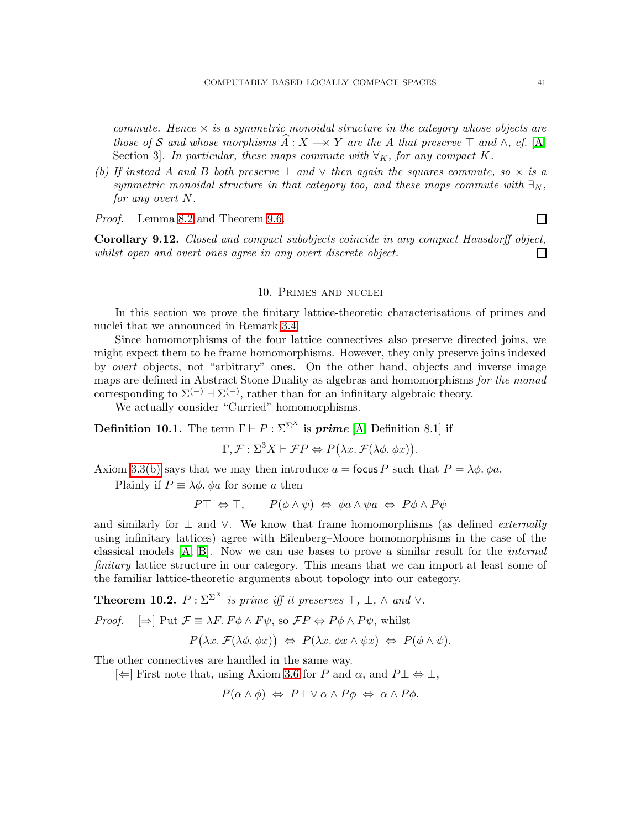*commute. Hence* × *is a symmetric monoidal structure in the category whose objects are those of* S and whose morphisms  $\hat{A}: X \rightarrow Y$  are the A that preserve  $\top$  and  $\wedge$ , cf. [\[A,](#page-68-1) Section 3]. In particular, these maps commute with  $\forall K$ , for any compact K.

*(b)* If instead A and B both preserve  $\perp$  and  $\vee$  then again the squares commute, so  $\times$  is a *symmetric monoidal structure in that category too, and these maps commute with*  $\exists_N$ , *for any overt* N*.*

*Proof.* Lemma [8.2](#page-33-2) and Theorem [9.6.](#page-38-0)

 $\Box$ 

Corollary 9.12. *Closed and compact subobjects coincide in any compact Hausdorff object, whilst open and overt ones agree in any overt discrete object.*  $\Box$ 

## 10. Primes and nuclei

<span id="page-40-0"></span>In this section we prove the finitary lattice-theoretic characterisations of primes and nuclei that we announced in Remark [3.4.](#page-10-0)

Since homomorphisms of the four lattice connectives also preserve directed joins, we might expect them to be frame homomorphisms. However, they only preserve joins indexed by *overt* objects, not "arbitrary" ones. On the other hand, objects and inverse image maps are defined in Abstract Stone Duality as algebras and homomorphisms *for the monad* corresponding to  $\Sigma^{(-)}$  +  $\Sigma^{(-)}$ , rather than for an infinitary algebraic theory.

We actually consider "Curried" homomorphisms.

**Definition 10.1.** The term  $\Gamma \vdash P : \Sigma^{\Sigma^X}$  is **prime** [\[A,](#page-68-1) Definition 8.1] if

 $\Gamma, \mathcal{F}: \Sigma^3 X \vdash \mathcal{F}P \Leftrightarrow P(\lambda x. \mathcal{F}(\lambda \phi. \phi x)).$ 

Axiom [3.3\(b\)](#page-9-2) says that we may then introduce  $a =$  focus P such that  $P = \lambda \phi$ .  $\phi a$ .

Plainly if  $P \equiv \lambda \phi$ .  $\phi a$  for some a then

$$
P\top \Leftrightarrow \top, \qquad P(\phi \wedge \psi) \Leftrightarrow \phi a \wedge \psi a \Leftrightarrow P\phi \wedge P\psi
$$

and similarly for ⊥ and ∨. We know that frame homomorphisms (as defined *externally* using infinitary lattices) agree with Eilenberg–Moore homomorphisms in the case of the classical models [\[A,](#page-68-1) [B\]](#page-68-0). Now we can use bases to prove a similar result for the *internal finitary* lattice structure in our category. This means that we can import at least some of the familiar lattice-theoretic arguments about topology into our category.

**Theorem 10.2.**  $P : \Sigma^{\Sigma^X}$  is prime iff it preserves  $\top$ ,  $\bot$ ,  $\wedge$  and  $\vee$ .

*Proof.*  $[\Rightarrow]$  Put  $\mathcal{F} \equiv \lambda F$ .  $F \phi \wedge F \psi$ , so  $\mathcal{F}P \Leftrightarrow P \phi \wedge P \psi$ , whilst

 $P(\lambda x. \mathcal{F}(\lambda \phi. \phi x)) \Leftrightarrow P(\lambda x. \phi x \wedge \psi x) \Leftrightarrow P(\phi \wedge \psi).$ 

The other connectives are handled in the same way.

 $\left[\leftarrow\right]$  First note that, using Axiom [3.6](#page-11-1) for P and α, and P $\perp \Leftrightarrow \perp$ ,

$$
P(\alpha \wedge \phi) \Leftrightarrow P \perp \vee \alpha \wedge P \phi \Leftrightarrow \alpha \wedge P \phi.
$$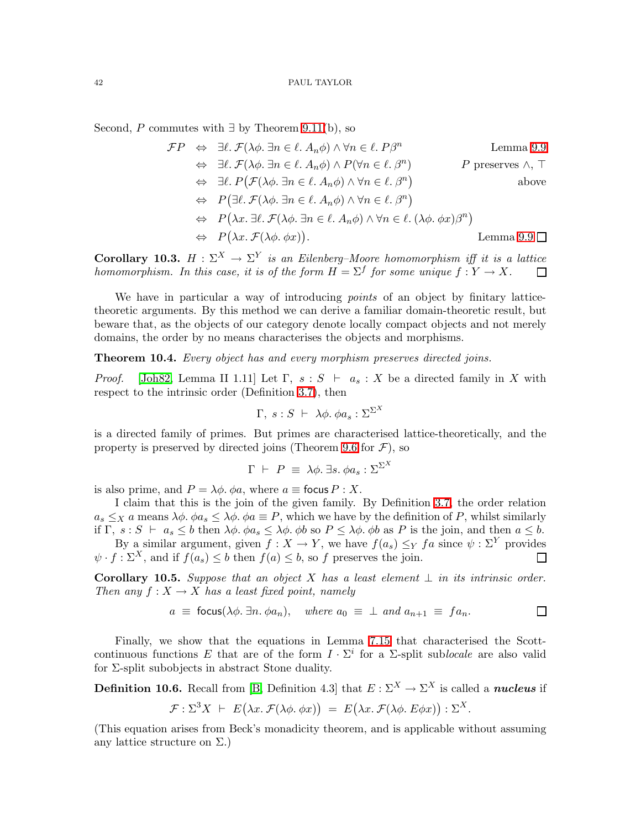Second, P commutes with  $\exists$  by Theorem [9.11\(](#page-39-0)b), so

$$
\mathcal{F}P \Leftrightarrow \exists \ell. \mathcal{F}(\lambda \phi. \exists n \in \ell. A_n \phi) \land \forall n \in \ell. P\beta^n \qquad \text{Lemma 9.9}
$$
  
\n
$$
\Leftrightarrow \exists \ell. \mathcal{F}(\lambda \phi. \exists n \in \ell. A_n \phi) \land P(\forall n \in \ell. \beta^n) \qquad P \text{ preserves } \land, \top
$$
  
\n
$$
\Leftrightarrow \exists \ell. P(\mathcal{F}(\lambda \phi. \exists n \in \ell. A_n \phi) \land \forall n \in \ell. \beta^n)
$$
  
\n
$$
\Leftrightarrow P(\exists \ell. \mathcal{F}(\lambda \phi. \exists n \in \ell. A_n \phi) \land \forall n \in \ell. \beta^n)
$$
  
\n
$$
\Leftrightarrow P(\lambda x. \exists \ell. \mathcal{F}(\lambda \phi. \exists n \in \ell. A_n \phi) \land \forall n \in \ell. (\lambda \phi. \phi x) \beta^n)
$$
  
\n
$$
\Leftrightarrow P(\lambda x. \mathcal{F}(\lambda \phi. \phi x)). \qquad \text{Lemma 9.9 } \square
$$

<span id="page-41-2"></span>Corollary 10.3.  $H : \Sigma^{X} \to \Sigma^{Y}$  is an Eilenberg–Moore homomorphism iff it is a lattice *homomorphism. In this case, it is of the form*  $H = \Sigma^f$  *for some unique*  $f: Y \to X$ *.*  $\Box$ 

We have in particular a way of introducing *points* of an object by finitary latticetheoretic arguments. By this method we can derive a familiar domain-theoretic result, but beware that, as the objects of our category denote locally compact objects and not merely domains, the order by no means characterises the objects and morphisms.

<span id="page-41-1"></span>Theorem 10.4. *Every object has and every morphism preserves directed joins.*

*Proof.* [\[Joh82,](#page-68-13) Lemma II 1.11] Let  $\Gamma$ ,  $s : S \vdash a_s : X$  be a directed family in X with respect to the intrinsic order (Definition [3.7\)](#page-11-0), then

$$
\Gamma, s : S \ \vdash \ \lambda \phi. \ \phi a_s : \Sigma^{\Sigma^X}
$$

is a directed family of primes. But primes are characterised lattice-theoretically, and the property is preserved by directed joins (Theorem [9.6](#page-38-0) for  $\mathcal{F}$ ), so

$$
\Gamma \ \vdash \ P \ \equiv \ \lambda \phi. \ \exists s. \ \phi a_s : \Sigma^{\Sigma^X}
$$

is also prime, and  $P = \lambda \phi$ .  $\phi a$ , where  $a \equiv$  focus  $P : X$ .

I claim that this is the join of the given family. By Definition [3.7,](#page-11-0) the order relation  $a_s \leq_X a$  means  $\lambda \phi$ .  $\phi a_s \leq \lambda \phi$ .  $\phi a \equiv P$ , which we have by the definition of P, whilst similarly if  $\Gamma$ ,  $s : S \vdash a_s \leq b$  then  $\lambda \phi \cdot \phi a_s \leq \lambda \phi \cdot \phi b$  so  $P \leq \lambda \phi \cdot \phi b$  as P is the join, and then  $a \leq b$ .

By a similar argument, given  $f : X \to Y$ , we have  $f(a_s) \leq_Y fa$  since  $\psi : \Sigma^Y$  provides  $\psi \cdot f : \Sigma^X$ , and if  $f(a_s) \leq b$  then  $f(a) \leq b$ , so f preserves the join. П

**Corollary 10.5.** Suppose that an object X has a least element  $\perp$  in its intrinsic order. *Then any*  $f: X \to X$  *has a least fixed point, namely* 

$$
a \equiv \text{focus}(\lambda \phi, \exists n. \phi a_n), \text{ where } a_0 \equiv \bot \text{ and } a_{n+1} \equiv fa_n.
$$

Finally, we show that the equations in Lemma [7.15](#page-32-0) that characterised the Scottcontinuous functions E that are of the form  $I \cdot \Sigma^i$  for a  $\Sigma$ -split sublocale are also valid for  $\Sigma$ -split subobjects in abstract Stone duality.

**Definition 10.6.** Recall from [\[B,](#page-68-0) Definition 4.3] that  $E: \Sigma^{X} \to \Sigma^{X}$  is called a *nucleus* if

$$
\mathcal{F}: \Sigma^3 X + E(\lambda x. \mathcal{F}(\lambda \phi. \phi x)) = E(\lambda x. \mathcal{F}(\lambda \phi. E \phi x)) : \Sigma^X.
$$

<span id="page-41-0"></span>(This equation arises from Beck's monadicity theorem, and is applicable without assuming any lattice structure on  $\Sigma$ .)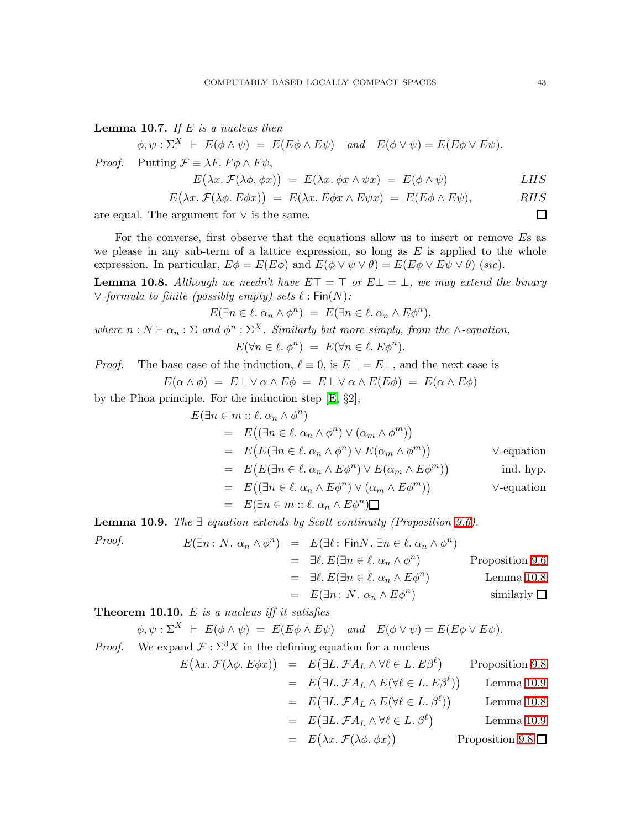Lemma 10.7. *If* E *is a nucleus then*

 $\phi, \psi : \Sigma^{X} \vdash E(\phi \wedge \psi) = E(E\phi \wedge E\psi)$  *and*  $E(\phi \vee \psi) = E(E\phi \vee E\psi)$ . *Proof.* Putting  $\mathcal{F} \equiv \lambda F$ .  $F \phi \wedge F \psi$ ,

$$
E(\lambda x. \mathcal{F}(\lambda \phi. \phi x)) = E(\lambda x. \phi x \wedge \psi x) = E(\phi \wedge \psi) \qquad LHS
$$

$$
E(\lambda x. \mathcal{F}(\lambda \phi. E \phi x)) = E(\lambda x. E \phi x \wedge E \psi x) = E(E \phi \wedge E \psi), \quad RHS
$$

are equal. The argument for  $\vee$  is the same.

For the converse, first observe that the equations allow us to insert or remove Es as we please in any sub-term of a lattice expression, so long as  $E$  is applied to the whole expression. In particular,  $E\phi = E(E\phi)$  and  $E(\phi \vee \psi \vee \theta) = E(E\phi \vee E\psi \vee \theta)$  (*sic*).

<span id="page-42-0"></span>**Lemma 10.8.** Although we needn't have  $E\top = \top$  or  $E\bot = \bot$ , we may extend the binary ∨*-formula to finite (possibly empty) sets* ℓ : Fin(N)*:*

$$
E(\exists n \in \ell \, \alpha_n \wedge \phi^n) \ = \ E(\exists n \in \ell \, \alpha_n \wedge E\phi^n),
$$

where  $n : N \vdash \alpha_n : \Sigma$  and  $\phi^n : \Sigma^X$ . Similarly but more simply, from the ∧*-equation*,

$$
E(\forall n \in \ell, \phi^n) = E(\forall n \in \ell, E\phi^n).
$$

*Proof.* The base case of the induction,  $\ell \equiv 0$ , is  $E \perp E \perp$ , and the next case is

 $E(\alpha \wedge \phi) = E \perp \vee \alpha \wedge E \phi = E \perp \vee \alpha \wedge E(E\phi) = E(\alpha \wedge E\phi)$ 

by the Phoa principle. For the induction step [\[E,](#page-69-1) §2],

$$
E(\exists n \in m :: \ell. \alpha_n \wedge \phi^n)
$$
  
=  $E((\exists n \in \ell. \alpha_n \wedge \phi^n) \vee (\alpha_m \wedge \phi^m))$   
=  $E(E(\exists n \in \ell. \alpha_n \wedge \phi^n) \vee E(\alpha_m \wedge \phi^m))$  V-equation  
=  $E(E(\exists n \in \ell. \alpha_n \wedge E\phi^n) \vee E(\alpha_m \wedge E\phi^m))$  ind. hyp.  
=  $E((\exists n \in \ell. \alpha_n \wedge E\phi^n) \vee (\alpha_m \wedge E\phi^m))$  V-equation  
=  $E(\exists n \in m :: \ell. \alpha_n \wedge E\phi^n)\Box$ 

<span id="page-42-1"></span>Lemma 10.9. *The* ∃ *equation extends by Scott continuity (Proposition [9.6\)](#page-38-0).*

Proof.  
\n
$$
E(\exists n: N. \alpha_n \wedge \phi^n) = E(\exists \ell : \text{Fin}N. \exists n \in \ell. \alpha_n \wedge \phi^n)
$$
\n
$$
= \exists \ell. E(\exists n \in \ell. \alpha_n \wedge \phi^n) \qquad \text{Proposition 9.6}
$$
\n
$$
= \exists \ell. E(\exists n \in \ell. \alpha_n \wedge E\phi^n) \qquad \text{Lemma 10.8}
$$
\n
$$
= E(\exists n: N. \alpha_n \wedge E\phi^n) \qquad \text{Similarly } \square
$$

<span id="page-42-2"></span>Theorem 10.10. E *is a nucleus iff it satisfies*

$$
\phi, \psi : \Sigma^{X} \vdash E(\phi \land \psi) = E(E\phi \land E\psi) \quad \text{and} \quad E(\phi \lor \psi) = E(E\phi \lor E\psi).
$$

*Proof.* We expand  $\mathcal{F} : \Sigma^3 X$  in the defining equation for a nucleus

$$
E(\lambda x. \mathcal{F}(\lambda \phi. E \phi x)) = E(\exists L. \mathcal{F}A_L \land \forall \ell \in L. E\beta^{\ell}) \qquad \text{Proposition 9.8}
$$
  
\n
$$
= E(\exists L. \mathcal{F}A_L \land E(\forall \ell \in L. E\beta^{\ell})) \qquad \text{Lemma 10.9}
$$
  
\n
$$
= E(\exists L. \mathcal{F}A_L \land E(\forall \ell \in L. \beta^{\ell})) \qquad \text{Lemma 10.8}
$$
  
\n
$$
= E(\exists L. \mathcal{F}A_L \land \forall \ell \in L. \beta^{\ell}) \qquad \text{Lemma 10.9}
$$
  
\n
$$
= E(\lambda x. \mathcal{F}(\lambda \phi. \phi x)) \qquad \text{Proposition 9.8} \square
$$

$$
43\,
$$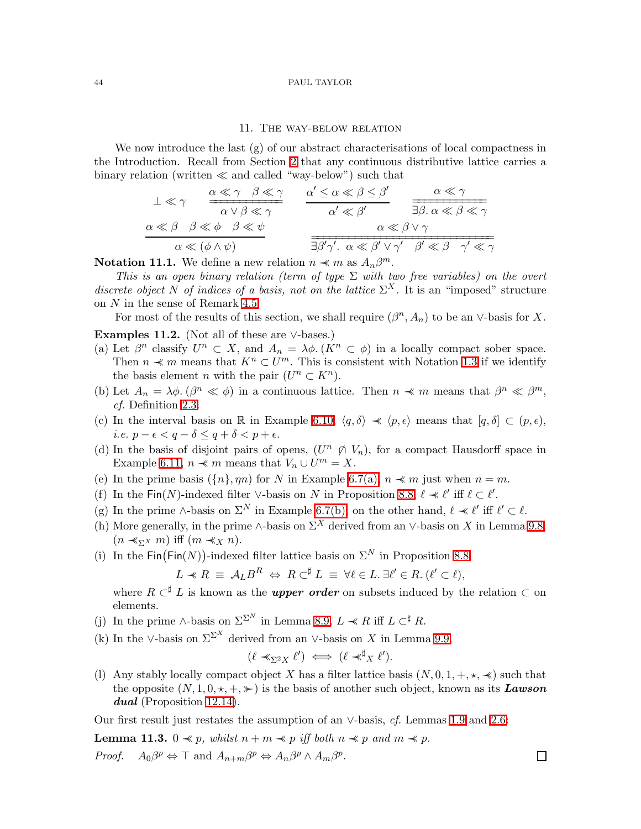### 11. The way-below relation

<span id="page-43-0"></span>We now introduce the last  $(g)$  of our abstract characterisations of local compactness in the Introduction. Recall from Section [2](#page-6-0) that any continuous distributive lattice carries a binary relation (written ≪ and called "way-below") such that

$$
\frac{\bot \ll \gamma}{\alpha \lor \beta \ll \gamma} \quad \frac{\alpha \ll \gamma}{\alpha \lor \beta \ll \gamma} \quad \frac{\alpha' \leq \alpha \ll \beta \leq \beta'}{\alpha' \ll \beta'} \quad \frac{\alpha \ll \gamma}{\exists \beta. \ \alpha \ll \beta \ll \gamma}
$$
\n
$$
\frac{\alpha \ll \beta \quad \beta \ll \phi \quad \beta \ll \psi}{\alpha \ll (\phi \land \psi)} \quad \frac{\alpha' \leq \alpha \ll \beta \leq \beta'}{\alpha \ll \beta' \lor \gamma'} \quad \frac{\alpha \ll \gamma}{\beta' \ll \beta \quad \gamma' \ll \gamma}
$$

<span id="page-43-2"></span>**Notation 11.1.** We define a new relation  $n \prec m$  as  $A_n \beta^m$ .

*This is an open binary relation (term of type* Σ *with two free variables) on the overt discrete object* N of indices of a basis, not on the lattice  $\Sigma^X$ . It is an "imposed" structure on N in the sense of Remark [4.5.](#page-13-3)

For most of the results of this section, we shall require  $(\beta^n, A_n)$  to be an ∨-basis for X.

# Examples 11.2. (Not all of these are ∨-bases.)

- (a) Let  $\beta^n$  classify  $U^n \subset X$ , and  $A_n = \lambda \phi$ .  $(K^n \subset \phi)$  in a locally compact sober space. Then  $n \prec m$  means that  $K^n \subset U^m$ . This is consistent with Notation [1.3](#page-2-4) if we identify the basis element *n* with the pair  $(U^n \subset K^n)$ .
- (b) Let  $A_n = \lambda \phi$ .  $(\beta^n \ll \phi)$  in a continuous lattice. Then  $n \prec m$  means that  $\beta^n \ll \beta^m$ , *cf.* Definition [2.3.](#page-6-1)
- (c) In the interval basis on R in Example [6.10,](#page-25-0)  $\langle q, \delta \rangle \prec \langle p, \epsilon \rangle$  means that  $[q, \delta] \subset (p, \epsilon)$ , *i.e.*  $p - \epsilon < q - \delta \leq q + \delta < p + \epsilon$ .
- (d) In the basis of disjoint pairs of opens,  $(U^n \notimes V_n)$ , for a compact Hausdorff space in Example [6.11,](#page-26-0)  $n \prec m$  means that  $V_n \cup U^m = X$ .
- (e) In the prime basis  $({n},\eta n)$  for N in Example [6.7\(a\),](#page-24-2)  $n \prec m$  just when  $n = m$ .
- (f) In the  $\textsf{Fin}(N)$ -indexed filter ∨-basis on N in Proposition [8.8,](#page-35-0)  $\ell \prec \ell'$  iff  $\ell \subset \ell'$ .
- (g) In the prime ∧-basis on  $\Sigma^N$  in Example [6.7\(b\),](#page-25-1) on the other hand,  $\ell \ll \ell'$  iff  $\ell' \subset \ell$ .
- (h) More generally, in the prime ∧-basis on  $\Sigma^X$  derived from an ∨-basis on X in Lemma [9.8,](#page-39-2)  $(n \prec_{\Sigma} x m)$  iff  $(m \prec_{X} n)$ .
- (i) In the  $\text{Fin}(\text{Fin}(N))$ -indexed filter lattice basis on  $\Sigma^N$  in Proposition [8.8,](#page-35-0)

$$
L \prec R \equiv \mathcal{A}_L B^R \Leftrightarrow R \subset^{\sharp} L \equiv \forall \ell \in L. \ \exists \ell' \in R. \ (\ell' \subset \ell),
$$

where  $R \subset K$  is known as the *upper order* on subsets induced by the relation  $\subset$  on elements.

- (j) In the prime ∧-basis on  $\Sigma^{\Sigma^N}$  in Lemma [8.9,](#page-36-0)  $L \ll R$  iff  $L \subset \nmid R$ .
- (k) In the ∨-basis on  $\Sigma^{\Sigma^X}$  derived from an ∨-basis on X in Lemma [9.9,](#page-39-3)

$$
(\ell \prec_{\Sigma^2 X} \ell') \iff (\ell \prec^{\sharp}_X \ell').
$$

(l) Any stably locally compact object X has a filter lattice basis  $(N, 0, 1, +, \star, \star)$  such that the opposite  $(N, 1, 0, \star, +, \star)$  is the basis of another such object, known as its Lawson dual (Proposition [12.14\)](#page-50-1).

<span id="page-43-1"></span>Our first result just restates the assumption of an ∨-basis, *cf.* Lemmas [1.9](#page-5-0) and [2.6:](#page-7-2)

**Lemma 11.3.** 0  $\textless p$ , whilst  $n + m \textless p$  iff both  $n \textless p$  and  $m \textless p$ . *Proof.*  $p \Leftrightarrow \top$  and  $A_{n+m}\beta^p \Leftrightarrow A_n\beta^p \wedge A_m\beta^p$ .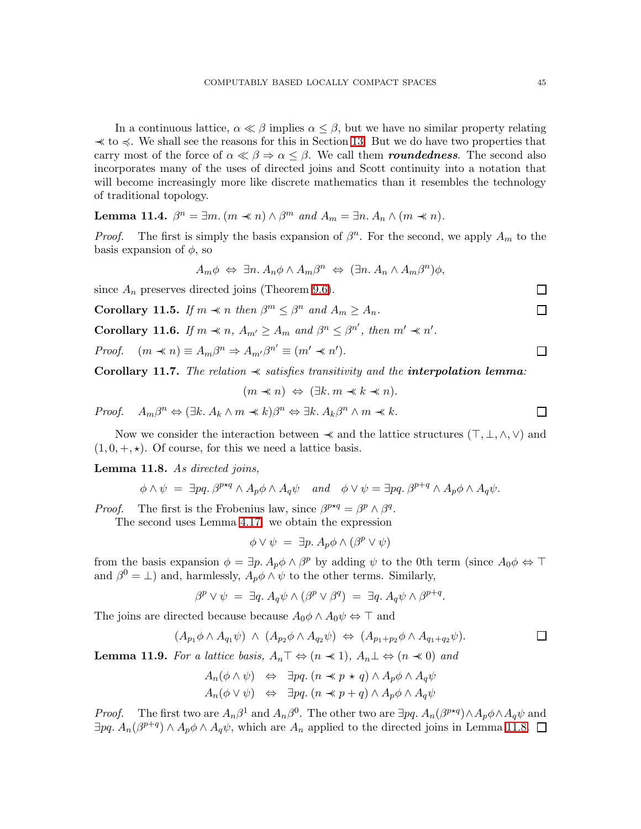In a continuous lattice,  $\alpha \ll \beta$  implies  $\alpha \leq \beta$ , but we have no similar property relating  $\prec$  to  $\prec$ . We shall see the reasons for this in Section [13.](#page-50-0) But we do have two properties that carry most of the force of  $\alpha \ll \beta \Rightarrow \alpha \leq \beta$ . We call them **roundedness**. The second also incorporates many of the uses of directed joins and Scott continuity into a notation that will become increasingly more like discrete mathematics than it resembles the technology of traditional topology.

<span id="page-44-5"></span>Lemma 11.4.  $\beta^n = \exists m \ldots (m \prec n) \wedge \beta^m$  and  $A_m = \exists n \ldots A_n \wedge (m \prec n)$ .

*Proof.* The first is simply the basis expansion of  $\beta^n$ . For the second, we apply  $A_m$  to the basis expansion of  $\phi$ , so

$$
A_m \phi \Leftrightarrow \exists n. A_n \phi \wedge A_m \beta^n \Leftrightarrow (\exists n. A_n \wedge A_m \beta^n) \phi,
$$

<span id="page-44-2"></span>since  $A_n$  preserves directed joins (Theorem [9.6\)](#page-38-0).

**Corollary 11.5.** *If*  $m \text{ } \textless n$  *then*  $\beta^m \leq \beta^n$  *and*  $A_m \geq A_n$ *.* 

<span id="page-44-4"></span>**Corollary 11.6.** *If*  $m \ll n$ ,  $A_{m'} \geq A_m$  and  $\beta^n \leq \beta^{n'}$ , then  $m' \ll n'$ .

<span id="page-44-3"></span>*Proof.*  $(m \ll n) \equiv A_m \beta^n \Rightarrow A_{m'} \beta^{n'} \equiv (m' \ll n').$ 

Corollary 11.7. The relation  $\prec$  *satisfies transitivity and the interpolation lemma:* 

 $(m \prec n) \Leftrightarrow (\exists k. m \prec k \prec n).$ 

*Proof.*  $A_m \beta^n \Leftrightarrow (\exists k. A_k \wedge m \preceq k) \beta^n \Leftrightarrow \exists k. A_k \beta^n \wedge m \preceq k.$ 

<span id="page-44-0"></span>Now we consider the interaction between  $\prec$  and the lattice structures  $(\top, \bot, \wedge, \vee)$  and  $(1, 0, +, \star)$ . Of course, for this we need a lattice basis.

Lemma 11.8. *As directed joins,*

$$
\phi \wedge \psi = \exists pq. \ \beta^{p \star q} \wedge A_p \phi \wedge A_q \psi \quad and \quad \phi \vee \psi = \exists pq. \ \beta^{p+q} \wedge A_p \phi \wedge A_q \psi.
$$

*Proof.* The first is the Frobenius law, since  $\beta^{p \star q} = \beta^p \wedge \beta^q$ .

The second uses Lemma [4.17:](#page-17-1) we obtain the expression

$$
\phi \vee \psi = \exists p. A_p \phi \wedge (\beta^p \vee \psi)
$$

from the basis expansion  $\phi = \exists p. A_p \phi \wedge \beta^p$  by adding  $\psi$  to the 0th term (since  $A_0 \phi \Leftrightarrow \top$ and  $\beta^0 = \bot$ ) and, harmlessly,  $A_p \phi \wedge \psi$  to the other terms. Similarly,

$$
\beta^p \vee \psi = \exists q. A_q \psi \wedge (\beta^p \vee \beta^q) = \exists q. A_q \psi \wedge \beta^{p+q}
$$

The joins are directed because because  $A_0\phi \wedge A_0\psi \Leftrightarrow \top$  and

$$
(A_{p1}\phi \wedge A_{q1}\psi) \wedge (A_{p2}\phi \wedge A_{q2}\psi) \Leftrightarrow (A_{p1+p2}\phi \wedge A_{q1+q2}\psi).
$$

.

<span id="page-44-1"></span>**Lemma 11.9.** *For a lattice basis,*  $A_n \top \Leftrightarrow (n \ll 1), A_n \bot \Leftrightarrow (n \ll 0)$  *and* 

$$
A_n(\phi \land \psi) \Leftrightarrow \exists pq. (n \prec p \star q) \land A_p \phi \land A_q \psi
$$
  

$$
A_n(\phi \lor \psi) \Leftrightarrow \exists pq. (n \prec p + q) \land A_p \phi \land A_q \psi
$$

*Proof.* The first two are  $A_n\beta^1$  and  $A_n\beta^0$ . The other two are  $\exists pq$ .  $A_n(\beta^{p\star q}) \wedge A_p\phi \wedge A_q\psi$  and  $\exists pq. A_n(\beta^{p+q}) \wedge A_p \phi \wedge A_q \psi$ , which are  $A_n$  applied to the directed joins in Lemma [11.8.](#page-44-0)

 $\Box$ 

 $\Box$ 

 $\Box$ 

П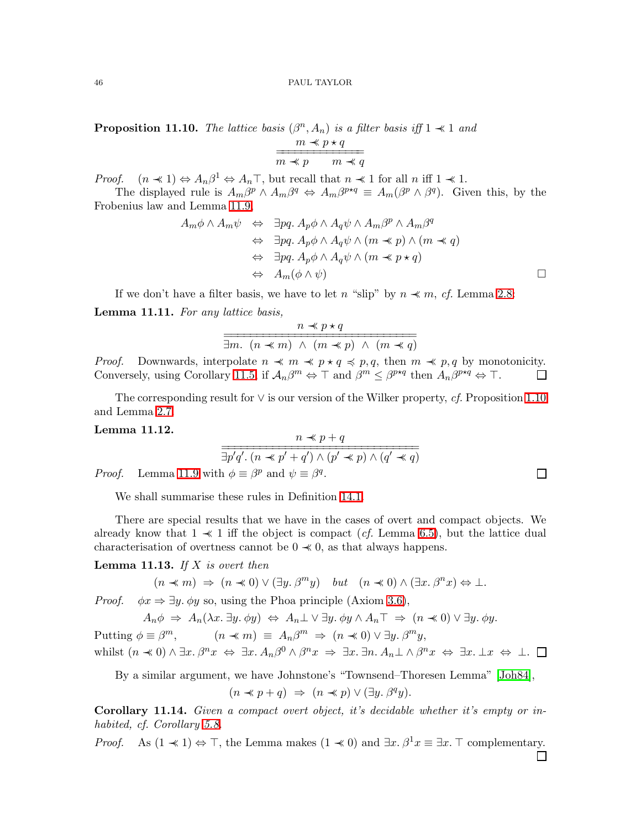<span id="page-45-0"></span>**Proposition 11.10.** *The lattice basis*  $(\beta^n, A_n)$  *is a filter basis iff*  $1 \nless 1$  *and* 

$$
\frac{m \prec p \star q}{m \prec p \qquad m \prec q}
$$

*Proof.*  $(n \ll 1) \Leftrightarrow A_n \beta^1 \Leftrightarrow A_n \top$ , but recall that  $n \ll 1$  for all  $n$  iff  $1 \ll 1$ .

The displayed rule is  $A_m\beta^p \wedge A_m\beta^q \Leftrightarrow A_m\beta^{p \star q} \equiv A_m(\beta^p \wedge \beta^q)$ . Given this, by the Frobenius law and Lemma [11.9,](#page-44-1)

$$
A_m \phi \land A_m \psi \Leftrightarrow \exists pq. \ A_p \phi \land A_q \psi \land A_m \beta^p \land A_m \beta^q
$$
  
\n
$$
\Leftrightarrow \exists pq. \ A_p \phi \land A_q \psi \land (m \prec p) \land (m \prec q)
$$
  
\n
$$
\Leftrightarrow \exists pq. \ A_p \phi \land A_q \psi \land (m \prec p \star q)
$$
  
\n
$$
\Leftrightarrow A_m(\phi \land \psi)
$$

If we don't have a filter basis, we have to let n "slip" by  $n \prec m$ , *cf.* Lemma [2.8:](#page-7-3)

<span id="page-45-1"></span>Lemma 11.11. *For any lattice basis,*

$$
\frac{n \ll p \star q}{\exists m. \ (n \ll m) \ \land \ (m \ll p) \ \land \ (m \ll q)}
$$

*Proof.* Downwards, interpolate  $n \ll m \ll p \star q \leq p, q$ , then  $m \ll p, q$  by monotonicity. Conversely, using Corollary [11.5,](#page-44-2) if  $\mathcal{A}_n\beta^m \Leftrightarrow \top$  and  $\beta^m \leq \beta^{p \star q}$  then  $\mathcal{A}_n\beta^{p \star q} \Leftrightarrow \top$ .  $\Box$ 

<span id="page-45-2"></span>The corresponding result for ∨ is our version of the Wilker property, *cf.* Proposition [1.10](#page-5-1) and Lemma [2.7.](#page-7-0)

# Lemma 11.12.

$$
\frac{n \ll p + q}{\exists p'q'. \ (n \ll p' + q') \land (p' \ll p) \land (q' \ll q)}
$$

*Proof.* Lemma [11.9](#page-44-1) with  $\phi \equiv \beta^p$  and  $\psi \equiv \beta^q$ .

We shall summarise these rules in Definition [14.1.](#page-54-1)

There are special results that we have in the cases of overt and compact objects. We already know that  $1 \ll 1$  iff the object is compact (*cf.* Lemma [6.5\)](#page-24-0), but the lattice dual characterisation of overtness cannot be  $0 \prec 0$ , as that always happens.

Lemma 11.13. *If* X *is overt then*

 $(n \ll m) \Rightarrow (n \ll 0) \vee (\exists y \ldotp \beta^m y) \quad but \quad (n \ll 0) \wedge (\exists x \ldotp \beta^n x) \Leftrightarrow \bot.$ 

*Proof.*  $\phi x \Rightarrow \exists y \, \phi y$  so, using the Phoa principle (Axiom [3.6\)](#page-11-1),

 $A_n \phi \Rightarrow A_n(\lambda x. \exists y. \phi y) \Leftrightarrow A_n \bot \vee \exists y. \phi y \wedge A_n \top \Rightarrow (n \prec 0) \vee \exists y. \phi y.$ Putting  $\phi \equiv \beta^m$ ,  $(n \prec m) \equiv A_n \beta^m \Rightarrow (n \prec 0) \vee \exists y \ldotp \beta^m y$ , whilst  $(n \ll 0) \land \exists x. \beta^n x \Leftrightarrow \exists x. A_n \beta^0 \land \beta^n x \Rightarrow \exists x. \exists n. A_n \bot \land \beta^n x \Leftrightarrow \exists x. \bot x \Leftrightarrow \bot.$ 

By a similar argument, we have Johnstone's "Townsend–Thoresen Lemma" [\[Joh84\]](#page-68-18),

$$
(n \prec p + q) \Rightarrow (n \prec p) \vee (\exists y. \beta^q y).
$$

Corollary 11.14. *Given a compact overt object, it's decidable whether it's empty or inhabited, cf. Corollary [5.8.](#page-19-2)*

*Proof.* As  $(1 \nless 1) \Leftrightarrow \top$ , the Lemma makes  $(1 \nless 0)$  and  $\exists x \, \beta^1 x \equiv \exists x \, \top$  complementary. П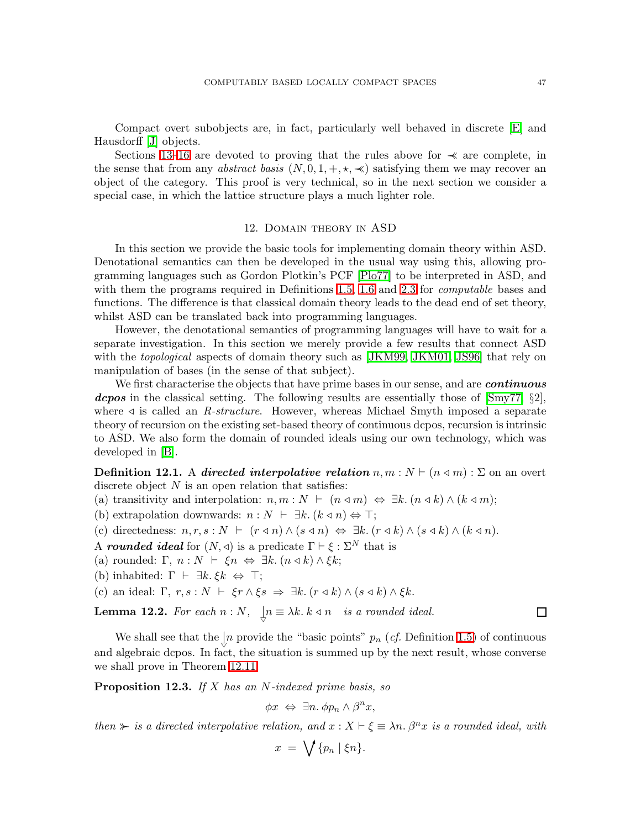Compact overt subobjects are, in fact, particularly well behaved in discrete [\[E\]](#page-69-1) and Hausdorff [\[J\]](#page-69-6) objects.

Sections [13–](#page-50-0)[16](#page-59-0) are devoted to proving that the rules above for  $\prec$  are complete, in the sense that from any *abstract basis*  $(N, 0, 1, +, \star, \star)$  satisfying them we may recover an object of the category. This proof is very technical, so in the next section we consider a special case, in which the lattice structure plays a much lighter role.

# 12. Domain theory in ASD

<span id="page-46-0"></span>In this section we provide the basic tools for implementing domain theory within ASD. Denotational semantics can then be developed in the usual way using this, allowing programming languages such as Gordon Plotkin's PCF [\[Plo77\]](#page-68-11) to be interpreted in ASD, and with them the programs required in Definitions [1.5,](#page-3-0) [1.6](#page-3-1) and [2.3](#page-6-1) for *computable* bases and functions. The difference is that classical domain theory leads to the dead end of set theory, whilst ASD can be translated back into programming languages.

However, the denotational semantics of programming languages will have to wait for a separate investigation. In this section we merely provide a few results that connect ASD with the *topological* aspects of domain theory such as [\[JKM99,](#page-68-17) [JKM01,](#page-68-9) [JS96\]](#page-68-4) that rely on manipulation of bases (in the sense of that subject).

We first characterise the objects that have prime bases in our sense, and are *continuous* **dcpos** in the classical setting. The following results are essentially those of  $\text{Smy77, }$  §2, where ⊳ is called an *R-structure*. However, whereas Michael Smyth imposed a separate theory of recursion on the existing set-based theory of continuous dcpos, recursion is intrinsic to ASD. We also form the domain of rounded ideals using our own technology, which was developed in [\[B\]](#page-68-0).

<span id="page-46-2"></span>**Definition 12.1.** A directed interpolative relation  $n, m : N \vdash (n \triangleleft m) : \Sigma$  on an overt discrete object  $N$  is an open relation that satisfies:

(a) transitivity and interpolation:  $n, m : N \vdash (n \triangleleft m) \Leftrightarrow \exists k. (n \triangleleft k) \wedge (k \triangleleft m);$ 

(b) extrapolation downwards:  $n : N \vdash \exists k. (k \triangleleft n) \Leftrightarrow \top;$ 

(c) directedness:  $n, r, s : N \vdash (r \triangleleft n) \land (s \triangleleft n) \Leftrightarrow \exists k. (r \triangleleft k) \land (s \triangleleft k) \land (k \triangleleft n)$ .

A rounded ideal for  $(N, \triangleleft)$  is a predicate  $\Gamma \vdash \xi : \Sigma^N$  that is

(a) rounded: Γ,  $n : N \vdash \xi n \Leftrightarrow \exists k. (n \triangleleft k) \wedge \xi k;$ 

(b) inhabited:  $\Gamma \vdash \exists k. \xi k \Leftrightarrow \top;$ 

(c) an ideal:  $\Gamma$ ,  $r, s : N \vdash \xi r \wedge \xi s \Rightarrow \exists k. (r \triangleleft k) \wedge (s \triangleleft k) \wedge \xi k$ .

**Lemma 12.2.** For each  $n : N$ ,  $\bigcup_{n=1}^{\infty} \mathbb{R} \times \mathbb{R}^n$  is a rounded ideal.

We shall see that the  $\downarrow n$  provide the "basic points"  $p_n$  (*cf.* Definition [1.5\)](#page-3-0) of continuous and algebraic dcpos. In fact, the situation is summed up by the next result, whose converse we shall prove in Theorem [12.11.](#page-49-1)

<span id="page-46-1"></span>Proposition 12.3. *If* X *has an* N*-indexed prime basis, so*

$$
\phi x \Leftrightarrow \exists n. \phi p_n \wedge \beta^n x,
$$

*then*  $\succ$  *is a directed interpolative relation, and*  $x : X \vdash \xi \equiv \lambda n$ .  $\beta^n x$  *is a rounded ideal, with* 

$$
x = \bigvee \{p_n \mid \xi n\}.
$$

П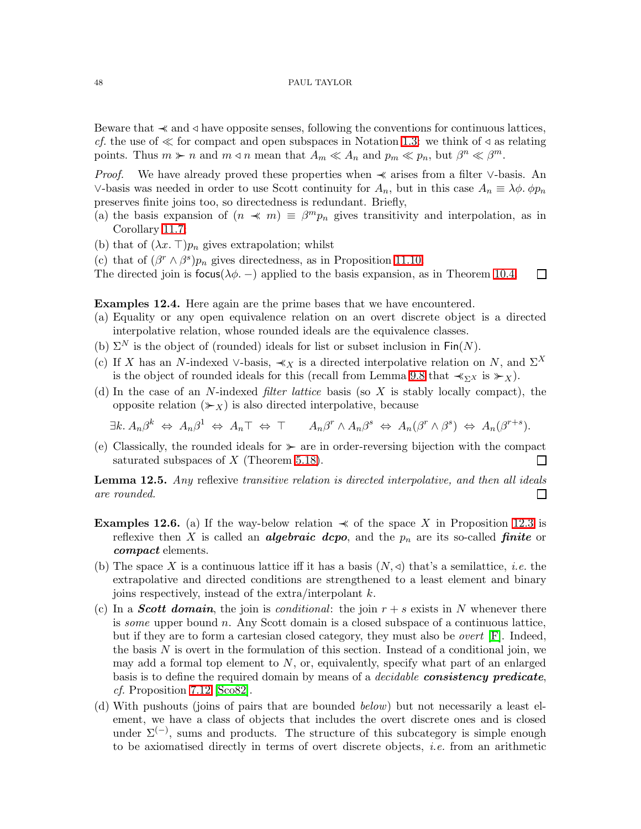Beware that ≺≺ and ⊳ have opposite senses, following the conventions for continuous lattices, *cf.* the use of  $\ll$  for compact and open subspaces in Notation [1.3:](#page-2-4) we think of  $\triangleleft$  as relating points. Thus  $m \succ n$  and  $m \triangleleft n$  mean that  $A_m \ll A_n$  and  $p_m \ll p_n$ , but  $\beta^n \ll \beta^m$ .

*Proof.* We have already proved these properties when  $\prec$  arises from a filter ∨-basis. An ∨-basis was needed in order to use Scott continuity for  $A_n$ , but in this case  $A_n \equiv \lambda \phi$ .  $\phi p_n$ preserves finite joins too, so directedness is redundant. Briefly,

- (a) the basis expansion of  $(n \ll m) \equiv \beta^m p_n$  gives transitivity and interpolation, as in Corollary [11.7;](#page-44-3)
- (b) that of  $(\lambda x. \top)p_n$  gives extrapolation; whilst
- (c) that of  $(\beta^r \wedge \beta^s)p_n$  gives directedness, as in Proposition [11.10.](#page-45-0)
- The directed join is focus( $\lambda \phi$ . –) applied to the basis expansion, as in Theorem [10.4.](#page-41-1)  $\Box$

Examples 12.4. Here again are the prime bases that we have encountered.

- (a) Equality or any open equivalence relation on an overt discrete object is a directed interpolative relation, whose rounded ideals are the equivalence classes.
- (b)  $\Sigma^N$  is the object of (rounded) ideals for list or subset inclusion in Fin(N).
- <span id="page-47-0"></span>(c) If X has an N-indexed ∨-basis,  $\prec_X$  is a directed interpolative relation on N, and  $\Sigma^X$ is the object of rounded ideals for this (recall from Lemma [9.8](#page-39-2) that  $\prec_{\Sigma} x$  is  $\succ_{\chi}$ ).
- (d) In the case of an N-indexed *filter lattice* basis (so X is stably locally compact), the opposite relation  $(\succcurlyeq_X)$  is also directed interpolative, because

$$
\exists k. \ A_n \beta^k \ \Leftrightarrow \ A_n \beta^1 \ \Leftrightarrow \ A_n \top \ \Leftrightarrow \ \top \qquad A_n \beta^r \wedge A_n \beta^s \ \Leftrightarrow \ A_n (\beta^r \wedge \beta^s) \ \Leftrightarrow \ A_n (\beta^{r+s}).
$$

(e) Classically, the rounded ideals for ≻≻ are in order-reversing bijection with the compact saturated subspaces of  $X$  (Theorem [5.18\)](#page-22-1).  $\Box$ 

Lemma 12.5. *Any* reflexive *transitive relation is directed interpolative, and then all ideals are rounded.*  $\Box$ 

- **Examples 12.6.** (a) If the way-below relation  $\prec$  of the space X in Proposition [12.3](#page-46-1) is reflexive then X is called an **algebraic dcpo**, and the  $p_n$  are its so-called **finite** or compact elements.
- <span id="page-47-1"></span>(b) The space X is a continuous lattice iff it has a basis  $(N, \triangleleft)$  that's a semilattice, *i.e.* the extrapolative and directed conditions are strengthened to a least element and binary joins respectively, instead of the extra/interpolant  $k$ .
- (c) In a **Scott domain**, the join is *conditional*: the join  $r + s$  exists in N whenever there is *some* upper bound n. Any Scott domain is a closed subspace of a continuous lattice, but if they are to form a cartesian closed category, they must also be *overt* [\[F\]](#page-69-5). Indeed, the basis  $N$  is overt in the formulation of this section. Instead of a conditional join, we may add a formal top element to  $N$ , or, equivalently, specify what part of an enlarged basis is to define the required domain by means of a *decidable* consistency predicate, *cf.* Proposition [7.12](#page-30-1) [\[Sco82\]](#page-68-16).
- <span id="page-47-2"></span>(d) With pushouts (joins of pairs that are bounded *below*) but not necessarily a least element, we have a class of objects that includes the overt discrete ones and is closed under  $\Sigma^{(-)}$ , sums and products. The structure of this subcategory is simple enough to be axiomatised directly in terms of overt discrete objects, *i.e.* from an arithmetic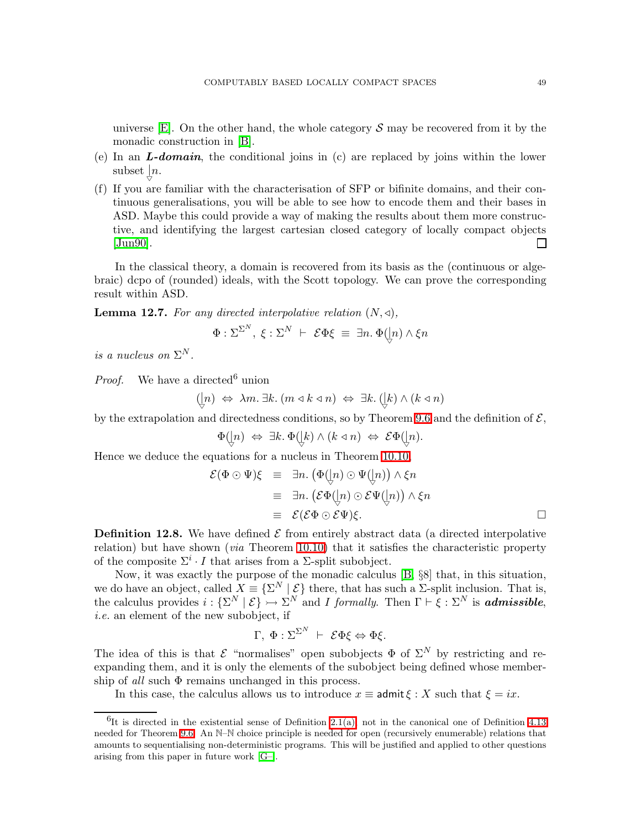universe  $[E]$ . On the other hand, the whole category S may be recovered from it by the monadic construction in [\[B\]](#page-68-0).

- (e) In an  $L\text{-}domain$ , the conditional joins in (c) are replaced by joins within the lower subset  $\int_{\triangledown}$ *n*.
- (f) If you are familiar with the characterisation of SFP or bifinite domains, and their continuous generalisations, you will be able to see how to encode them and their bases in ASD. Maybe this could provide a way of making the results about them more constructive, and identifying the largest cartesian closed category of locally compact objects [\[Jun90\]](#page-68-20). П

In the classical theory, a domain is recovered from its basis as the (continuous or algebraic) dcpo of (rounded) ideals, with the Scott topology. We can prove the corresponding result within ASD.

**Lemma 12.7.** For any directed interpolative relation  $(N, \triangleleft)$ ,

$$
\Phi : \Sigma^{\Sigma^N}, \ \xi : \Sigma^N \ \vdash \ \mathcal{E} \Phi \xi \ \equiv \ \exists n. \ \Phi \big( \hspace{-3pt} \big\downarrow \hspace{-3pt} n) \wedge \xi n
$$

*is a nucleus on*  $\Sigma^N$ .

*Proof.* We have a directed<sup>6</sup> union

$$
([n \iff \lambda m. \ \exists k. \ (m \triangleleft k \triangleleft n) \iff \exists k. \ ([k \land (k \triangleleft n)
$$

by the extrapolation and directedness conditions, so by Theorem [9.6](#page-38-0) and the definition of  $\mathcal{E}$ ,

Φ(| ▽ n) ⇔ ∃k. Φ(| ▽ k) ∧ (k ⊳ n) ⇔ EΦ(| ▽ n).

Hence we deduce the equations for a nucleus in Theorem [10.10,](#page-42-2)

$$
\mathcal{E}(\Phi \odot \Psi)\xi \equiv \exists n. (\Phi(\ln) \odot \Psi(\ln)) \wedge \xi n
$$
  
\n
$$
\equiv \exists n. (\mathcal{E}\Phi(\ln) \odot \mathcal{E}\Psi(\ln)) \wedge \xi n
$$
  
\n
$$
\equiv \mathcal{E}(\mathcal{E}\Phi \odot \mathcal{E}\Psi)\xi.
$$

<span id="page-48-0"></span>**Definition 12.8.** We have defined  $\mathcal{E}$  from entirely abstract data (a directed interpolative relation) but have shown (*via* Theorem [10.10\)](#page-42-2) that it satisfies the characteristic property of the composite  $\Sigma^i \cdot I$  that arises from a  $\Sigma$ -split subobject.

Now, it was exactly the purpose of the monadic calculus [\[B,](#page-68-0) §8] that, in this situation, we do have an object, called  $X \equiv \{ \Sigma^N \mid \mathcal{E} \}$  there, that has such a  $\Sigma$ -split inclusion. That is, the calculus provides  $i: \{\Sigma^N \mid \mathcal{E}\} \rightarrowtail \Sigma^N$  and I formally. Then  $\Gamma \vdash \xi : \Sigma^N$  is **admissible**, *i.e.* an element of the new subobject, if

$$
\Gamma, \ \Phi : \Sigma^{\Sigma^N} \ \vdash \ \mathcal{E} \Phi \xi \Leftrightarrow \Phi \xi.
$$

The idea of this is that  $\mathcal E$  "normalises" open subobjects  $\Phi$  of  $\Sigma^N$  by restricting and reexpanding them, and it is only the elements of the subobject being defined whose membership of *all* such Φ remains unchanged in this process.

In this case, the calculus allows us to introduce  $x \equiv$  admit  $\xi : X$  such that  $\xi = ix$ .

 ${}^{6}$ It is directed in the existential sense of Definition [2.1\(a\),](#page-6-4) not in the canonical one of Definition [4.13](#page-15-0) needed for Theorem [9.6.](#page-38-0) An N–N choice principle is needed for open (recursively enumerable) relations that amounts to sequentialising non-deterministic programs. This will be justified and applied to other questions arising from this paper in future work [\[G–\]](#page-69-7).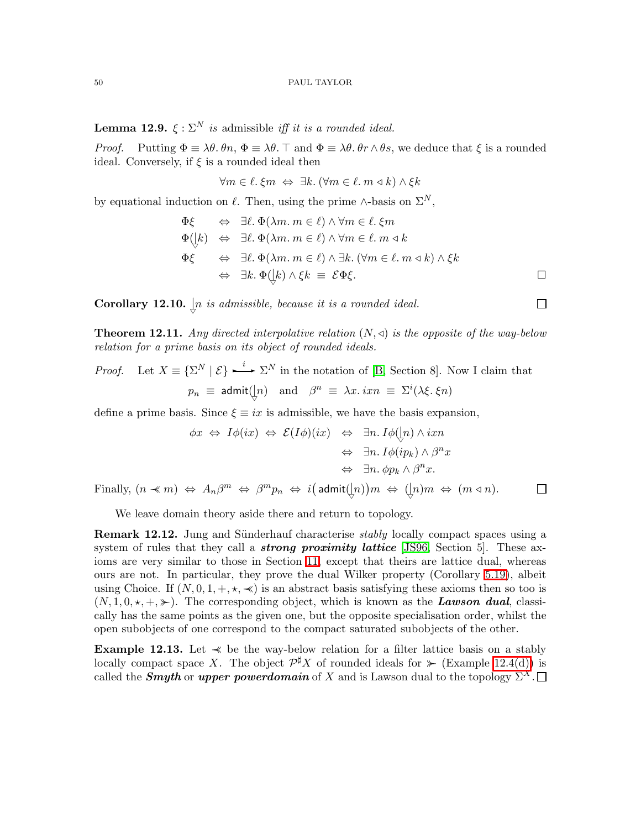<span id="page-49-2"></span>**Lemma 12.9.**  $\xi : \Sigma^N$  *is* admissible *iff it is a rounded ideal.* 

*Proof.* Putting  $\Phi \equiv \lambda \theta$ .  $\theta n$ ,  $\Phi \equiv \lambda \theta$ .  $\top$  and  $\Phi \equiv \lambda \theta$ .  $\theta r \wedge \theta s$ , we deduce that  $\xi$  is a rounded ideal. Conversely, if  $\xi$  is a rounded ideal then

$$
\forall m \in \ell. \ \xi m \ \Leftrightarrow \ \exists k. \ (\forall m \in \ell. \ m \triangleleft k) \land \xi k
$$

by equational induction on  $\ell$ . Then, using the prime ∧-basis on  $\Sigma^N$ ,

$$
\Phi\xi \Leftrightarrow \exists \ell. \Phi(\lambda m. m \in \ell) \land \forall m \in \ell. \xi m
$$
  
\n
$$
\Phi(|k\rangle \Leftrightarrow \exists \ell. \Phi(\lambda m. m \in \ell) \land \forall m \in \ell. m \triangleleft k
$$
  
\n
$$
\Phi\xi \Leftrightarrow \exists \ell. \Phi(\lambda m. m \in \ell) \land \exists k. (\forall m \in \ell. m \triangleleft k) \land \xi k
$$
  
\n
$$
\Leftrightarrow \exists k. \Phi(|k\rangle \land \xi k \equiv \mathcal{E}\Phi\xi.
$$

<span id="page-49-1"></span>**Corollary 12.10.**  $\downarrow n$  *is admissible, because it is a rounded ideal.* 

Theorem 12.11. *Any directed interpolative relation* (N,⊳) *is the opposite of the way-below relation for a prime basis on its object of rounded ideals.*

*Proof.* Let 
$$
X \equiv \{\Sigma^N | \mathcal{E}\}\stackrel{i}{\longrightarrow} \Sigma^N
$$
 in the notation of [B, Section 8]. Now I claim that  $p_n \equiv \text{admit}(\lfloor n) \text{ and } \beta^n \equiv \lambda x. \, i x n \equiv \Sigma^i (\lambda \xi. \xi n)$ 

define a prime basis. Since  $\xi \equiv ix$  is admissible, we have the basis expansion,

$$
\phi x \Leftrightarrow I\phi(ix) \Leftrightarrow \mathcal{E}(I\phi)(ix) \Leftrightarrow \exists n. I\phi([n) \land ixn
$$

$$
\Leftrightarrow \exists n. I\phi(ip_k) \land \beta^n x
$$

$$
\Leftrightarrow \exists n. \phi p_k \land \beta^n x.
$$

Finally,  $(n \prec m) \Leftrightarrow A_n \beta^m \Leftrightarrow \beta^m p_n \Leftrightarrow i(\text{admit}(\frac{1}{n}))m \Leftrightarrow (\frac{1}{n})m \Leftrightarrow (m \triangleleft n)$ .

We leave domain theory aside there and return to topology.

**Remark 12.12.** Jung and Sünderhauf characterise *stably* locally compact spaces using a system of rules that they call a *strong proximity lattice* [\[JS96,](#page-68-4) Section 5]. These axioms are very similar to those in Section [11,](#page-43-0) except that theirs are lattice dual, whereas ours are not. In particular, they prove the dual Wilker property (Corollary [5.19\)](#page-22-2), albeit using Choice. If  $(N, 0, 1, +, \star, \star)$  is an abstract basis satisfying these axioms then so too is  $(N, 1, 0, \star, +, \star)$ . The corresponding object, which is known as the **Lawson dual**, classically has the same points as the given one, but the opposite specialisation order, whilst the open subobjects of one correspond to the compact saturated subobjects of the other.

<span id="page-49-0"></span>**Example 12.13.** Let  $\prec$  be the way-below relation for a filter lattice basis on a stably locally compact space X. The object  $\mathcal{P}^{\sharp} X$  of rounded ideals for  $\ast$  (Example [12.4\(d\)\)](#page-47-0) is called the **Smyth** or upper powerdomain of X and is Lawson dual to the topology  $\Sigma^X$ .

 $\Box$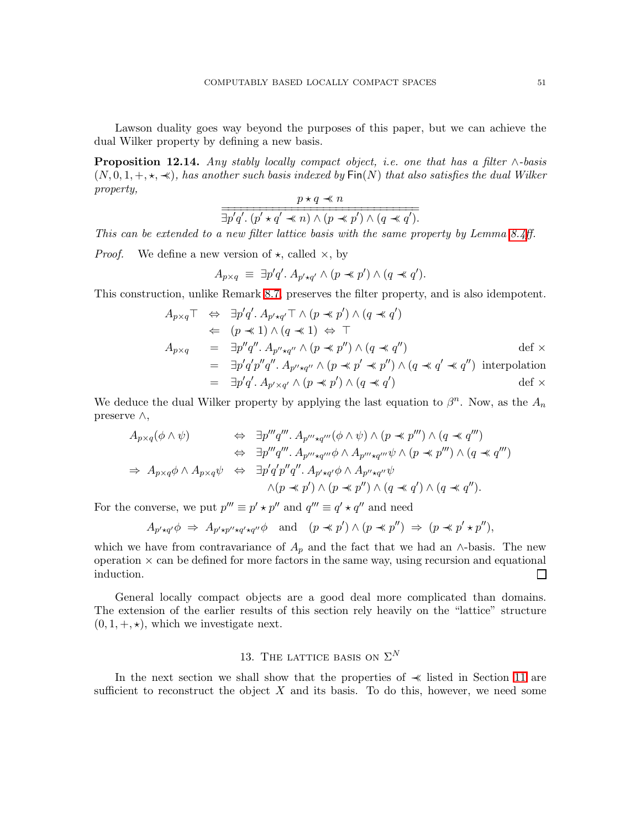<span id="page-50-1"></span>Lawson duality goes way beyond the purposes of this paper, but we can achieve the dual Wilker property by defining a new basis.

Proposition 12.14. *Any stably locally compact object, i.e. one that has a filter* ∧*-basis* (N, 0, 1, +,⋆, ≺≺)*, has another such basis indexed by* Fin(N) *that also satisfies the dual Wilker property,*  $n + a \nightharpoonup n$ 

$$
\frac{p \times q \times n}{\exists p'q'. (p' \star q' \prec n) \land (p \prec p') \land (q \prec q').}
$$

*This can be extended to a new filter lattice basis with the same property by Lemma [8.4ff](#page-34-1).*

*Proof.* We define a new version of  $\star$ , called  $\times$ , by

$$
A_{p\times q} \equiv \exists p'q'. A_{p'\star q'} \land (p \ast p') \land (q \ast q').
$$

This construction, unlike Remark [8.7,](#page-35-1) preserves the filter property, and is also idempotent.

$$
A_{p \times q} \top \Leftrightarrow \exists p' q'. A_{p' \star q'} \top \wedge (p \ll p') \wedge (q \ll q')
$$
  
\n
$$
\Leftrightarrow (p \ll 1) \wedge (q \ll 1) \Leftrightarrow \top
$$
  
\n
$$
A_{p \times q} = \exists p'' q''. A_{p'' \star q''} \wedge (p \ll p'') \wedge (q \ll q'')
$$
  
\n
$$
= \exists p' q' p'' q''. A_{p'' \star q''} \wedge (p \ll p' \ll p'') \wedge (q \ll q' \ll q'')
$$
 interpolation  
\n
$$
= \exists p' q'. A_{p' \times q'} \wedge (p \ll p') \wedge (q \ll q')
$$
interpolation  
\n
$$
= \exists p' q'. A_{p' \times q'} \wedge (p \ll p') \wedge (q \ll q')
$$

We deduce the dual Wilker property by applying the last equation to  $\beta^n$ . Now, as the  $A_n$ preserve ∧,

$$
A_{p\times q}(\phi \wedge \psi) \Leftrightarrow \exists p'''q''' \ldots A_{p'' \star q'''}(\phi \wedge \psi) \wedge (p \prec p''') \wedge (q \prec q''')
$$
  

$$
\Leftrightarrow \exists p'''q''' \ldots A_{p'' \star q'''} \phi \wedge A_{p'' \star q'''} \psi \wedge (p \prec p''') \wedge (q \prec q''')
$$
  

$$
\Rightarrow A_{p\times q} \phi \wedge A_{p\times q} \psi \Leftrightarrow \exists p'q'p''q'' \ldots A_{p' \star q'} \phi \wedge A_{p'' \star q''} \psi
$$
  

$$
\wedge (p \prec p') \wedge (p \prec p'') \wedge (q \prec q') \wedge (q \prec q'').
$$

For the converse, we put  $p''' \equiv p' \star p''$  and  $q''' \equiv q' \star q''$  and need

$$
A_{p'\star q'}\phi \Rightarrow A_{p'\star p''\star q'\star q''}\phi \quad \text{and} \quad (p\prec p')\wedge (p\prec p'') \Rightarrow (p\prec p'\star p''),
$$

which we have from contravariance of  $A_p$  and the fact that we had an ∧-basis. The new operation  $\times$  can be defined for more factors in the same way, using recursion and equational induction.  $\Box$ 

General locally compact objects are a good deal more complicated than domains. The extension of the earlier results of this section rely heavily on the "lattice" structure  $(0, 1, +, \star)$ , which we investigate next.

# 13. THE LATTICE BASIS ON  $\Sigma^N$

<span id="page-50-0"></span>In the next section we shall show that the properties of ≺≺ listed in Section [11](#page-43-0) are sufficient to reconstruct the object  $X$  and its basis. To do this, however, we need some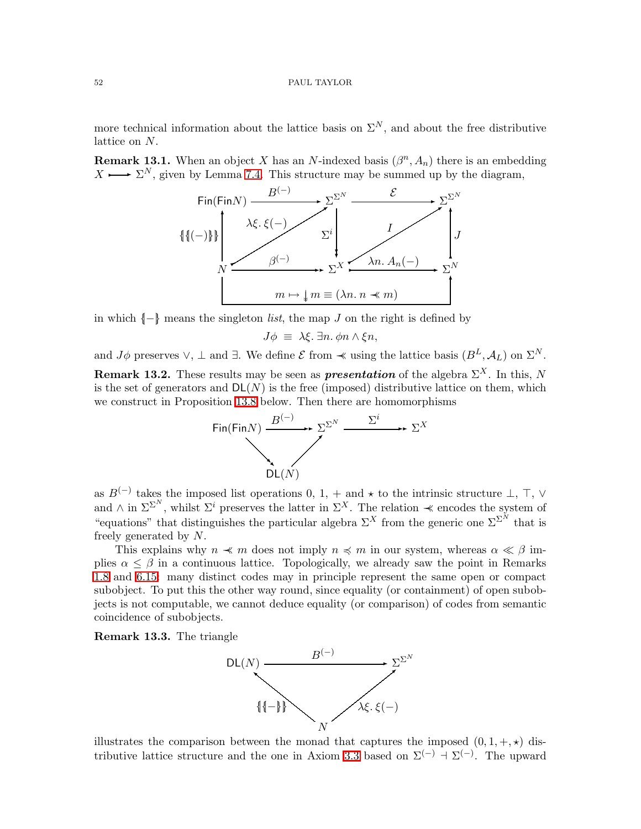more technical information about the lattice basis on  $\Sigma^N$ , and about the free distributive lattice on N.

**Remark 13.1.** When an object X has an N-indexed basis  $(\beta^n, A_n)$  there is an embedding  $X \longrightarrow \Sigma^N$ , given by Lemma [7.4.](#page-28-0) This structure may be summed up by the diagram,



in which {|−|} means the singleton *list*, the map J on the right is defined by

$$
J\phi \equiv \lambda \xi. \exists n. \phi n \wedge \xi n,
$$

and  $J\phi$  preserves  $\vee$ ,  $\perp$  and  $\exists$ . We define  $\mathcal E$  from  $\prec$  using the lattice basis  $(B^L, \mathcal A_L)$  on  $\Sigma^N$ .

<span id="page-51-0"></span>**Remark 13.2.** These results may be seen as **presentation** of the algebra  $\Sigma^X$ . In this, N is the set of generators and  $DL(N)$  is the free (imposed) distributive lattice on them, which we construct in Proposition [13.8](#page-52-1) below. Then there are homomorphisms



as  $B^{(-)}$  takes the imposed list operations 0, 1, + and  $\star$  to the intrinsic structure  $\perp$ ,  $\top$ ,  $\vee$ and  $\wedge$  in  $\Sigma^{\Sigma^N}$ , whilst  $\Sigma^i$  preserves the latter in  $\Sigma^X$ . The relation  $\prec$  encodes the system of "equations" that distinguishes the particular algebra  $\Sigma^X$  from the generic one  $\Sigma^{\Sigma^N}$  that is freely generated by N.

This explains why  $n \prec m$  does not imply  $n \prec m$  in our system, whereas  $\alpha \ll \beta$  implies  $\alpha \leq \beta$  in a continuous lattice. Topologically, we already saw the point in Remarks [1.8](#page-4-0) and [6.15:](#page-27-3) many distinct codes may in principle represent the same open or compact subobject. To put this the other way round, since equality (or containment) of open subobjects is not computable, we cannot deduce equality (or comparison) of codes from semantic coincidence of subobjects.

Remark 13.3. The triangle



illustrates the comparison between the monad that captures the imposed  $(0, 1, +, \star)$  dis-tributive lattice structure and the one in Axiom [3.3](#page-9-3) based on  $\Sigma^{(-)} \to \Sigma^{(-)}$ . The upward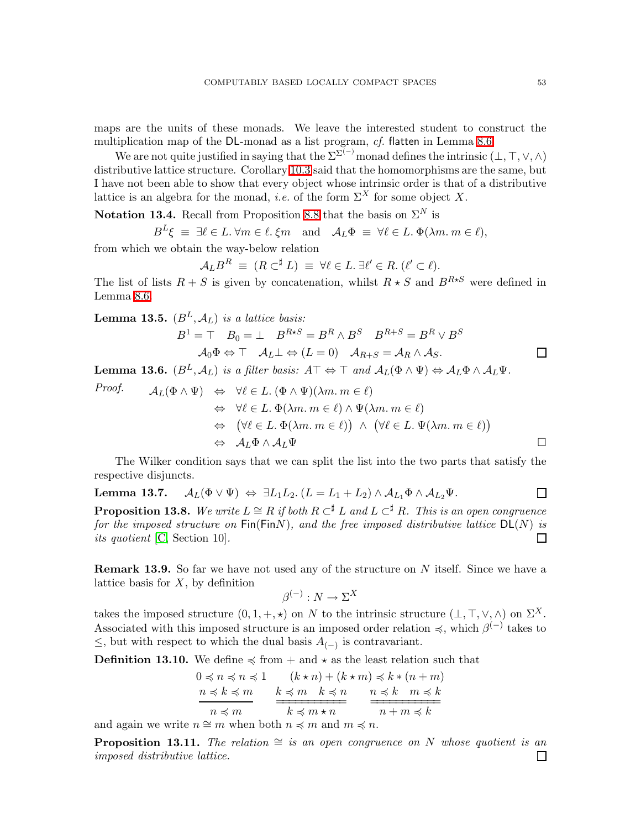maps are the units of these monads. We leave the interested student to construct the multiplication map of the DL-monad as a list program, *cf.* flatten in Lemma [8.6.](#page-35-2)

We are not quite justified in saying that the  $\Sigma^{(\sim)}$  monad defines the intrinsic  $(\bot, \top, \vee, \wedge)$ distributive lattice structure. Corollary [10.3](#page-41-2) said that the homomorphisms are the same, but I have not been able to show that every object whose intrinsic order is that of a distributive lattice is an algebra for the monad, *i.e.* of the form  $\Sigma^X$  for some object X.

**Notation 13.4.** Recall from Proposition [8.8](#page-35-0) that the basis on  $\Sigma^N$  is

$$
B^L \xi \equiv \exists \ell \in L. \,\forall m \in \ell. \,\xi m \quad \text{and} \quad \mathcal{A}_L \Phi \equiv \forall \ell \in L. \,\Phi(\lambda m. \, m \in \ell),
$$

from which we obtain the way-below relation

$$
\mathcal{A}_L B^R \equiv (R \subset^{\sharp} L) \equiv \forall \ell \in L \, \exists \ell' \in R \, (\ell' \subset \ell).
$$

The list of lists  $R + S$  is given by concatenation, whilst  $R \star S$  and  $B^{R \star S}$  were defined in Lemma [8.6.](#page-35-2)

<span id="page-52-3"></span>**Lemma 13.5.**  $(B^L, \mathcal{A}_L)$  *is a lattice basis:* 

$$
B1 = \top \quad B_0 = \bot \quad B^{R \star S} = B^R \land B^S \quad B^{R+S} = B^R \lor B^S
$$

$$
\mathcal{A}_0 \Phi \Leftrightarrow \top \quad \mathcal{A}_L \bot \Leftrightarrow (L = 0) \quad \mathcal{A}_{R+S} = \mathcal{A}_R \land \mathcal{A}_S.
$$

<span id="page-52-2"></span>**Lemma 13.6.**  $(B^L, \mathcal{A}_L)$  *is a filter basis:*  $A \top \Leftrightarrow \top$  *and*  $\mathcal{A}_L(\Phi \wedge \Psi) \Leftrightarrow \mathcal{A}_L \Phi \wedge \mathcal{A}_L \Psi$ .

Proof.  
\n
$$
A_L(\Phi \wedge \Psi) \Leftrightarrow \forall \ell \in L. (\Phi \wedge \Psi)(\lambda m. m \in \ell)
$$
\n
$$
\Leftrightarrow \forall \ell \in L. \Phi(\lambda m. m \in \ell) \wedge \Psi(\lambda m. m \in \ell)
$$
\n
$$
\Leftrightarrow (\forall \ell \in L. \Phi(\lambda m. m \in \ell)) \wedge (\forall \ell \in L. \Psi(\lambda m. m \in \ell))
$$
\n
$$
\Leftrightarrow A_L \Phi \wedge A_L \Psi
$$

<span id="page-52-4"></span>The Wilker condition says that we can split the list into the two parts that satisfy the respective disjuncts.

<span id="page-52-1"></span>**Lemma 13.7.** 
$$
\mathcal{A}_L(\Phi \vee \Psi) \Leftrightarrow \exists L_1L_2. (L = L_1 + L_2) \wedge \mathcal{A}_{L_1}\Phi \wedge \mathcal{A}_{L_2}\Psi.
$$

**Proposition 13.8.** We write  $L \cong R$  *if both*  $R \subset \n \nleq L$  and  $L \subset \n \nleq R$ . This is an open congruence *for the imposed structure on*  $Fin(FinN)$ *, and the free imposed distributive lattice*  $DL(N)$  *is its quotient* [\[C,](#page-68-2) Section 10]*.* П

**Remark 13.9.** So far we have not used any of the structure on  $N$  itself. Since we have a lattice basis for  $X$ , by definition

$$
\beta^{(-)}:N\to \Sigma^X
$$

takes the imposed structure  $(0, 1, +, \star)$  on N to the intrinsic structure  $(\bot, \top, \vee, \wedge)$  on  $\Sigma^X$ . Associated with this imposed structure is an imposed order relation  $\preccurlyeq$ , which  $\beta^{(-)}$  takes to  $\leq$ , but with respect to which the dual basis  $A_{(-)}$  is contravariant.

<span id="page-52-0"></span>**Definition 13.10.** We define  $\preccurlyeq$  from  $+$  and  $\star$  as the least relation such that

$$
0 \preccurlyeq n \preccurlyeq n \preccurlyeq 1 \qquad (k \star n) + (k \star m) \preccurlyeq k \preccurlyeq (n+m)
$$
\n
$$
\frac{n \preccurlyeq k \preccurlyeq m}{n \preccurlyeq m} \qquad \frac{k \preccurlyeq m \quad k \preccurlyeq n}{k \preccurlyeq m \star n} \qquad \frac{n \preccurlyeq k \quad m \preccurlyeq k}{n + m \preccurlyeq k}
$$

and again we write  $n \cong m$  when both  $n \preccurlyeq m$  and  $m \preccurlyeq n$ .

**Proposition 13.11.** *The relation*  $\cong$  *is an open congruence on* N *whose quotient is an imposed distributive lattice.*П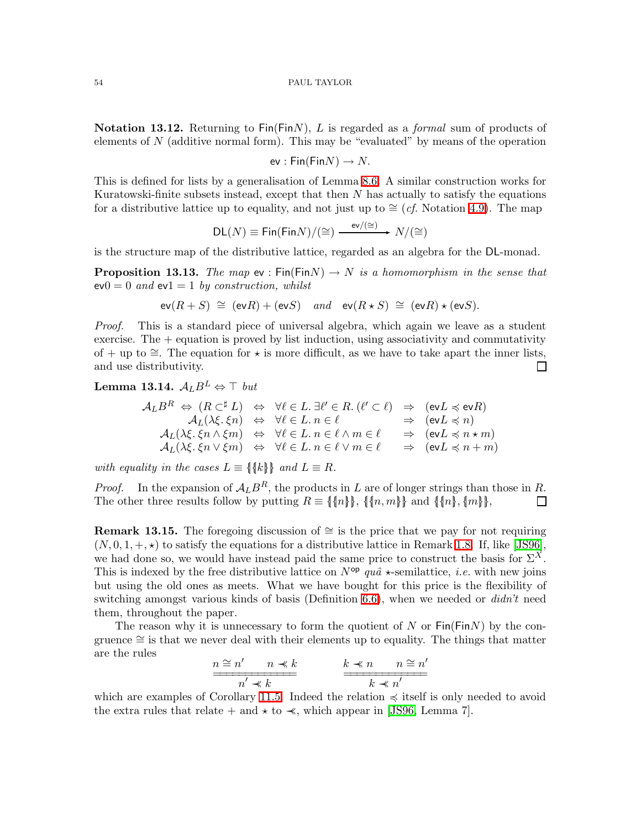Notation 13.12. Returning to Fin(FinN), L is regarded as a *formal* sum of products of elements of N (additive normal form). This may be "evaluated" by means of the operation

ev :  $Fin(FinN) \rightarrow N$ .

This is defined for lists by a generalisation of Lemma [8.6.](#page-35-2) A similar construction works for Kuratowski-finite subsets instead, except that then  $N$  has actually to satisfy the equations for a distributive lattice up to equality, and not just up to  $\cong$  (*cf.* Notation [4.9\)](#page-14-2). The map

$$
\mathsf{DL}(N)\equiv\mathsf{Fin}(\mathsf{Fin} N)/(\cong)\xrightarrow{\;\mathsf{ev}/(\cong)\;}N/(\cong)
$$

<span id="page-53-1"></span>is the structure map of the distributive lattice, regarded as an algebra for the DL-monad.

**Proposition 13.13.** *The map*  $ev : Fin(FinN) \rightarrow N$  *is a homomorphism in the sense that*  $ev0 = 0$  *and*  $ev1 = 1$  *by construction, whilst* 

$$
\text{ev}(R+S) \cong (\text{ev}R) + (\text{ev}S)
$$
 and  $\text{ev}(R \star S) \cong (\text{ev}R) \star (\text{ev}S)$ .

*Proof.* This is a standard piece of universal algebra, which again we leave as a student exercise. The  $+$  equation is proved by list induction, using associativity and commutativity of + up to  $\cong$ . The equation for  $\star$  is more difficult, as we have to take apart the inner lists, and use distributivity.  $\Box$ 

<span id="page-53-0"></span>Lemma 13.14.  $A<sub>L</sub>B<sup>L</sup>$   $\Leftrightarrow$  ⊤ *but* 

$$
\mathcal{A}_{L}B^{R} \Leftrightarrow (R \subset^{\sharp} L) \Leftrightarrow \forall \ell \in L. \exists \ell' \in R. (\ell' \subset \ell) \Rightarrow (\text{ev} L \preccurlyeq \text{ev} R)
$$
\n
$$
\mathcal{A}_{L}(\lambda \xi, \xi n) \Leftrightarrow \forall \ell \in L. n \in \ell \Rightarrow (\text{ev} L \preccurlyeq n)
$$
\n
$$
\mathcal{A}_{L}(\lambda \xi, \xi n \wedge \xi m) \Leftrightarrow \forall \ell \in L. n \in \ell \wedge m \in \ell \Rightarrow (\text{ev} L \preccurlyeq n \star m)
$$
\n
$$
\mathcal{A}_{L}(\lambda \xi, \xi n \vee \xi m) \Leftrightarrow \forall \ell \in L. n \in \ell \vee m \in \ell \Rightarrow (\text{ev} L \preccurlyeq n + m)
$$

*with equality in the cases*  $L \equiv \{\{k\}\}\$ and  $L \equiv R$ .

*Proof.* In the expansion of  $A_L B^R$ , the products in L are of longer strings than those in R. The other three results follow by putting  $R \equiv \{\{n\}\}\,$ ,  $\{\{n,m\}\}\$  and  $\{\{n\}, \{m\}\}\$ ,  $\Box$ 

**Remark 13.15.** The foregoing discussion of  $\cong$  is the price that we pay for not requiring  $(N, 0, 1, +, \star)$  to satisfy the equations for a distributive lattice in Remark [1.8.](#page-4-0) If, like [\[JS96\]](#page-68-4), we had done so, we would have instead paid the same price to construct the basis for  $\Sigma^X$ . This is indexed by the free distributive lattice on  $N^{op}$  *quâ*  $\star$ -semilattice, *i.e.* with new joins but using the old ones as meets. What we have bought for this price is the flexibility of switching amongst various kinds of basis (Definition [6.6\)](#page-24-3), when we needed or *didn't* need them, throughout the paper.

The reason why it is unnecessary to form the quotient of N or  $\text{Fin}(\text{Fin}N)$  by the congruence ∼= is that we never deal with their elements up to equality. The things that matter are the rules

$$
\frac{n \cong n' \qquad n \ll k}{n' \ll k} \qquad \qquad \frac{k \ll n \qquad n \cong n'}{k \ll n'}
$$

which are examples of Corollary [11.5.](#page-44-2) Indeed the relation  $\preccurlyeq$  itself is only needed to avoid the extra rules that relate + and  $\star$  to  $\prec$ , which appear in [\[JS96,](#page-68-4) Lemma 7].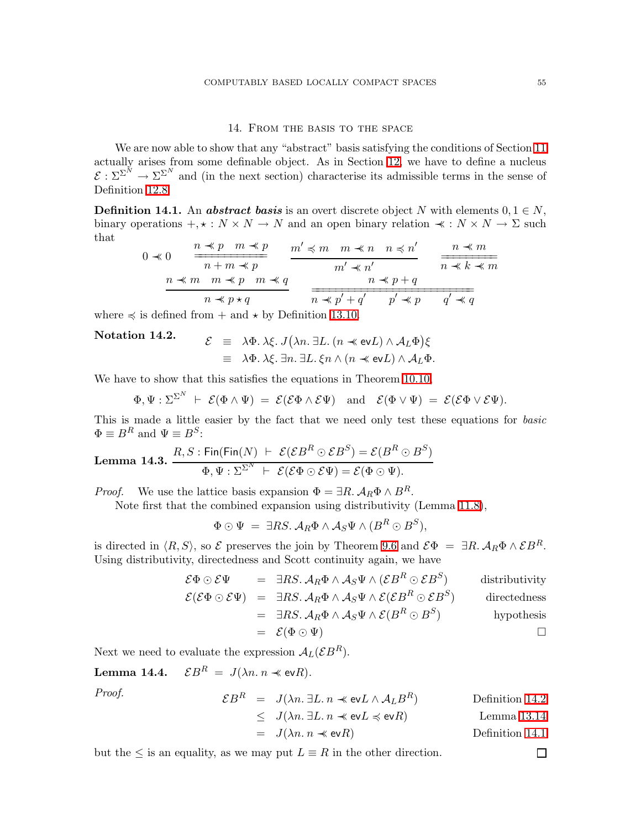# 14. From the basis to the space

<span id="page-54-0"></span>We are now able to show that any "abstract" basis satisfying the conditions of Section [11](#page-43-0) actually arises from some definable object. As in Section [12,](#page-46-0) we have to define a nucleus  $\mathcal{E}: \Sigma^{\Sigma^{N}} \to \Sigma^{\Sigma^{N}}$  and (in the next section) characterise its admissible terms in the sense of Definition [12.8.](#page-48-0)

<span id="page-54-1"></span>**Definition 14.1.** An **abstract basis** is an overt discrete object N with elements  $0, 1 \in N$ , binary operations  $+, * : N \times N \to N$  and an open binary relation  $* : N \times N \to \Sigma$  such that

$$
0 \prec 0 \quad \frac{n \prec p \quad m \prec p}{n+m \prec p} \quad \frac{m' \prec m \quad m \prec n \quad n \prec n'}{m' \prec n'} \quad \frac{n \prec m}{n \prec k \prec m}
$$
  

$$
\frac{n \prec m \quad m \prec p \quad m \prec q}{n \prec p \prec q} \quad \frac{n \prec p + q}{n \prec p' + q' \quad p' \prec p \quad q' \prec q}
$$

<span id="page-54-2"></span>where  $\preccurlyeq$  is defined from  $+$  and  $\star$  by Definition [13.10.](#page-52-0)

# Notation 14.2.

$$
\mathcal{E} \equiv \lambda \Phi. \lambda \xi. J(\lambda n. \exists L. (n \ll \text{ev} L) \land \mathcal{A}_L \Phi) \xi
$$
  

$$
\equiv \lambda \Phi. \lambda \xi. \exists n. \exists L. \xi n \land (n \ll \text{ev} L) \land \mathcal{A}_L \Phi.
$$

We have to show that this satisfies the equations in Theorem [10.10,](#page-42-2)

$$
\Phi, \Psi : \Sigma^{\Sigma^N} \;\vdash\; \mathcal{E}(\Phi \wedge \Psi) \;=\; \mathcal{E}(\mathcal{E}\Phi \wedge \mathcal{E}\Psi) \quad \text{and} \quad \mathcal{E}(\Phi \vee \Psi) \;=\; \mathcal{E}(\mathcal{E}\Phi \vee \mathcal{E}\Psi).
$$

<span id="page-54-4"></span>This is made a little easier by the fact that we need only test these equations for *basic*  $\Phi \equiv B^R$  and  $\Psi \equiv B^S$ :

**Lemma 14.3.** 
$$
\frac{R, S: \text{Fin}(\text{Fin}(N) \ \vdash \ \mathcal{E}(\mathcal{E}B^R \odot \mathcal{E}B^S) = \mathcal{E}(B^R \odot B^S)}{\Phi, \Psi : \Sigma^{\Sigma^N} \ \vdash \ \mathcal{E}(\mathcal{E}\Phi \odot \mathcal{E}\Psi) = \mathcal{E}(\Phi \odot \Psi).
$$

*Proof.* We use the lattice basis expansion  $\Phi = \exists R \cdot A_R \Phi \wedge B^R$ .

Note first that the combined expansion using distributivity (Lemma [11.8\)](#page-44-0),

$$
\Phi \odot \Psi = \exists RS. \mathcal{A}_R \Phi \wedge \mathcal{A}_S \Psi \wedge (B^R \odot B^S),
$$

is directed in  $\langle R, S \rangle$ , so  $\mathcal E$  preserves the join by Theorem [9.6](#page-38-0) and  $\mathcal E\Phi = \exists R. \mathcal A_R \Phi \wedge \mathcal E B^R$ . Using distributivity, directedness and Scott continuity again, we have

$$
\mathcal{E}\Phi \odot \mathcal{E}\Psi = \exists RS. \mathcal{A}_R \Phi \wedge \mathcal{A}_S \Psi \wedge (\mathcal{E}B^R \odot \mathcal{E}B^S) \qquad \text{distributivity}
$$
  

$$
\mathcal{E}(\mathcal{E}\Phi \odot \mathcal{E}\Psi) = \exists RS. \mathcal{A}_R \Phi \wedge \mathcal{A}_S \Psi \wedge \mathcal{E}(\mathcal{E}B^R \odot \mathcal{E}B^S) \qquad \text{directedness}
$$
  

$$
= \exists RS. \mathcal{A}_R \Phi \wedge \mathcal{A}_S \Psi \wedge \mathcal{E}(B^R \odot B^S) \qquad \text{hypothesis}
$$

$$
= \mathcal{E}(\Phi \odot \Psi) \qquad \qquad \Box
$$

<span id="page-54-3"></span>Next we need to evaluate the expression  $A_L(\mathcal{E}B^R)$ .

Lemma 14.4.  $\mathcal{E}B^R = J(\lambda n. n \prec \text{ev}R)$ .

*Proof.* 

$$
\mathcal{E}B^R = J(\lambda n. \ \exists L. \ n \prec \text{ev}L \land \mathcal{A}_L B^R)
$$
 Definition 14.2

$$
\leq J(\lambda n. \exists L. n \preceq \text{ev}L \preceq \text{ev}R) \qquad \text{Lemma 13.14}
$$

$$
= J(\lambda n. n \prec \text{ev}R) \qquad \qquad \text{Definition 14.1}
$$

but the  $\leq$  is an equality, as we may put  $L \equiv R$  in the other direction.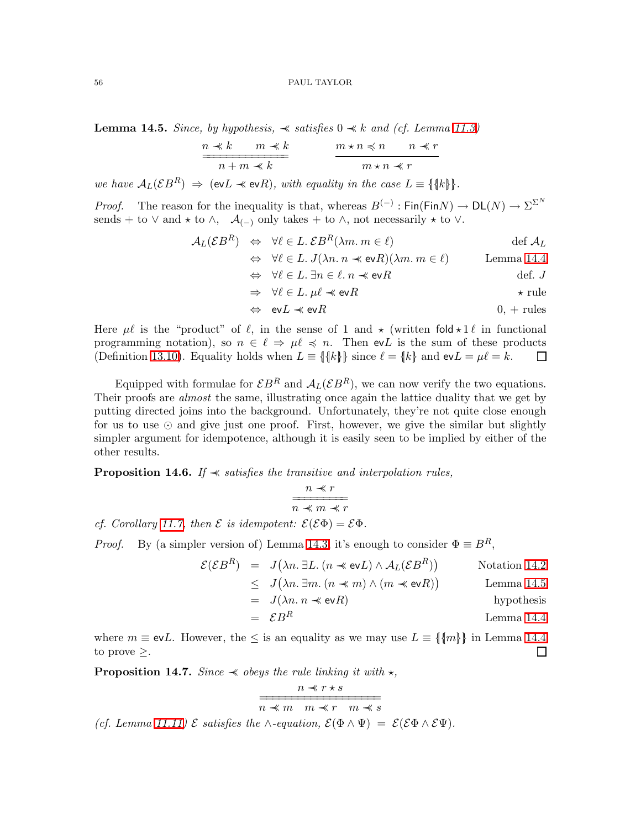<span id="page-55-0"></span>**Lemma 14.5.** *Since, by hypothesis,*  $\preceq$  *satisfies* 0  $\preceq$  *k and (cf. Lemma [11.3\)](#page-43-1)* 

$$
\frac{n \prec k \qquad m \prec k}{n+m \prec k} \qquad \frac{m \star n \prec n \qquad n \prec r}{m \star n \prec r}
$$

*we have*  $A_L(\mathcal{E}B^R) \Rightarrow (\text{ev}(L \cdot \text{ev}(R)), \text{ with equality in the case } L \equiv \{\|\text{k}\|\}.$ 

*Proof.* The reason for the inequality is that, whereas  $B^{(-)}$ : Fin(FinN)  $\to D\mathsf{L}(N) \to \Sigma^{\Sigma^N}$ sends + to  $\vee$  and  $\star$  to  $\wedge$ ,  $\mathcal{A}_{(-)}$  only takes + to  $\wedge$ , not necessarily  $\star$  to  $\vee$ .

$$
\mathcal{A}_L(\mathcal{E}B^R) \Leftrightarrow \forall \ell \in L. \, \mathcal{E}B^R(\lambda m. \, m \in \ell) \qquad \text{def } \mathcal{A}_L
$$

$$
\Leftrightarrow \forall \ell \in L. J(\lambda n. n \prec \text{ev}R)(\lambda m. m \in \ell) \qquad \text{Lemma 14.4}
$$

$$
\Leftrightarrow \forall \ell \in L. \ \exists n \in \ell. \ n \prec \text{ev}R \qquad \qquad \text{def. } J
$$

$$
\Rightarrow \forall \ell \in L. \ \mu\ell \prec \text{ev}R \qquad \qquad \star \text{ rule}
$$

$$
\Leftrightarrow \quad \text{ev}L \prec \text{ev}R \tag{0, + rules}
$$

Here  $\mu\ell$  is the "product" of  $\ell$ , in the sense of 1 and  $\star$  (written fold  $\star$  1 $\ell$  in functional programming notation), so  $n \in \ell \Rightarrow \mu \ell \preccurlyeq n$ . Then evL is the sum of these products (Definition [13.10\)](#page-52-0). Equality holds when  $L \equiv \{\{k\}\}\$  since  $\ell = \{k\}$  and  $evL = \mu\ell = k$ .  $\Box$ 

Equipped with formulae for  $\mathcal{E}B^R$  and  $\mathcal{A}_L(\mathcal{E}B^R)$ , we can now verify the two equations. Their proofs are *almost* the same, illustrating once again the lattice duality that we get by putting directed joins into the background. Unfortunately, they're not quite close enough for us to use ⊙ and give just one proof. First, however, we give the similar but slightly simpler argument for idempotence, although it is easily seen to be implied by either of the other results.

Proposition 14.6. *If* ≺≺ *satisfies the transitive and interpolation rules,*

$$
\frac{n \prec r}{n \prec m \prec r}
$$

*cf.* Corollary [11.7,](#page-44-3) then  $\mathcal{E}$  is idempotent:  $\mathcal{E}(\mathcal{E}\Phi) = \mathcal{E}\Phi$ .

 $\mathcal{E}$ 

*Proof.* By (a simpler version of) Lemma [14.3,](#page-54-4) it's enough to consider  $\Phi \equiv B^R$ ,

$$
(\mathcal{E}B^R) = J(\lambda n. \ \exists L. \ (n \ll \text{ev}L) \land \mathcal{A}_L(\mathcal{E}B^R))
$$
 Notation 14.2

$$
\leq J(\lambda n. \exists m. (n \prec m) \land (m \prec \text{ev}R))
$$
 Lemma 14.5

$$
= J(\lambda n. n \prec \text{ev} R) \qquad \text{hypothesis}
$$

$$
= \mathcal{E}B^R
$$
 Lemma 14.4

where  $m \equiv \text{ev}L$ . However, the  $\leq$  is an equality as we may use  $L \equiv \{\{m\}\}\$ in Lemma [14.4](#page-54-3) to prove  $\geq$ .  $\Box$ 

**Proposition 14.7.** *Since*  $\prec$  *obeys the rule linking it with*  $\star$ *,* 

$$
\cfrac{n \prec r \star s}{n \prec m \quad m \prec r \quad m \prec s}
$$

*(cf. Lemma [11.11\)](#page-45-1)*  $\mathcal E$  *satisfies the*  $\wedge$ *-equation,*  $\mathcal E(\Phi \wedge \Psi) = \mathcal E(\mathcal E \Phi \wedge \mathcal E \Psi)$ *.*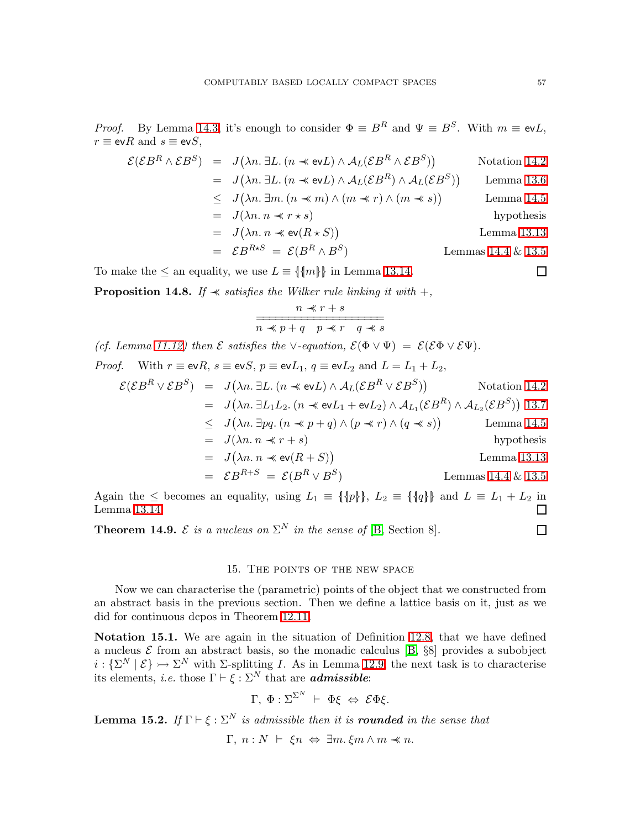*Proof.* By Lemma [14.3,](#page-54-4) it's enough to consider  $\Phi \equiv B^R$  and  $\Psi \equiv B^S$ . With  $m \equiv \text{ev}L$ ,  $r \equiv \text{ev}R$  and  $s \equiv \text{ev}S$ ,

$$
\mathcal{E}(\mathcal{E}B^R \wedge \mathcal{E}B^S) = J(\lambda n. \exists L. (n \ll \text{ev}L) \wedge A_L(\mathcal{E}B^R \wedge \mathcal{E}B^S))
$$
 Notation 14.2  
\n
$$
= J(\lambda n. \exists L. (n \ll \text{ev}L) \wedge A_L(\mathcal{E}B^R) \wedge A_L(\mathcal{E}B^S))
$$
 Lemma 13.6  
\n
$$
\leq J(\lambda n. \exists m. (n \ll m) \wedge (m \ll r) \wedge (m \ll s))
$$
Lemma 14.5  
\n
$$
= J(\lambda n. n \ll r \star s)
$$
hypothesis  
\n
$$
= J(\lambda n. n \ll \text{ev}(R \star S))
$$
Lemma 13.13  
\n
$$
= \mathcal{E}B^{R \star S} = \mathcal{E}(B^R \wedge B^S)
$$
 Lemmas 14.4 & 13.5

To make the  $\leq$  an equality, we use  $L \equiv \{\{m\}\}\$ in Lemma [13.14.](#page-53-0)

**Proposition 14.8.** *If*  $\prec$  *satisfies the Wilker rule linking it with* +*,* 

$$
\cfrac{n \prec r+s}{n \prec p+q \quad p \prec r \quad q \prec s}
$$

*(cf. Lemma [11.12\)](#page-45-2) then*  $\mathcal{E}$  *satisfies the*  $\vee$ *-equation,*  $\mathcal{E}(\Phi \vee \Psi) = \mathcal{E}(\mathcal{E}\Phi \vee \mathcal{E}\Psi)$ *. Proof.* With  $r \equiv \text{ev}R$ ,  $s \equiv \text{ev}S$ ,  $p \equiv \text{ev}L_1$ ,  $q \equiv \text{ev}L_2$  and  $L = L_1 + L_2$ ,  $\mathcal{E}(\mathcal{E}B^R \vee \mathcal{E}B^S) = J(\lambda n. \exists L. (n \prec\!\!\prec \text{\rm ev} L) \wedge A_L(\mathcal{E}B^R \vee \mathcal{E}B^S))$  $N_{\text{data}}$  [14.2](#page-54-2)

$$
\mathcal{E}(\mathcal{E}B \lor \mathcal{E}B) = J(\lambda n. \exists L. (n \ll \text{e}vL) \land A_L(\mathcal{E}B \lor \mathcal{E}B))
$$
Notation 14.2  
\n
$$
= J(\lambda n. \exists L_1 L_2. (n \ll \text{e}vL_1 + \text{e}vL_2) \land A_{L_1}(\mathcal{E}B^R) \land A_{L_2}(\mathcal{E}B^S))
$$
13.7  
\n
$$
\leq J(\lambda n. \exists pq. (n \ll p + q) \land (p \ll r) \land (q \ll s))
$$
 Lemma 14.5  
\n
$$
= J(\lambda n. n \ll r + s)
$$
hypothesis  
\n
$$
= J(\lambda n. n \ll \text{e}v(R + S))
$$
Lemma 13.13  
\n
$$
= \mathcal{E}B^{R+S} = \mathcal{E}(B^R \lor B^S)
$$
 Lemmas 14.4 & 13.5

Again the  $\leq$  becomes an equality, using  $L_1 = \{\|\phi\|\}\$ ,  $L_2 = \{\|q\|\}\$  and  $L = L_1 + L_2$  in Lemma [13.14.](#page-53-0) П

<span id="page-56-0"></span>**Theorem 14.9.**  $\mathcal{E}$  is a nucleus on  $\Sigma^N$  in the sense of [\[B,](#page-68-0) Section 8].

# 15. The points of the new space

Now we can characterise the (parametric) points of the object that we constructed from an abstract basis in the previous section. Then we define a lattice basis on it, just as we did for continuous dcpos in Theorem [12.11.](#page-49-1)

Notation 15.1. We are again in the situation of Definition [12.8,](#page-48-0) that we have defined a nucleus  $\mathcal E$  from an abstract basis, so the monadic calculus [\[B,](#page-68-0)  $\S8$ ] provides a subobject  $i: {\{\Sigma^N \mid \mathcal{E}\}} \rightarrowtail {\Sigma^N}$  with  $\Sigma$ -splitting *I*. As in Lemma [12.9,](#page-49-2) the next task is to characterise its elements, *i.e.* those  $\Gamma \vdash \xi : \Sigma^N$  that are **admissible**:

$$
\Gamma, \; \Phi : \Sigma^{\Sigma^N} \; \vdash \; \Phi \xi \; \Leftrightarrow \; \mathcal{E} \Phi \xi.
$$

<span id="page-56-1"></span>**Lemma 15.2.** *If*  $\Gamma \vdash \xi : \Sigma^N$  *is admissible then it is rounded in the sense that* 

Γ,  $n : N$  ⊢ ξ $n$   $\Leftrightarrow$  ∃ $m$ . ξ $m \wedge m$   $\prec n$ .

 $\Box$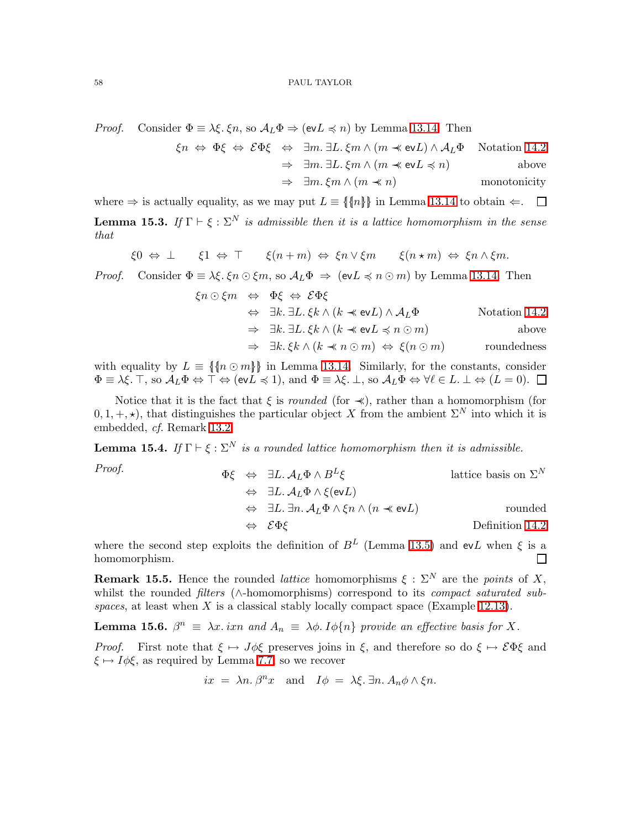*Proof.* Consider  $\Phi = \lambda \xi$ .  $\xi n$ , so  $\mathcal{A}_L \Phi \Rightarrow (\text{ev} L \preccurlyeq n)$  by Lemma [13.14.](#page-53-0) Then

$$
\xi n \Leftrightarrow \Phi \xi \Leftrightarrow \mathcal{E} \Phi \xi \Leftrightarrow \exists m. \exists L. \xi m \land (m \prec \text{ev} L) \land \mathcal{A}_L \Phi \quad \text{Notation 14.2}
$$
\n
$$
\Rightarrow \exists m. \exists L. \xi m \land (m \prec \text{ev} L \preceq n) \qquad \text{above}
$$

$$
\Rightarrow \ \exists m. \ \xi m \land (m \prec n) \qquad \qquad \text{monotonicity}
$$

<span id="page-57-2"></span>where  $\Rightarrow$  is actually equality, as we may put  $L \equiv \{\{n\}\}\$ in Lemma [13.14](#page-53-0) to obtain  $\Leftarrow$ .  $\Box$ **Lemma 15.3.** *If*  $\Gamma \vdash \xi : \Sigma^N$  *is admissible then it is a lattice homomorphism in the sense that*

$$
\xi 0 \Leftrightarrow \bot \qquad \xi 1 \Leftrightarrow \top \qquad \xi (n+m) \Leftrightarrow \xi n \vee \xi m \qquad \xi (n \star m) \Leftrightarrow \xi n \wedge \xi m.
$$

*Proof.* Consider  $\Phi = \lambda \xi$ .  $\xi n \odot \xi m$ , so  $\mathcal{A}_L \Phi \Rightarrow (\text{ev} L \preccurlyeq n \odot m)$  by Lemma [13.14.](#page-53-0) Then

$$
\xi n \odot \xi m \Leftrightarrow \Phi \xi \Leftrightarrow \mathcal{E} \Phi \xi
$$
  
\n
$$
\Leftrightarrow \exists k. \exists L. \xi k \land (k \prec \text{ev} L) \land A_L \Phi
$$
 Notation 14.2  
\n
$$
\Rightarrow \exists k. \exists L. \xi k \land (k \prec \text{ev} L \preceq n \odot m)
$$
 above  
\n
$$
\Rightarrow \exists k. \xi k \land (k \prec n \odot m) \Leftrightarrow \xi(n \odot m)
$$
 roundedness

with equality by  $L \equiv \{\{n \odot m\}\}\$ in Lemma [13.14.](#page-53-0) Similarly, for the constants, consider  $\Phi \equiv \lambda \xi$ . T, so  $\mathcal{A}_L \Phi \Leftrightarrow \top \Leftrightarrow (\text{ev}L \preccurlyeq 1)$ , and  $\Phi \equiv \lambda \xi$ .  $\bot$ , so  $\mathcal{A}_L \Phi \Leftrightarrow \forall \ell \in L$ .  $\bot \Leftrightarrow (L = 0)$ .

Notice that it is the fact that  $\xi$  is *rounded* (for  $\prec$ ), rather than a homomorphism (for  $(0, 1, +, \star)$ , that distinguishes the particular object X from the ambient  $\Sigma^N$  into which it is embedded, *cf.* Remark [13.2.](#page-51-0)

**Lemma 15.4.** *If*  $\Gamma \vdash \xi : \Sigma^N$  *is a rounded lattice homomorphism then it is admissible.* 

*Proof.*  
\n
$$
\Phi\xi \Leftrightarrow \exists L. \mathcal{A}_L \Phi \wedge B^L \xi
$$
\n
$$
\Leftrightarrow \exists L. \mathcal{A}_L \Phi \wedge \xi(\text{ev}L)
$$
\n
$$
\Leftrightarrow \exists L. \exists n. \mathcal{A}_L \Phi \wedge \xi n \wedge (n \prec \text{ev}L)
$$
\n
$$
\Leftrightarrow \mathcal{E}\Phi\xi
$$
\nDefinition 14.2

where the second step exploits the definition of  $B<sup>L</sup>$  (Lemma [13.5\)](#page-52-3) and evL when  $\xi$  is a homomorphism.  $\Box$ 

<span id="page-57-0"></span>**Remark 15.5.** Hence the rounded *lattice* homomorphisms  $\xi : \Sigma^N$  are the *points* of X, whilst the rounded *filters* (∧-homomorphisms) correspond to its *compact saturated subspaces*, at least when X is a classical stably locally compact space (Example [12.13\)](#page-49-0).

<span id="page-57-1"></span>**Lemma 15.6.**  $\beta^n \equiv \lambda x$ . ixn and  $A_n \equiv \lambda \phi$ . I $\phi\{n\}$  provide an effective basis for X.

*Proof.* First note that  $\xi \mapsto J\phi\xi$  preserves joins in  $\xi$ , and therefore so do  $\xi \mapsto \mathcal{E}\Phi\xi$  and  $\xi \mapsto I\phi\xi$ , as required by Lemma [7.7,](#page-29-2) so we recover

$$
ix = \lambda n \cdot \beta^n x
$$
 and  $I\phi = \lambda \xi \cdot \exists n \cdot A_n \phi \wedge \xi n$ .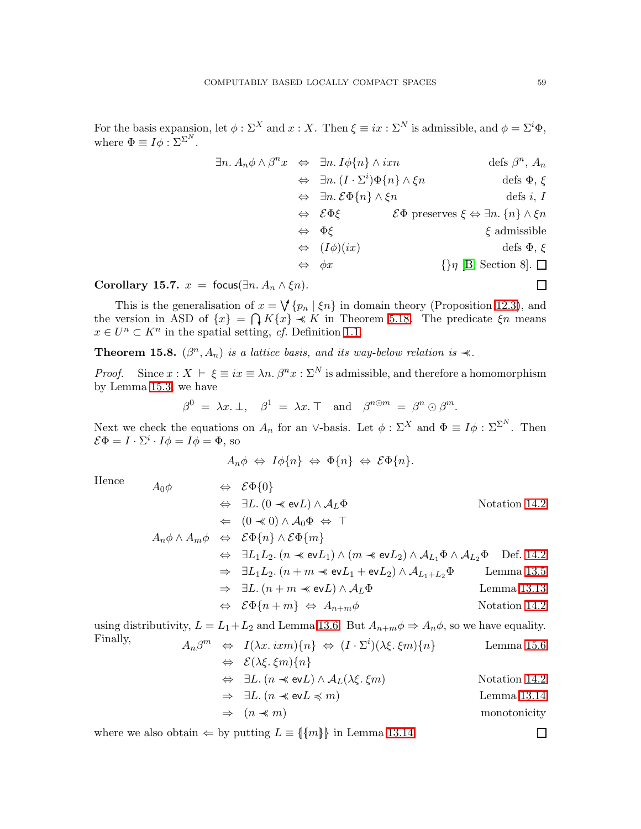For the basis expansion, let  $\phi : \Sigma^X$  and  $x : X$ . Then  $\xi \equiv ix : \Sigma^N$  is admissible, and  $\phi = \Sigma^i \Phi$ , where  $\Phi \equiv I \phi : \Sigma^{\Sigma^N}$ .

$$
\exists n. A_n \phi \land \beta^n x \Leftrightarrow \exists n. I \phi\{n\} \land i x n \qquad \text{defs } \beta^n, A_n
$$
  
\n
$$
\Leftrightarrow \exists n. (I \cdot \Sigma^i) \Phi\{n\} \land \xi n \qquad \text{defs } \Phi, \xi
$$
  
\n
$$
\Leftrightarrow \exists n. \mathcal{E} \Phi\{n\} \land \xi n \qquad \text{defs } i, I
$$
  
\n
$$
\Leftrightarrow \mathcal{E} \Phi \xi \qquad \mathcal{E} \Phi \text{ preserves } \xi \Leftrightarrow \exists n. \{n\} \land \xi n
$$
  
\n
$$
\Leftrightarrow \Phi \xi \qquad \xi \text{ admissible}
$$
  
\n
$$
\Leftrightarrow (I\phi)(ix) \qquad \text{defs } \Phi, \xi
$$
  
\n
$$
\Leftrightarrow \phi x \qquad \{\} \eta \text{ [B, Section 8]. } \square
$$

Corollary 15.7.  $x = \text{focus}(\exists n. A_n \wedge \xi n)$ .

This is the generalisation of  $x = \bigvee \{p_n \mid \xi n\}$  in domain theory (Proposition [12.3\)](#page-46-1), and the version in ASD of  $\{x\} = \bigcap K\{x\} \stackrel{\sim}{\prec} K$  in Theorem [5.18.](#page-22-1) The predicate  $\xi n$  means  $x \in U^n \subset K^n$  in the spatial setting, *cf.* Definition [1.1.](#page-2-3)

**Theorem 15.8.**  $(\beta^n, A_n)$  *is a lattice basis, and its way-below relation is*  $\prec$ *.* 

*Proof.* Since  $x : X \vdash \xi \equiv ix \equiv \lambda n \cdot \beta^n x : \Sigma^N$  is admissible, and therefore a homomorphism by Lemma [15.3,](#page-57-2) we have

$$
\beta^0 = \lambda x.\perp, \quad \beta^1 = \lambda x.\top \quad \text{and} \quad \beta^{n\odot m} = \beta^n \odot \beta^m.
$$

Next we check the equations on  $A_n$  for an ∨-basis. Let  $\phi : \Sigma^X$  and  $\Phi \equiv I \phi : \Sigma^{\Sigma^N}$ . Then  $\mathcal{E}\Phi = I \cdot \Sigma^i \cdot I\phi = I\phi = \Phi$ , so

$$
A_n \phi \Leftrightarrow I \phi \{n\} \Leftrightarrow \Phi \{n\} \Leftrightarrow \mathcal{E} \Phi \{n\}.
$$

Hence  
\n
$$
A_0 \phi \Leftrightarrow \mathcal{E} \Phi \{0\}
$$
\n
$$
\Leftrightarrow \exists L. (0 \ll \text{ev} L) \land A_L \Phi
$$
\n
$$
\Leftrightarrow (0 \ll 0) \land A_0 \Phi \Leftrightarrow \top
$$
\n
$$
A_n \phi \land A_m \phi \Leftrightarrow \mathcal{E} \Phi \{n\} \land \mathcal{E} \Phi \{m\}
$$
\n
$$
\Leftrightarrow \exists L_1 L_2. (n \ll \text{ev} L_1) \land (m \ll \text{ev} L_2) \land A_{L_1} \Phi \land A_{L_2} \Phi
$$
\n
$$
\Rightarrow \exists L_1 L_2. (n + m \ll \text{ev} L_1 + \text{ev} L_2) \land A_{L_1 + L_2} \Phi
$$
\n
$$
\Leftrightarrow \exists L. (n + m \ll \text{ev} L) \land A_L \Phi
$$
\n
$$
\Leftrightarrow \mathcal{E} \Phi \{n + m\} \Leftrightarrow A_{n+m} \phi
$$
\nNotation 14.2  
\n
$$
\Leftrightarrow \mathcal{E} \Phi \{n + m\} \Leftrightarrow A_{n+m} \phi
$$
\nNotation 14.2

using distributivity,  $L = L_1 + L_2$  and Lemma [13.6.](#page-52-2) But  $A_{n+m}\phi \Rightarrow A_n\phi$ , so we have equality. Finally,  $m \Leftrightarrow I(\lambda x. \, i x m) \{n\} \Leftrightarrow (I \cdot \Sigma^{i})(\lambda \xi. \, \xi m) \{n\}$  Lemma [15.6](#page-57-1)

$$
\begin{array}{rcl}\n\mathcal{A}_{n}\rho & \leftrightarrow & I(\lambda x, \tan f_1 n_f \iff (1 \cdot \Delta) \wedge \mathcal{A}_L, \zeta, m_f n_f) & \text{Lemma 15.0} \\
& \Leftrightarrow & \mathcal{E}(\lambda \xi, \xi m) \{n\} \\
& \Leftrightarrow & \exists L. \left( n \prec \text{ev} L \right) \land \mathcal{A}_L(\lambda \xi, \xi m) & \text{Notation 14.2} \\
& \Rightarrow & \exists L. \left( n \prec \text{ev} L \preccurlyeq m \right) & \text{Lemma 13.14} \\
& \Rightarrow & \left( n \prec m \right) & \text{monotonicity}\n\end{array}
$$

where we also obtain  $\Leftarrow$  by putting  $L \equiv \{\{m\}\}\$ in Lemma [13.14.](#page-53-0)

 $\Box$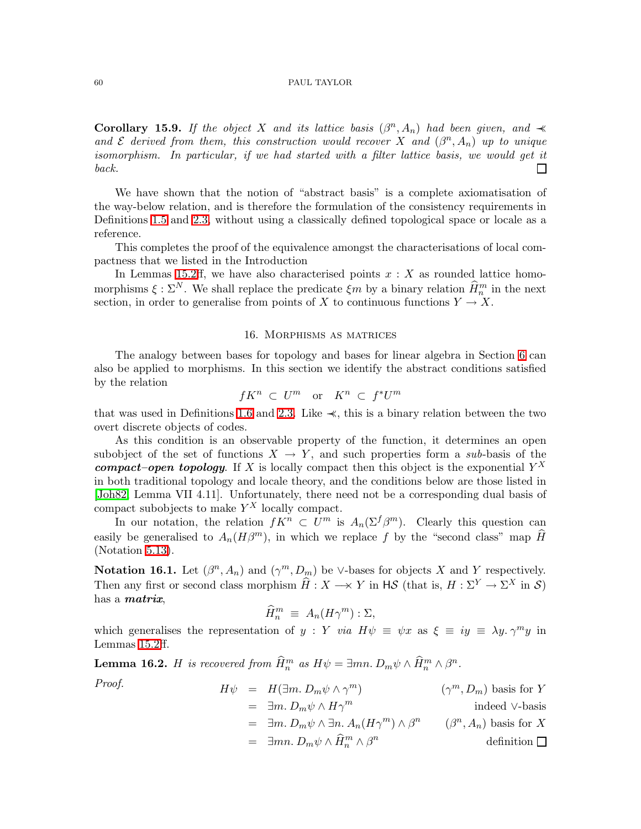**Corollary 15.9.** If the object X and its lattice basis  $(\beta^n, A_n)$  had been given, and  $\prec$ and  $\mathcal E$  derived from them, this construction would recover X and  $(\beta^n, A_n)$  up to unique *isomorphism. In particular, if we had started with a filter lattice basis, we would get it back.* П

We have shown that the notion of "abstract basis" is a complete axiomatisation of the way-below relation, and is therefore the formulation of the consistency requirements in Definitions [1.5](#page-3-0) and [2.3,](#page-6-1) without using a classically defined topological space or locale as a reference.

This completes the proof of the equivalence amongst the characterisations of local compactness that we listed in the Introduction

In Lemmas [15.2ff](#page-56-1), we have also characterised points  $x : X$  as rounded lattice homomorphisms  $\xi : \Sigma^N$ . We shall replace the predicate  $\xi m$  by a binary relation  $\widehat{H}_n^m$  in the next section, in order to generalise from points of X to continuous functions  $Y \to X$ .

### 16. Morphisms as matrices

<span id="page-59-0"></span>The analogy between bases for topology and bases for linear algebra in Section [6](#page-22-0) can also be applied to morphisms. In this section we identify the abstract conditions satisfied by the relation

$$
fK^n \, \subset \, U^m \quad \text{or} \quad K^n \, \subset \, f^*U^m
$$

that was used in Definitions [1.6](#page-3-1) and [2.3.](#page-6-1) Like  $\prec$ , this is a binary relation between the two overt discrete objects of codes.

As this condition is an observable property of the function, it determines an open subobject of the set of functions  $X \to Y$ , and such properties form a *sub*-basis of the compact–open topology. If X is locally compact then this object is the exponential  $Y^X$ in both traditional topology and locale theory, and the conditions below are those listed in [\[Joh82,](#page-68-13) Lemma VII 4.11]. Unfortunately, there need not be a corresponding dual basis of compact subobjects to make  $Y^X$  locally compact.

In our notation, the relation  $fK^n \subset U^m$  is  $A_n(\Sigma^f \beta^m)$ . Clearly this question can easily be generalised to  $A_n(H\beta^m)$ , in which we replace f by the "second class" map  $\hat{H}$ (Notation [5.13\)](#page-21-1).

<span id="page-59-2"></span>**Notation 16.1.** Let  $(\beta^n, A_n)$  and  $(\gamma^m, D_m)$  be ∨-bases for objects X and Y respectively. Then any first or second class morphism  $\widehat{H}: X \longrightarrow Y$  in  $\mathsf{H}\mathcal{S}$  (that is,  $H : \Sigma^Y \to \Sigma^X$  in  $\mathcal{S}$ ) has a matrix,

$$
\widehat{H}_n^m \equiv A_n(H\gamma^m) : \Sigma,
$$

which generalises the representation of y : Y *via*  $H\psi \equiv \psi x$  as  $\xi \equiv iy \equiv \lambda y$ .  $\gamma^m y$  in Lemmas [15.2ff](#page-56-1).

<span id="page-59-1"></span>**Lemma 16.2.** *H* is recovered from  $\hat{H}_n^m$  as  $H\psi = \exists mn$ .  $D_m\psi \wedge \hat{H}_n^m \wedge \beta^n$ .

<span id="page-59-3"></span>

Proof.  
\n
$$
H\psi = H(\exists m. D_m \psi \wedge \gamma^m)
$$
\n
$$
= \exists m. D_m \psi \wedge H\gamma^m
$$
\n
$$
= \exists m. D_m \psi \wedge \exists n. A_n (H\gamma^m) \wedge \beta^n
$$
\n
$$
= \exists m. D_m \psi \wedge \widehat{H}_n^m \wedge \beta^n
$$
\n
$$
= \exists m n. D_m \psi \wedge \widehat{H}_n^m \wedge \beta^n
$$
\n
$$
= \langle \beta^n, A_n \rangle \text{ basis for } X
$$
\n
$$
= \langle \beta^n, A_n \rangle \text{ basis for } X
$$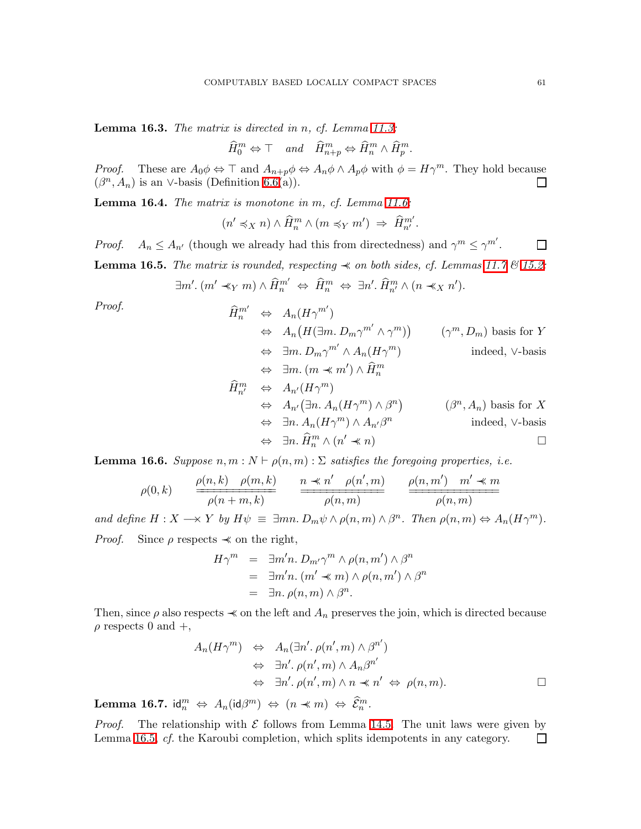Lemma 16.3. *The matrix is directed in* n*, cf. Lemma [11.3:](#page-43-1)*

$$
\widehat{H}_0^m \Leftrightarrow \top \quad and \quad \widehat{H}_{n+p}^m \Leftrightarrow \widehat{H}_n^m \wedge \widehat{H}_p^m.
$$

*Proof.* These are  $A_0 \phi \Leftrightarrow \top$  and  $A_{n+p} \phi \Leftrightarrow A_n \phi \wedge A_p \phi$  with  $\phi = H \gamma^m$ . They hold because  $(\beta^n, A_n)$  is an ∨-basis (Definition [6.6\(](#page-24-3)a)).  $\Box$ 

Lemma 16.4. *The matrix is monotone in* m*, cf. Lemma [11.6:](#page-44-4)*

$$
(n' \preccurlyeq_X n) \wedge \widehat{H}_n^m \wedge (m \preccurlyeq_Y m') \Rightarrow \widehat{H}_{n'}^{m'}.
$$

<span id="page-60-0"></span>*Proof.*  $A_n \leq A_{n'}$  (though we already had this from directedness) and  $\gamma^m \leq \gamma^{m'}$ .  $\Box$ 

**Lemma 16.5.** *The matrix is rounded, respecting*  $\prec$  *on both sides, cf. Lemmas* [11.7](#page-44-3)  $\&$  [15.2:](#page-56-1)

$$
\exists m'. (m' \preceq_Y m) \wedge \widehat{H}_n^{m'} \Leftrightarrow \widehat{H}_n^m \Leftrightarrow \exists n'. \widehat{H}_{n'}^m \wedge (n \preceq_X n').
$$

Proof.  
\n
$$
\hat{H}_{n}^{m'} \Leftrightarrow A_{n}(H\gamma^{m'})
$$
\n
$$
\Leftrightarrow A_{n}(H(\exists m. D_{m}\gamma^{m'} \wedge \gamma^{m})) \qquad (\gamma^{m}, D_{m}) \text{ basis for } Y
$$
\n
$$
\Leftrightarrow \exists m. D_{m}\gamma^{m'} \wedge A_{n}(H\gamma^{m}) \qquad \text{indeed, V-basis}
$$
\n
$$
\Leftrightarrow \exists m. (m \prec m') \wedge \hat{H}_{n}^{m}
$$
\n
$$
\hat{H}_{n'}^{m} \Leftrightarrow A_{n'}(H\gamma^{m})
$$
\n
$$
\Leftrightarrow A_{n'}(\exists n. A_{n}(H\gamma^{m}) \wedge \beta^{n}) \qquad (\beta^{n}, A_{n}) \text{ basis for } X
$$
\n
$$
\Leftrightarrow \exists n. A_{n}(H\gamma^{m}) \wedge A_{n'}\beta^{n} \qquad \text{indeed, V-basis}
$$
\n
$$
\Leftrightarrow \exists n. \hat{H}_{n}^{m} \wedge (n' \prec n) \qquad \Box
$$

<span id="page-60-1"></span>**Lemma 16.6.** *Suppose*  $n, m: N \vdash \rho(n,m): \Sigma$  *satisfies the foregoing properties, i.e.* 

$$
\rho(0,k) \qquad \frac{\rho(n,k) \quad \rho(m,k)}{\rho(n+m,k)} \qquad \frac{n \ll n' \quad \rho(n',m)}{\rho(n,m)} \qquad \frac{\rho(n,m') \quad m' \ll m}{\rho(n,m)}
$$

*and define*  $H: X \longrightarrow Y$  *by*  $H\psi \equiv \exists mn. D_m\psi \wedge \rho(n,m) \wedge \beta^n$ . Then  $\rho(n,m) \Leftrightarrow A_n(H\gamma^m)$ . *Proof.* Since  $\rho$  respects  $\prec$  on the right,

$$
H\gamma^m = \exists m'n. D_{m'}\gamma^m \wedge \rho(n,m') \wedge \beta^n
$$
  
= 
$$
\exists m'n. (m' \preccurlyeq m) \wedge \rho(n,m') \wedge \beta^n
$$
  
= 
$$
\exists n. \rho(n,m) \wedge \beta^n.
$$

Then, since  $\rho$  also respects  $\prec$  on the left and  $A_n$  preserves the join, which is directed because  $\rho$  respects 0 and  $+$ ,

$$
A_n(H\gamma^m) \Leftrightarrow A_n(\exists n'. \rho(n', m) \land \beta^{n'})
$$
  
\n
$$
\Leftrightarrow \exists n'. \rho(n', m) \land A_n \beta^{n'}
$$
  
\n
$$
\Leftrightarrow \exists n'. \rho(n', m) \land n \prec n' \Leftrightarrow \rho(n, m).
$$

Lemma 16.7. id $^m_n$   $\Leftrightarrow$   $A_n(\mathsf{id}\beta^m)$   $\Leftrightarrow$   $(n \prec m)$   $\Leftrightarrow$   $\widehat{\mathcal{E}}^m_n$ .

*Proof.* The relationship with  $\mathcal E$  follows from Lemma [14.5.](#page-55-0) The unit laws were given by Lemma [16.5,](#page-60-0) *cf.* the Karoubi completion, which splits idempotents in any category. $\Box$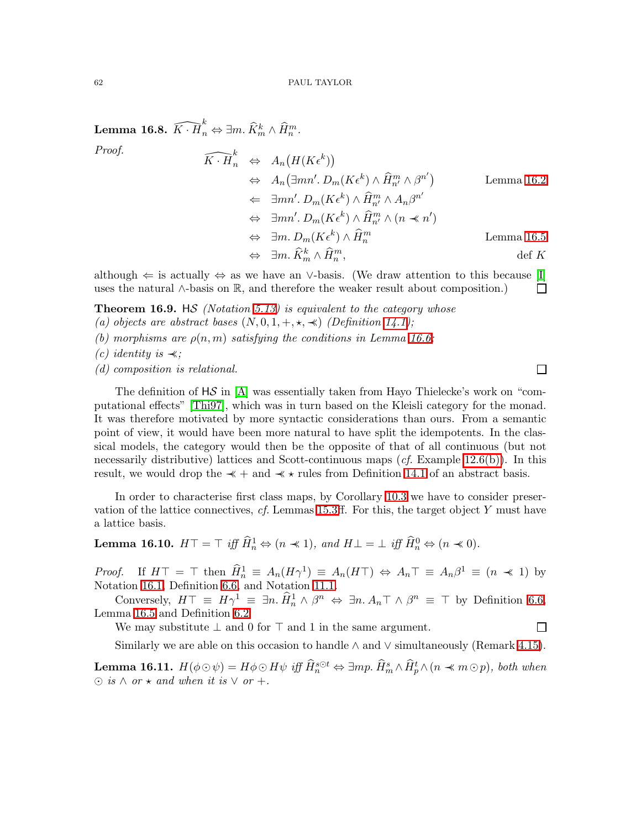Lemma 16.8.  $\widehat{K\cdot H}_n^k \Leftrightarrow \exists m.\ \widehat{K}_m^k \wedge \widehat{H}_n^m.$ *Proof.*  $\widehat{K\cdot H}_n^k \Leftrightarrow A_n(H(K\epsilon^k))$  $\Leftrightarrow A_n(\exists mn'. D_m(K\epsilon^k) \wedge \widehat{H}_{n'}^m \wedge \beta^{n'})$ Lemma [16.2](#page-59-1)  $\Leftarrow \quad \exists mn'. D_m(K\epsilon^k) \wedge \widehat{H}_{n'}^m \wedge A_n \beta^{n'}$  $\Leftrightarrow \ \exists mn'. D_m(K\epsilon^k) \wedge \widehat{H}_{n'}^m \wedge (n \preccurlyeq n')$  $\Leftrightarrow \quad \exists m. \ D_m(K \epsilon^k) \wedge \widehat{H}_n^m$ Lemma [16.5](#page-60-0)  $\Leftrightarrow \quad \exists m.\ \widehat{K}_m^k \wedge \widehat{H}_n^m$  $\det K$ 

although  $\Leftarrow$  is actually  $\Leftrightarrow$  as we have an ∨-basis. (We draw attention to this because [\[I\]](#page-69-3)  $\Box$ uses the natural ∧-basis on R, and therefore the weaker result about composition.)

Theorem 16.9. HS *(Notation [5.13\)](#page-21-1) is equivalent to the category whose*

- *(a) objects are abstract bases*  $(N, 0, 1, +, \star, \star)$  *(Definition [14.1\)](#page-54-1);*
- *(b) morphisms are*  $\rho(n,m)$  *satisfying the conditions in Lemma [16.6;](#page-60-1)*
- *(c) identity is* ≺≺*;*
- *(d) composition is relational.*

The definition of  $\mathsf{H}\mathcal{S}$  in [\[A\]](#page-68-1) was essentially taken from Hayo Thielecke's work on "computational effects" [\[Thi97\]](#page-68-21), which was in turn based on the Kleisli category for the monad. It was therefore motivated by more syntactic considerations than ours. From a semantic point of view, it would have been more natural to have split the idempotents. In the classical models, the category would then be the opposite of that of all continuous (but not necessarily distributive) lattices and Scott-continuous maps (*cf.* Example [12.6\(b\)\)](#page-47-1). In this result, we would drop the  $\prec$  + and  $\prec$   $\star$  rules from Definition [14.1](#page-54-1) of an abstract basis.

In order to characterise first class maps, by Corollary [10.3](#page-41-2) we have to consider preservation of the lattice connectives, *cf.* Lemmas [15.3ff](#page-57-2). For this, the target object Y must have a lattice basis.

**Lemma 16.10.**  $H\top = \top$  iff  $\widehat{H}_n^1 \Leftrightarrow (n \ll 1)$ , and  $H\bot = \bot$  iff  $\widehat{H}_n^0 \Leftrightarrow (n \ll 0)$ .

*Proof.* If  $H\top = \top$  then  $\hat{H}_n^1 \equiv A_n(H\gamma^1) \equiv A_n(H\top) \Leftrightarrow A_n \top \equiv A_n \beta^1 \equiv (n \ll 1)$  by Notation [16.1,](#page-59-2) Definition [6.6,](#page-24-3) and Notation [11.1.](#page-43-2)

Conversely,  $H\top \equiv H\gamma^1 \equiv \exists n.\hat{H}_n^1 \wedge \beta^n \Leftrightarrow \exists n.\,A_n \top \wedge \beta^n \equiv \top$  by Definition [6.6,](#page-24-3) Lemma [16.5](#page-60-0) and Definition [6.2.](#page-23-2)

We may substitute  $\perp$  and 0 for  $\top$  and 1 in the same argument.

Similarly we are able on this occasion to handle  $\land$  and  $\lor$  simultaneously (Remark [4.15\)](#page-16-2).

<span id="page-61-0"></span>Lemma 16.11.  $H(\phi \odot \psi) = H\phi \odot H\psi$  iff  $\hat{H}^{s\odot t}_n \Leftrightarrow \exists mp. \ \hat{H}^s_m \wedge \hat{H}^t_p \wedge (n \prec m \odot p)$ , both when  $\odot$  *is*  $\land$  *or*  $\star$  *and when it is*  $\lor$  *or* +*.* 

 $\Box$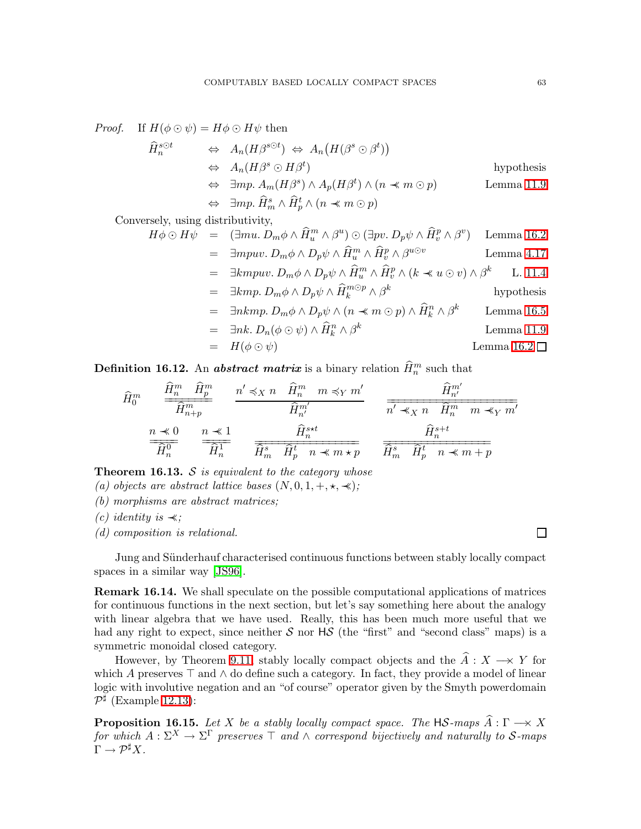*Proof.* If  $H(\phi \odot \psi) = H\phi \odot H\psi$  then

$$
\hat{H}_n^{\text{s}\odot t} \Leftrightarrow A_n(H\beta^{\text{s}\odot t}) \Leftrightarrow A_n(H(\beta^{\text{s}} \odot \beta^t))
$$
\n
$$
\Leftrightarrow A_n(H\beta^{\text{s}} \odot H\beta^t) \qquad \text{hypothesis}
$$
\n
$$
\Leftrightarrow \exists mp. A_m(H\beta^s) \land A_p(H\beta^t) \land (n \ll m \odot p) \qquad \text{Lemma 11.9}
$$
\n
$$
\Leftrightarrow \exists mp. \hat{H}_m^s \land \hat{H}_p^t \land (n \ll m \odot p)
$$

Conversely, using distributivity,

$$
H\phi \odot H\psi = (\exists mu. D_m\phi \land \widehat{H}_u^m \land \beta^u) \odot (\exists pv. D_p\psi \land \widehat{H}_v^p \land \beta^v) \quad \text{Lemma 16.2}
$$
  
= 
$$
\exists mpuv. D_m\phi \land D_p\psi \land \widehat{H}_u^m \land \widehat{H}_v^p \land \beta^{u\odot v} \qquad \text{Lemma 4.17}
$$

$$
= \exists kmpuv. \ D_m \phi \wedge D_p \psi \wedge \widehat{H}_u^m \wedge \widehat{H}_v^p \wedge (k \prec u \odot v) \wedge \beta^k \quad \text{L. 11.4}
$$

$$
= \exists km p. D_m \phi \wedge D_p \psi \wedge \widehat{H}_k^{m \odot p} \wedge \beta^k
$$
hypothesis

$$
= \quad \exists nkmp. \ D_m \phi \wedge D_p \psi \wedge (n \prec m \odot p) \wedge \widehat{H}_k^n \wedge \beta^k \qquad \text{Lemma 16.5}
$$

$$
= \quad \exists nk. \ D_n(\phi \odot \psi) \land \widehat{H}_k^n \land \beta^k \qquad \text{Lemma 11.9}
$$

$$
= H(\phi \odot \psi) \qquad \qquad \text{Lemma 16.2 } \Box
$$

<span id="page-62-1"></span>**Definition 16.12.** An *abstract matrix* is a binary relation  $\widehat{H}_n^m$  such that

$$
\widehat{H}_{0}^{m} \quad \frac{\widehat{H}_{n}^{m} \quad \widehat{H}_{p}^{m}}{\widehat{H}_{n+p}^{m}} \quad \frac{n' \preccurlyeq_{X} n \quad \widehat{H}_{n}^{m} \quad m \preccurlyeq_{Y} m'}{\widehat{H}_{n'}^{m'}} \quad \frac{\widehat{H}_{n'}^{m'}}{n' \preccurlyeq_{X} n \quad \widehat{H}_{n}^{m'}} \quad \frac{\widehat{H}_{n'}^{m'}}{n' \preccurlyeq_{X} n \quad \widehat{H}_{n}^{m} \quad m \preccurlyeq_{Y} m'}
$$
\n
$$
\frac{n \preccurlyeq_{0}}{\widehat{H}_{n}^{0}} \quad \frac{n \preccurlyeq_{1}}{\widehat{H}_{n}^{1}} \quad \frac{\widehat{H}_{n}^{s \preccurlyeq_{1}}}{\widehat{H}_{m}^{s} \quad \widehat{H}_{p}^{t} \quad n \preccurlyeq_{N} n \preccurlyeq_{N}} \quad \frac{\widehat{H}_{n}^{s+t}}{\widehat{H}_{n}^{s} \quad \widehat{H}_{p}^{t} \quad n \preccurlyeq_{N} n + p}
$$

Theorem 16.13. S *is equivalent to the category whose*

*(a) objects are abstract lattice bases*  $(N, 0, 1, +, \star, \star)$ ;

*(b) morphisms are abstract matrices;*

*(c) identity is* ≺≺*;*

*(d) composition is relational.*

Jung and Sünderhauf characterised continuous functions between stably locally compact spaces in a similar way [\[JS96\]](#page-68-4).

**Remark 16.14.** We shall speculate on the possible computational applications of matrices for continuous functions in the next section, but let's say something here about the analogy with linear algebra that we have used. Really, this has been much more useful that we had any right to expect, since neither  $S$  nor  $\overline{AS}$  (the "first" and "second class" maps) is a symmetric monoidal closed category.

However, by Theorem [9.11,](#page-39-0) stably locally compact objects and the  $\widehat{A}: X \longrightarrow Y$  for which A preserves  $\top$  and  $\wedge$  do define such a category. In fact, they provide a model of linear logic with involutive negation and an "of course" operator given by the Smyth powerdomain  $\mathcal{P}^{\sharp}$  (Example [12.13\)](#page-49-0):

<span id="page-62-0"></span>**Proposition 16.15.** Let X be a stably locally compact space. The  $\text{HS-maps } \widehat{A} : \Gamma \longrightarrow X$  $for\ which\ A:\Sigma^{X}\to\Sigma^{\Gamma}\ preserves\ \top\ and\ \wedge\ correspond\ bijectively\ and\ naturally\ to\ \mathcal S{\text{-}maps}$  $\Gamma \to \mathcal{P}^{\sharp} X.$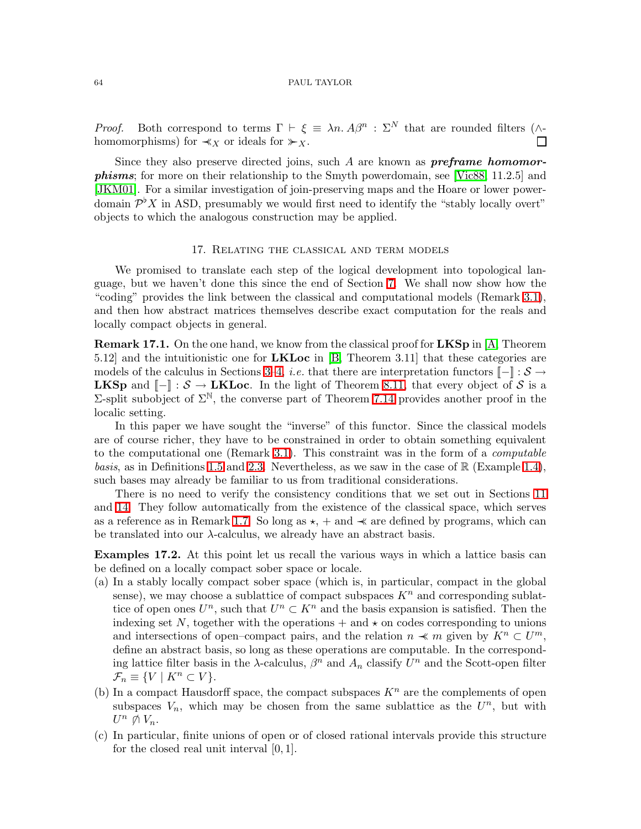*Proof.* Both correspond to terms  $\Gamma \vdash \xi \equiv \lambda n. A\beta^n : \Sigma^N$  that are rounded filters ( $\wedge$ homomorphisms) for  $\prec_X$  or ideals for  $\succ_X$ .  $\Box$ 

Since they also preserve directed joins, such A are known as **preframe homomor**phisms; for more on their relationship to the Smyth powerdomain, see [\[Vic88,](#page-68-22) 11.2.5] and [\[JKM01\]](#page-68-9). For a similar investigation of join-preserving maps and the Hoare or lower powerdomain  $\mathcal{P}^{\flat}X$  in ASD, presumably we would first need to identify the "stably locally overt" objects to which the analogous construction may be applied.

### 17. Relating the classical and term models

<span id="page-63-0"></span>We promised to translate each step of the logical development into topological language, but we haven't done this since the end of Section [7.](#page-27-0) We shall now show how the "coding" provides the link between the classical and computational models (Remark [3.1\)](#page-8-1), and then how abstract matrices themselves describe exact computation for the reals and locally compact objects in general.

**Remark 17.1.** On the one hand, we know from the classical proof for  $LKSp$  in [\[A,](#page-68-1) Theorem 5.12] and the intuitionistic one for LKLoc in [\[B,](#page-68-0) Theorem 3.11] that these categories are models of the calculus in Sections [3](#page-8-0)[–4,](#page-12-0) *i.e.* that there are interpretation functors  $[-] : S \rightarrow$ **LKSp** and  $\llbracket - \rrbracket$  :  $S \to LKL$  oc. In the light of Theorem [8.11,](#page-36-2) that every object of S is a Σ-split subobject of  $\Sigma^{\mathbb{N}}$ , the converse part of Theorem [7.14](#page-31-0) provides another proof in the localic setting.

In this paper we have sought the "inverse" of this functor. Since the classical models are of course richer, they have to be constrained in order to obtain something equivalent to the computational one (Remark [3.1\)](#page-8-1). This constraint was in the form of a *computable basis*, as in Definitions [1.5](#page-3-0) and [2.3.](#page-6-1) Nevertheless, as we saw in the case of  $\mathbb{R}$  (Example [1.4\)](#page-2-1), such bases may already be familiar to us from traditional considerations.

There is no need to verify the consistency conditions that we set out in Sections [11](#page-43-0) and [14.](#page-54-0) They follow automatically from the existence of the classical space, which serves as a reference as in Remark [1.7.](#page-3-3) So long as  $\star$ , + and  $\prec$  are defined by programs, which can be translated into our  $\lambda$ -calculus, we already have an abstract basis.

Examples 17.2. At this point let us recall the various ways in which a lattice basis can be defined on a locally compact sober space or locale.

- (a) In a stably locally compact sober space (which is, in particular, compact in the global sense), we may choose a sublattice of compact subspaces  $K<sup>n</sup>$  and corresponding sublattice of open ones  $U^n$ , such that  $U^n \subset K^n$  and the basis expansion is satisfied. Then the indexing set N, together with the operations  $+$  and  $\star$  on codes corresponding to unions and intersections of open–compact pairs, and the relation  $n \ll m$  given by  $K^n \subset U^m$ , define an abstract basis, so long as these operations are computable. In the corresponding lattice filter basis in the  $\lambda$ -calculus,  $\beta^n$  and  $A_n$  classify  $U^n$  and the Scott-open filter  $\mathcal{F}_n \equiv \{ V \mid K^n \subset V \}.$
- (b) In a compact Hausdorff space, the compact subspaces  $K<sup>n</sup>$  are the complements of open subspaces  $V_n$ , which may be chosen from the same sublattice as the  $U^n$ , but with  $U^n \not\cap V_n$ .
- (c) In particular, finite unions of open or of closed rational intervals provide this structure for the closed real unit interval [0, 1].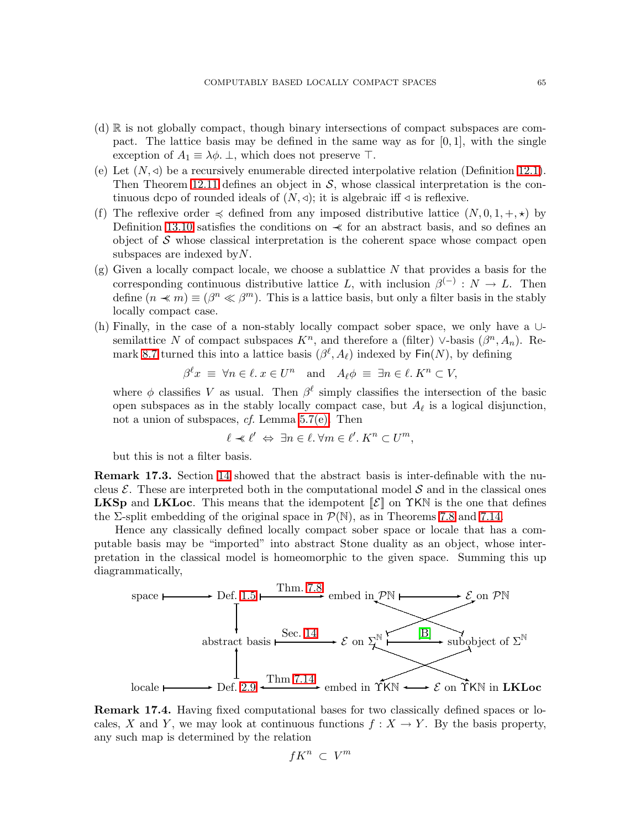- (d) R is not globally compact, though binary intersections of compact subspaces are compact. The lattice basis may be defined in the same way as for  $[0, 1]$ , with the single exception of  $A_1 \equiv \lambda \phi$ .  $\perp$ , which does not preserve  $\top$ .
- (e) Let  $(N, \triangleleft)$  be a recursively enumerable directed interpolative relation (Definition [12.1\)](#page-46-2). Then Theorem [12.11](#page-49-1) defines an object in  $S$ , whose classical interpretation is the continuous dcpo of rounded ideals of  $(N, \triangleleft)$ ; it is algebraic iff  $\triangleleft$  is reflexive.
- (f) The reflexive order  $\preccurlyeq$  defined from any imposed distributive lattice  $(N, 0, 1, +, \star)$  by Definition [13.10](#page-52-0) satisfies the conditions on  $\prec$  for an abstract basis, and so defines an object of  $S$  whose classical interpretation is the coherent space whose compact open subspaces are indexed by  $N$ .
- $(g)$  Given a locally compact locale, we choose a sublattice N that provides a basis for the corresponding continuous distributive lattice L, with inclusion  $\beta^{(-)}: N \to L$ . Then define  $(n \prec m) \equiv (\beta^n \ll \beta^m)$ . This is a lattice basis, but only a filter basis in the stably locally compact case.
- (h) Finally, in the case of a non-stably locally compact sober space, we only have a ∪ semilattice N of compact subspaces  $K<sup>n</sup>$ , and therefore a (filter) ∨-basis  $(\beta<sup>n</sup>, A<sub>n</sub>)$ . Re-mark [8.7](#page-35-1) turned this into a lattice basis  $(\beta^{\ell}, A_{\ell})$  indexed by  $\text{Fin}(N)$ , by defining

$$
\beta^{\ell} x \equiv \forall n \in \ell \, x \in U^{n} \quad \text{and} \quad A_{\ell} \phi \equiv \exists n \in \ell \, K^{n} \subset V,
$$

where  $\phi$  classifies V as usual. Then  $\beta^{\ell}$  simply classifies the intersection of the basic open subspaces as in the stably locally compact case, but  $A_{\ell}$  is a logical disjunction, not a union of subspaces, *cf.* Lemma [5.7\(e\).](#page-19-3) Then

$$
\ell \prec \ell' \Leftrightarrow \exists n \in \ell. \ \forall m \in \ell'. K^n \subset U^m,
$$

but this is not a filter basis.

Remark 17.3. Section [14](#page-54-0) showed that the abstract basis is inter-definable with the nucleus  $\mathcal{E}$ . These are interpreted both in the computational model  $\mathcal{S}$  and in the classical ones **LKSp** and LKLoc. This means that the idempotent  $\mathcal{E}$  on  $\gamma$ KN is the one that defines the  $\Sigma$ -split embedding of the original space in  $\mathcal{P}(\mathbb{N})$ , as in Theorems [7.8](#page-29-0) and [7.14.](#page-31-0)

Hence any classically defined locally compact sober space or locale that has a computable basis may be "imported" into abstract Stone duality as an object, whose interpretation in the classical model is homeomorphic to the given space. Summing this up diagrammatically,



Remark 17.4. Having fixed computational bases for two classically defined spaces or locales, X and Y, we may look at continuous functions  $f : X \to Y$ . By the basis property, any such map is determined by the relation

$$
fK^n \,\subset\, V^m
$$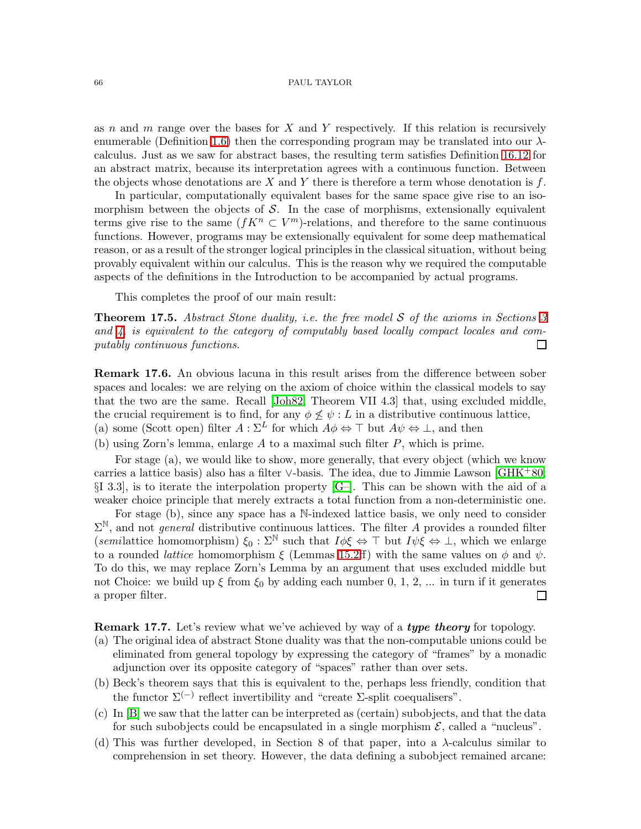as n and m range over the bases for X and Y respectively. If this relation is recursively enumerable (Definition [1.6\)](#page-3-1) then the corresponding program may be translated into our  $\lambda$ calculus. Just as we saw for abstract bases, the resulting term satisfies Definition [16.12](#page-62-1) for an abstract matrix, because its interpretation agrees with a continuous function. Between the objects whose denotations are X and Y there is therefore a term whose denotation is  $f$ .

In particular, computationally equivalent bases for the same space give rise to an isomorphism between the objects of  $\mathcal{S}$ . In the case of morphisms, extensionally equivalent terms give rise to the same  $(fK^n \subset V^m)$ -relations, and therefore to the same continuous functions. However, programs may be extensionally equivalent for some deep mathematical reason, or as a result of the stronger logical principles in the classical situation, without being provably equivalent within our calculus. This is the reason why we required the computable aspects of the definitions in the Introduction to be accompanied by actual programs.

This completes the proof of our main result:

Theorem 17.5. *Abstract Stone duality, i.e. the free model* S *of the axioms in Sections [3](#page-8-0) and [4,](#page-12-0) is equivalent to the category of computably based locally compact locales and computably continuous functions.*  $\Box$ 

<span id="page-65-0"></span>Remark 17.6. An obvious lacuna in this result arises from the difference between sober spaces and locales: we are relying on the axiom of choice within the classical models to say that the two are the same. Recall [\[Joh82,](#page-68-13) Theorem VII 4.3] that, using excluded middle, the crucial requirement is to find, for any  $\phi \not\leq \psi : L$  in a distributive continuous lattice, (a) some (Scott open) filter  $A : \Sigma^L$  for which  $A\phi \Leftrightarrow \top$  but  $A\psi \Leftrightarrow \bot$ , and then

(b) using Zorn's lemma, enlarge  $A$  to a maximal such filter  $P$ , which is prime.

For stage (a), we would like to show, more generally, that every object (which we know carries a lattice basis) also has a filter ∨-basis. The idea, due to Jimmie Lawson [\[GHK](#page-67-3)+80,  $\S I$  3.3, is to iterate the interpolation property  $[G-]$ . This can be shown with the aid of a weaker choice principle that merely extracts a total function from a non-deterministic one.

For stage (b), since any space has a N-indexed lattice basis, we only need to consider  $\Sigma^{\mathbb{N}}$ , and not *general* distributive continuous lattices. The filter A provides a rounded filter (*semilattice homomorphism*)  $\xi_0 : \Sigma^{\mathbb{N}}$  such that  $I\phi\xi \Leftrightarrow \top$  but  $I\psi\dot{\xi} \Leftrightarrow \bot$ , which we enlarge to a rounded *lattice* homomorphism  $\xi$  (Lemmas [15.2ff](#page-56-1)) with the same values on  $\phi$  and  $\psi$ . To do this, we may replace Zorn's Lemma by an argument that uses excluded middle but not Choice: we build up  $\xi$  from  $\xi_0$  by adding each number 0, 1, 2, ... in turn if it generates  $\Box$ a proper filter.

**Remark 17.7.** Let's review what we've achieved by way of a *type theory* for topology.

- (a) The original idea of abstract Stone duality was that the non-computable unions could be eliminated from general topology by expressing the category of "frames" by a monadic adjunction over its opposite category of "spaces" rather than over sets.
- (b) Beck's theorem says that this is equivalent to the, perhaps less friendly, condition that the functor  $\Sigma^{(-)}$  reflect invertibility and "create  $\Sigma$ -split coequalisers".
- (c) In [\[B\]](#page-68-0) we saw that the latter can be interpreted as (certain) subobjects, and that the data for such subobjects could be encapsulated in a single morphism  $\mathcal{E}$ , called a "nucleus".
- (d) This was further developed, in Section 8 of that paper, into a  $\lambda$ -calculus similar to comprehension in set theory. However, the data defining a subobject remained arcane: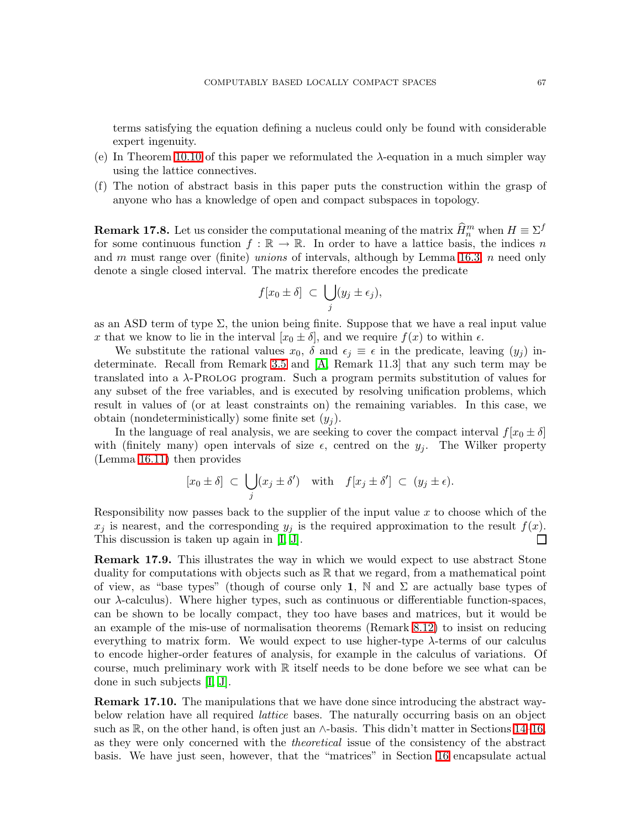terms satisfying the equation defining a nucleus could only be found with considerable expert ingenuity.

- (e) In Theorem [10.10](#page-42-2) of this paper we reformulated the  $\lambda$ -equation in a much simpler way using the lattice connectives.
- (f) The notion of abstract basis in this paper puts the construction within the grasp of anyone who has a knowledge of open and compact subspaces in topology.

<span id="page-66-0"></span>**Remark 17.8.** Let us consider the computational meaning of the matrix  $\widehat{H}_n^m$  when  $H \equiv \Sigma^f$ for some continuous function  $f : \mathbb{R} \to \mathbb{R}$ . In order to have a lattice basis, the indices n and m must range over (finite) *unions* of intervals, although by Lemma [16.3,](#page-59-3) n need only denote a single closed interval. The matrix therefore encodes the predicate

$$
f[x_0 \pm \delta] \subset \bigcup_j (y_j \pm \epsilon_j),
$$

as an ASD term of type  $\Sigma$ , the union being finite. Suppose that we have a real input value x that we know to lie in the interval  $[x_0 \pm \delta]$ , and we require  $f(x)$  to within  $\epsilon$ .

We substitute the rational values  $x_0$ ,  $\delta$  and  $\epsilon_j \equiv \epsilon$  in the predicate, leaving  $(y_j)$  indeterminate. Recall from Remark [3.5](#page-10-1) and [\[A,](#page-68-1) Remark 11.3] that any such term may be translated into a  $\lambda$ -PROLOG program. Such a program permits substitution of values for any subset of the free variables, and is executed by resolving unification problems, which result in values of (or at least constraints on) the remaining variables. In this case, we obtain (nondeterministically) some finite set  $(y_i)$ .

In the language of real analysis, we are seeking to cover the compact interval  $f[x_0 \pm \delta]$ with (finitely many) open intervals of size  $\epsilon$ , centred on the  $y_i$ . The Wilker property (Lemma [16.11\)](#page-61-0) then provides

$$
[x_0 \pm \delta] \subset \bigcup_j (x_j \pm \delta')
$$
 with  $f[x_j \pm \delta'] \subset (y_j \pm \epsilon).$ 

Responsibility now passes back to the supplier of the input value  $x$  to choose which of the  $x_j$  is nearest, and the corresponding  $y_j$  is the required approximation to the result  $f(x)$ . This discussion is taken up again in [\[I,](#page-69-3) [J\]](#page-69-6).  $\Box$ 

Remark 17.9. This illustrates the way in which we would expect to use abstract Stone duality for computations with objects such as R that we regard, from a mathematical point of view, as "base types" (though of course only 1,  $\mathbb N$  and  $\Sigma$  are actually base types of our  $\lambda$ -calculus). Where higher types, such as continuous or differentiable function-spaces, can be shown to be locally compact, they too have bases and matrices, but it would be an example of the mis-use of normalisation theorems (Remark [8.12\)](#page-37-2) to insist on reducing everything to matrix form. We would expect to use higher-type  $\lambda$ -terms of our calculus to encode higher-order features of analysis, for example in the calculus of variations. Of course, much preliminary work with R itself needs to be done before we see what can be done in such subjects [\[I,](#page-69-3) [J\]](#page-69-6).

**Remark 17.10.** The manipulations that we have done since introducing the abstract waybelow relation have all required *lattice* bases. The naturally occurring basis on an object such as R, on the other hand, is often just an  $\wedge$ -basis. This didn't matter in Sections [14–](#page-54-0)[16,](#page-59-0) as they were only concerned with the *theoretical* issue of the consistency of the abstract basis. We have just seen, however, that the "matrices" in Section [16](#page-59-0) encapsulate actual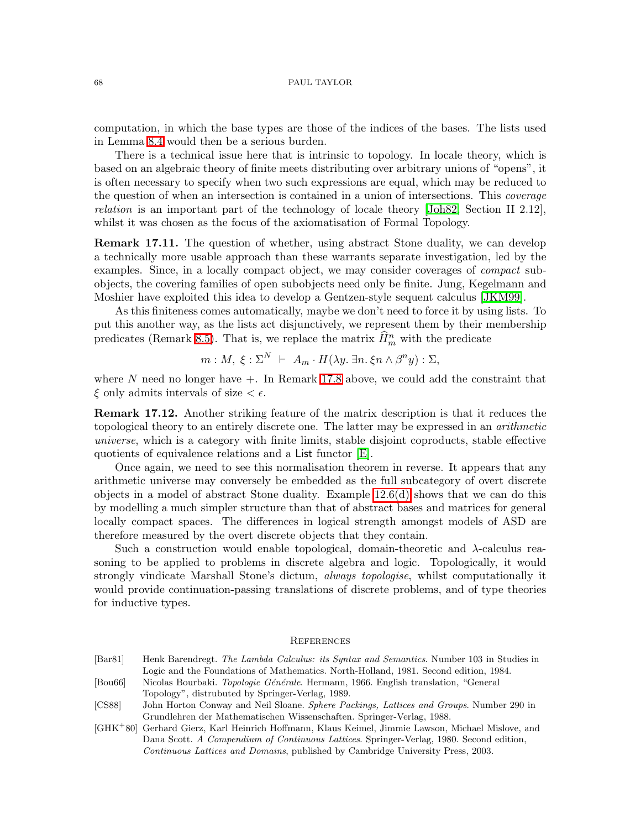computation, in which the base types are those of the indices of the bases. The lists used in Lemma [8.4](#page-34-1) would then be a serious burden.

There is a technical issue here that is intrinsic to topology. In locale theory, which is based on an algebraic theory of finite meets distributing over arbitrary unions of "opens", it is often necessary to specify when two such expressions are equal, which may be reduced to the question of when an intersection is contained in a union of intersections. This *coverage relation* is an important part of the technology of locale theory [\[Joh82,](#page-68-13) Section II 2.12], whilst it was chosen as the focus of the axiomatisation of Formal Topology.

**Remark 17.11.** The question of whether, using abstract Stone duality, we can develop a technically more usable approach than these warrants separate investigation, led by the examples. Since, in a locally compact object, we may consider coverages of *compact* subobjects, the covering families of open subobjects need only be finite. Jung, Kegelmann and Moshier have exploited this idea to develop a Gentzen-style sequent calculus [\[JKM99\]](#page-68-17).

As this finiteness comes automatically, maybe we don't need to force it by using lists. To put this another way, as the lists act disjunctively, we represent them by their membership predicates (Remark [8.5\)](#page-35-3). That is, we replace the matrix  $\hat{H}_m^n$  with the predicate

$$
m: M, \ \xi: \Sigma^N \ \vdash \ A_m \cdot H(\lambda y. \ \exists n. \ \xi n \wedge \beta^n y) : \Sigma,
$$

where  $N$  need no longer have  $+$ . In Remark [17.8](#page-66-0) above, we could add the constraint that  $\xi$  only admits intervals of size  $\leq \epsilon$ .

Remark 17.12. Another striking feature of the matrix description is that it reduces the topological theory to an entirely discrete one. The latter may be expressed in an *arithmetic universe*, which is a category with finite limits, stable disjoint coproducts, stable effective quotients of equivalence relations and a List functor [\[E\]](#page-69-1).

Once again, we need to see this normalisation theorem in reverse. It appears that any arithmetic universe may conversely be embedded as the full subcategory of overt discrete objects in a model of abstract Stone duality. Example [12.6\(d\)](#page-47-2) shows that we can do this by modelling a much simpler structure than that of abstract bases and matrices for general locally compact spaces. The differences in logical strength amongst models of ASD are therefore measured by the overt discrete objects that they contain.

Such a construction would enable topological, domain-theoretic and  $\lambda$ -calculus reasoning to be applied to problems in discrete algebra and logic. Topologically, it would strongly vindicate Marshall Stone's dictum, *always topologise*, whilst computationally it would provide continuation-passing translations of discrete problems, and of type theories for inductive types.

#### **REFERENCES**

- <span id="page-67-4"></span><span id="page-67-2"></span><span id="page-67-0"></span>[Bar81] Henk Barendregt. *The Lambda Calculus: its Syntax and Semantics*. Number 103 in Studies in Logic and the Foundations of Mathematics. North-Holland, 1981. Second edition, 1984.
- [Bou66] Nicolas Bourbaki. *Topologie G´en´erale*. Hermann, 1966. English translation, "General Topology", distrubuted by Springer-Verlag, 1989.
- <span id="page-67-1"></span>[CS88] John Horton Conway and Neil Sloane. *Sphere Packings, Lattices and Groups*. Number 290 in Grundlehren der Mathematischen Wissenschaften. Springer-Verlag, 1988.
- <span id="page-67-3"></span>[GHK<sup>+</sup>80] Gerhard Gierz, Karl Heinrich Hoffmann, Klaus Keimel, Jimmie Lawson, Michael Mislove, and Dana Scott. *A Compendium of Continuous Lattices*. Springer-Verlag, 1980. Second edition, *Continuous Lattices and Domains*, published by Cambridge University Press, 2003.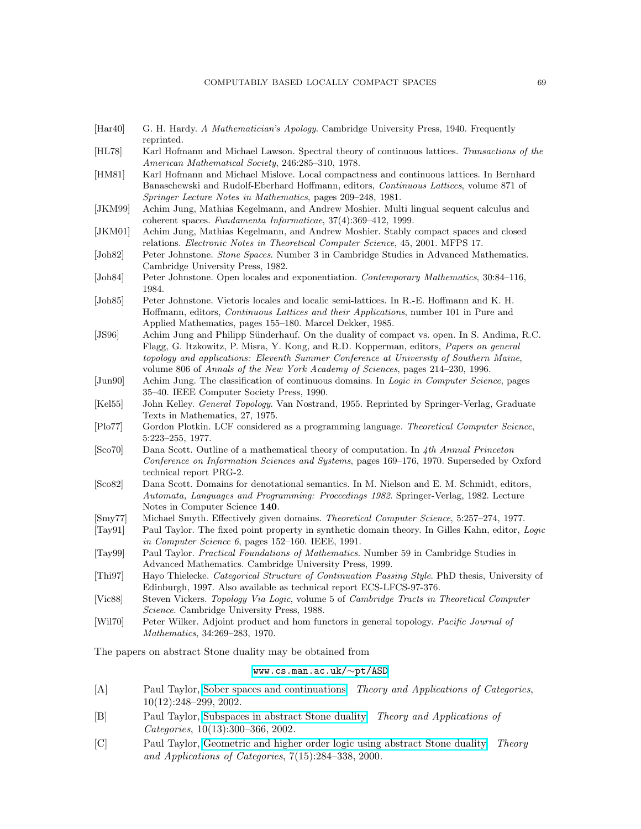#### COMPUTABLY BASED LOCALLY COMPACT SPACES 69

- <span id="page-68-8"></span><span id="page-68-7"></span>[Har40] G. H. Hardy. *A Mathematician's Apology*. Cambridge University Press, 1940. Frequently reprinted.
- <span id="page-68-3"></span>[HL78] Karl Hofmann and Michael Lawson. Spectral theory of continuous lattices. *Transactions of the American Mathematical Society*, 246:285–310, 1978.
- [HM81] Karl Hofmann and Michael Mislove. Local compactness and continuous lattices. In Bernhard Banaschewski and Rudolf-Eberhard Hoffmann, editors, *Continuous Lattices*, volume 871 of *Springer Lecture Notes in Mathematics*, pages 209–248, 1981.
- <span id="page-68-17"></span><span id="page-68-9"></span>[JKM99] Achim Jung, Mathias Kegelmann, and Andrew Moshier. Multi lingual sequent calculus and coherent spaces. *Fundamenta Informaticae*, 37(4):369–412, 1999.
- [JKM01] Achim Jung, Mathias Kegelmann, and Andrew Moshier. Stably compact spaces and closed relations. *Electronic Notes in Theoretical Computer Science*, 45, 2001. MFPS 17.
- <span id="page-68-18"></span><span id="page-68-13"></span>[Joh82] Peter Johnstone. *Stone Spaces*. Number 3 in Cambridge Studies in Advanced Mathematics. Cambridge University Press, 1982.
- <span id="page-68-14"></span>[Joh84] Peter Johnstone. Open locales and exponentiation. *Contemporary Mathematics*, 30:84–116, 1984.
- [Joh85] Peter Johnstone. Vietoris locales and localic semi-lattices. In R.-E. Hoffmann and K. H. Hoffmann, editors, *Continuous Lattices and their Applications*, number 101 in Pure and Applied Mathematics, pages 155–180. Marcel Dekker, 1985.
- <span id="page-68-4"></span>[JS96] Achim Jung and Philipp Sünderhauf. On the duality of compact vs. open. In S. Andima, R.C. Flagg, G. Itzkowitz, P. Misra, Y. Kong, and R.D. Kopperman, editors, *Papers on general topology and applications: Eleventh Summer Conference at University of Southern Maine*, volume 806 of *Annals of the New York Academy of Sciences*, pages 214–230, 1996.
- <span id="page-68-20"></span>[Jun90] Achim Jung. The classification of continuous domains. In *Logic in Computer Science*, pages 35–40. IEEE Computer Society Press, 1990.
- <span id="page-68-11"></span><span id="page-68-6"></span>[Kel55] John Kelley. *General Topology*. Van Nostrand, 1955. Reprinted by Springer-Verlag, Graduate Texts in Mathematics, 27, 1975.
- <span id="page-68-15"></span>[Plo77] Gordon Plotkin. LCF considered as a programming language. *Theoretical Computer Science*, 5:223–255, 1977.
- [Sco70] Dana Scott. Outline of a mathematical theory of computation. In *4th Annual Princeton Conference on Information Sciences and Systems*, pages 169–176, 1970. Superseded by Oxford technical report PRG-2.
- <span id="page-68-16"></span>[Sco82] Dana Scott. Domains for denotational semantics. In M. Nielson and E. M. Schmidt, editors, *Automata, Languages and Programming: Proceedings 1982*. Springer-Verlag, 1982. Lecture Notes in Computer Science 140.
- <span id="page-68-19"></span><span id="page-68-12"></span>[Smy77] Michael Smyth. Effectively given domains. *Theoretical Computer Science*, 5:257–274, 1977.
- <span id="page-68-10"></span>[Tay91] Paul Taylor. The fixed point property in synthetic domain theory. In Gilles Kahn, editor, *Logic in Computer Science 6*, pages 152–160. IEEE, 1991.
- <span id="page-68-21"></span>[Tay99] Paul Taylor. *Practical Foundations of Mathematics*. Number 59 in Cambridge Studies in Advanced Mathematics. Cambridge University Press, 1999.
- [Thi97] Hayo Thielecke. *Categorical Structure of Continuation Passing Style*. PhD thesis, University of Edinburgh, 1997. Also available as technical report ECS-LFCS-97-376.
- <span id="page-68-22"></span><span id="page-68-5"></span>[Vic88] Steven Vickers. *Topology Via Logic*, volume 5 of *Cambridge Tracts in Theoretical Computer Science*. Cambridge University Press, 1988.
- [Wil70] Peter Wilker. Adjoint product and hom functors in general topology. *Pacific Journal of Mathematics*, 34:269–283, 1970.

The papers on abstract Stone duality may be obtained from

#### [www.cs.man.ac.uk/](http://www.cs.man.ac.uk/~pt/ASD/index.dvi)∼pt/ASD

- <span id="page-68-1"></span>[A] Paul Taylor, [Sober spaces and continuations.](http://www.cs.man.ac.uk/~pt/ASD/sobsc.dvi) *Theory and Applications of Categories*, 10(12):248–299, 2002.
- <span id="page-68-0"></span>[B] Paul Taylor, [Subspaces in abstract Stone duality.](http://www.cs.man.ac.uk/~pt/ASD/subasd.dvi) *Theory and Applications of Categories*, 10(13):300–366, 2002.
- <span id="page-68-2"></span>[C] Paul Taylor, [Geometric and higher order logic using abstract Stone duality.](http://www.cs.man.ac.uk/~pt/ASD/geohol.dvi) *Theory and Applications of Categories*, 7(15):284–338, 2000.